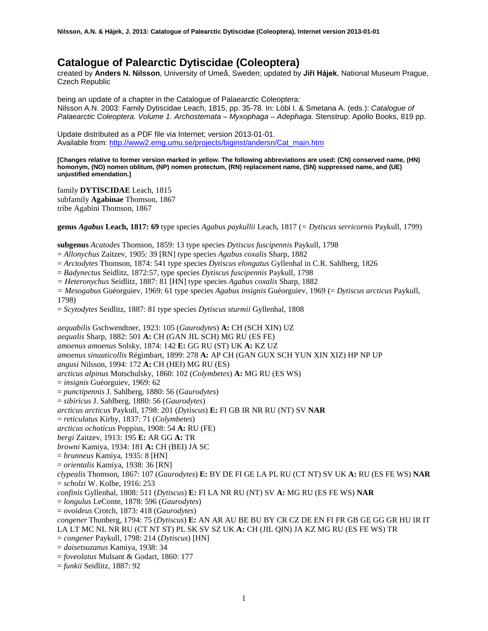# **Catalogue of Palearctic Dytiscidae (Coleoptera)**

created by **Anders N. Nilsson**, University of Umeå, Sweden; updated by **Jiří Hájek**, National Museum Prague, Czech Republic

being an update of a chapter in the Catalogue of Palaearctic Coleoptera: Nilsson A.N. 2003: Family Dytiscidae Leach, 1815, pp. 35-78. In: Löbl I. & Smetana A. (eds.): *Catalogue of Palaearctic Coleoptera. Volume 1. Archostemata – Myxophaga – Adephaga.* Stenstrup: Apollo Books, 819 pp.

Update distributed as a PDF file via Internet; version 2013-01-01. Available from: [http://www2.emg.umu.se/projects/biginst/andersn/Cat\\_main.htm](http://www.emg.umu.se/biginst/andersn/Cat_main.htm)

**[Changes relative to former version marked in yellow. The following abbreviations are used: (CN) conserved name, (HN) homonym, (NO) nomen oblitum, (NP) nomen protectum, (RN) replacement name, (SN) suppressed name, and (UE) unjustified emendation.]**

family **DYTISCIDAE** Leach, 1815 subfamily **Agabinae** Thomson, 1867 tribe Agabini Thomson, 1867

**genus** *Agabus* **Leach, 1817: 69** type species *Agabus paykullii* Leach, 1817 (*= Dytiscus serricornis* Paykull, 1799)

**subgenus** *Acatodes* Thomson, 1859: 13 type species *Dytiscus fuscipennis* Paykull, 1798

= *Allonychus* Zaitzev, 1905: 39 [RN] type species *Agabus coxalis* Sharp, 1882

= *Arctodytes* Thomson, 1874: 541 type species *Dytiscus elongatus* Gyllenhal in C.R. Sahlberg, 1826

= *Badynectus* Seidlitz, 1872:57, type species *Dytiscus fuscipennis* Paykull, 1798

*= Heteronychus* Seidlitz, 1887: 81 [HN] type species *Agabus coxalis* Sharp, 1882

*= Mesogabus* Guéorguiev, 1969: 61 type species *Agabus insignis* Guéorguiev, 1969 (= *Dytiscus arcticus* Paykull, 1798)

= *Scytodytes* Seidlitz, 1887: 81 type species *Dytiscus sturmii* Gyllenhal, 1808

*aequabilis* Gschwendtner, 1923: 105 (*Gaurodytes*) **A:** CH (SCH XIN) UZ *aequalis* Sharp, 1882: 501 **A:** CH (GAN JIL SCH) MG RU (ES FE) *amoenus amoenus* Solsky, 1874: 142 **E:** GG RU (ST) UK **A:** KZ UZ *amoenus sinuaticollis* Régimbart, 1899: 278 **A:** AP CH (GAN GUX SCH YUN XIN XIZ) HP NP UP *angusi* Nilsson, 1994: 172 **A:** CH (HEI) MG RU (ES) *arcticus alpinus* Motschulsky, 1860: 102 (*Colymbetes*) **A:** MG RU (ES WS) = *insignis* Guéorguiev, 1969: 62 = *punctipennis* J. Sahlberg, 1880: 56 (*Gaurodytes*) = *sibiricus* J. Sahlberg, 1880: 56 (*Gaurodytes*) *arcticus arcticus* Paykull, 1798: 201 (*Dytiscus*) **E:** FI GB IR NR RU (NT) SV **NAR** = *reticulatus* Kirby, 1837: 71 (*Colymbetes*) *arcticus ochoticus* Poppius, 1908: 54 **A:** RU (FE) *bergi* Zaitzev, 1913: 195 **E:** AR GG **A:** TR *browni* Kamiya, 1934: 181 **A:** CH (BEI) JA SC = *brunneus* Kamiya, 1935: 8 [HN] = *orientalis* Kamiya, 1938: 36 [RN] *clypealis* Thomson, 1867: 107 (*Gaurodytes*) **E:** BY DE FI GE LA PL RU (CT NT) SV UK **A:** RU (ES FE WS) **NAR** = *scholzi* W. Kolbe, 1916: 253 *confinis* Gyllenhal, 1808: 511 (*Dytiscus*) **E:** FI LA NR RU (NT) SV **A:** MG RU (ES FE WS) **NAR** = *longulus* LeConte, 1878: 596 (*Gaurodytes*) = *ovoideus* Crotch, 1873: 418 (*Gaurodytes*) *congener* Thunberg, 1794: 75 (*Dytiscus*) **E:** AN AR AU BE BU BY CR CZ DE EN FI FR GB GE GG GR HU IR IT LA LT MC NL NR RU (CT NT ST) PL SK SV SZ UK **A:** CH (JIL QIN) JA KZ MG RU (ES FE WS) TR = *congener* Paykull, 1798: 214 (*Dytiscus*) [HN] = *daisetsuzanus* Kamiya, 1938: 34 = *foveolatus* Mulsant & Godart, 1860: 177 = *funkii* Seidlitz, 1887: 92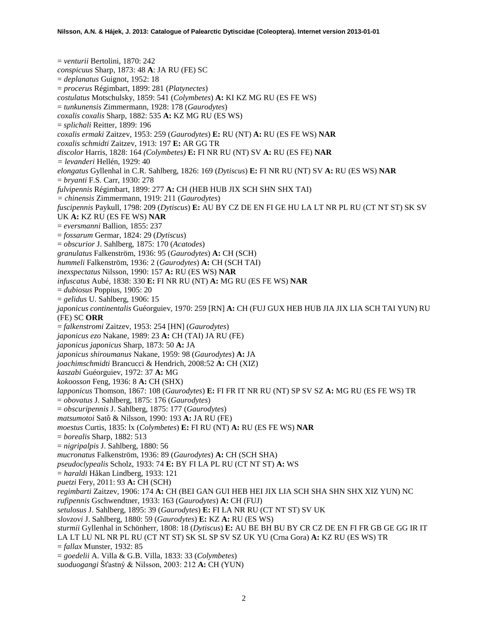= *venturii* Bertolini, 1870: 242 *conspicuus* Sharp, 1873: 48 **A**: JA RU (FE) SC = *deplanatus* Guignot, 1952: 18 = *procerus* Régimbart, 1899: 281 (*Platynectes*) *costulatus* Motschulsky, 1859: 541 (*Colymbetes*) **A:** KI KZ MG RU (ES FE WS) = *tunkunensis* Zimmermann, 1928: 178 (*Gaurodytes*) *coxalis coxalis* Sharp, 1882: 535 **A:** KZ MG RU (ES WS) = *splichali* Reitter, 1899: 196 *coxalis ermaki* Zaitzev, 1953: 259 (*Gaurodytes*) **E:** RU (NT) **A:** RU (ES FE WS) **NAR** *coxalis schmidti* Zaitzev, 1913: 197 **E:** AR GG TR *discolor* Harris, 1828: 164 *(Colymbetes)* **E:** FI NR RU (NT) SV **A:** RU (ES FE) **NAR** *= levanderi* Hellén, 1929: 40 *elongatus* Gyllenhal in C.R. Sahlberg, 1826: 169 (*Dytiscus*) **E:** FI NR RU (NT) SV **A:** RU (ES WS) **NAR** = *bryanti* F.S. Carr, 1930: 278 *fulvipennis* Régimbart, 1899: 277 **A:** CH (HEB HUB JIX SCH SHN SHX TAI) *= chinensis* Zimmermann, 1919: 211 (*Gaurodytes*) *fuscipennis* Paykull, 1798: 209 (*Dytiscus*) **E:** AU BY CZ DE EN FI GE HU LA LT NR PL RU (CT NT ST) SK SV UK **A:** KZ RU (ES FE WS) **NAR** = *eversmanni* Ballion, 1855: 237 = *fossarum* Germar, 1824: 29 (*Dytiscus*) = *obscurior* J. Sahlberg, 1875: 170 (*Acatodes*) *granulatus* Falkenström, 1936: 95 (*Gaurodytes*) **A:** CH (SCH) *hummeli* Falkenström, 1936: 2 (*Gaurodytes*) **A:** CH (SCH TAI) *inexspectatus* Nilsson, 1990: 157 **A:** RU (ES WS) **NAR** *infuscatus* Aubé, 1838: 330 **E:** FI NR RU (NT) **A:** MG RU (ES FE WS) **NAR** = *dubiosus* Poppius, 1905: 20 = *gelidus* U. Sahlberg, 1906: 15 *japonicus continentalis* Guéorguiev, 1970: 259 [RN] **A:** CH (FUJ GUX HEB HUB JIA JIX LIA SCH TAI YUN) RU (FE) SC **ORR** = *falkenstromi* Zaitzev, 1953: 254 [HN] (*Gaurodytes*) *japonicus ezo* Nakane, 1989: 23 **A:** CH (TAI) JA RU (FE) *japonicus japonicus* Sharp, 1873: 50 **A:** JA *japonicus shiroumanus* Nakane, 1959: 98 (*Gaurodytes*) **A:** JA *joachimschmidti* Brancucci & Hendrich, 2008:52 **A:** CH (XIZ) *kaszabi* Guéorguiev, 1972: 37 **A:** MG *kokoosson* Feng, 1936: 8 **A:** CH (SHX) *lapponicus* Thomson, 1867: 108 (*Gaurodytes*) **E:** FI FR IT NR RU (NT) SP SV SZ **A:** MG RU (ES FE WS) TR = *obovatus* J. Sahlberg, 1875: 176 (*Gaurodytes*) = *obscuripennis* J. Sahlberg, 1875: 177 (*Gaurodytes*) *matsumotoi* Satô & Nilsson, 1990: 193 **A:** JA RU (FE) *moestus* Curtis, 1835: lx (*Colymbetes*) **E:** FI RU (NT) **A:** RU (ES FE WS) **NAR** = *borealis* Sharp, 1882: 513 = *nigripalpis* J. Sahlberg, 1880: 56 *mucronatus* Falkenström, 1936: 89 (*Gaurodytes*) **A:** CH (SCH SHA) *pseudoclypealis* Scholz, 1933: 74 **E:** BY FI LA PL RU (CT NT ST) **A:** WS = *haraldi* Håkan Lindberg, 1933: 121 *puetzi* Fery, 2011: 93 **A:** CH (SCH) *regimbarti* Zaitzev, 1906: 174 **A:** CH (BEI GAN GUI HEB HEI JIX LIA SCH SHA SHN SHX XIZ YUN) NC *rufipennis* Gschwendtner, 1933: 163 (*Gaurodytes*) **A:** CH (FUJ) *setulosus* J. Sahlberg, 1895: 39 (*Gaurodytes*) **E:** FI LA NR RU (CT NT ST) SV UK *slovzovi* J. Sahlberg, 1880: 59 (*Gaurodytes*) **E:** KZ **A:** RU (ES WS) *sturmii* Gyllenhal in Schönherr, 1808: 18 (*Dytiscus*) **E:** AU BE BH BU BY CR CZ DE EN FI FR GB GE GG IR IT LA LT LU NL NR PL RU (CT NT ST) SK SL SP SV SZ UK YU (Crna Gora) **A:** KZ RU (ES WS) TR = *fallax* Munster, 1932: 85 = *goedelii* A. Villa & G.B. Villa, 1833: 33 (*Colymbetes*) *suoduogangi* Šťastný & Nilsson, 2003: 212 **A:** CH (YUN)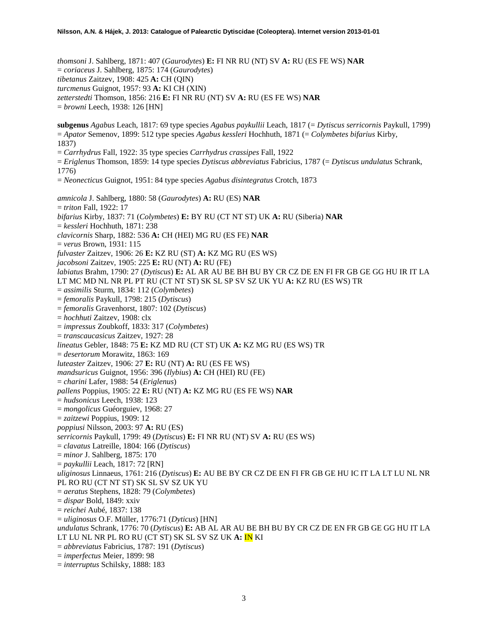*thomsoni* J. Sahlberg, 1871: 407 (*Gaurodytes*) **E:** FI NR RU (NT) SV **A:** RU (ES FE WS) **NAR** = *coriaceus* J. Sahlberg, 1875: 174 (*Gaurodytes*) *tibetanus* Zaitzev, 1908: 425 **A:** CH (QIN) *turcmenus* Guignot, 1957: 93 **A:** KI CH (XIN) *zetterstedti* Thomson, 1856: 216 **E:** FI NR RU (NT) SV **A:** RU (ES FE WS) **NAR** = *browni* Leech, 1938: 126 [HN] **subgenus** *Agabus* Leach, 1817: 69 type species *Agabus paykullii* Leach, 1817 (= *Dytiscus serricornis* Paykull, 1799) = *Apator* Semenov, 1899: 512 type species *Agabus kessleri* Hochhuth, 1871 (= *Colymbetes bifarius* Kirby, 1837) = *Carrhydrus* Fall, 1922: 35 type species *Carrhydrus crassipes* Fall, 1922 = *Eriglenus* Thomson, 1859: 14 type species *Dytiscus abbreviatus* Fabricius, 1787 (= *Dytiscus undulatus* Schrank, 1776) = *Neonecticus* Guignot, 1951: 84 type species *Agabus disintegratus* Crotch, 1873 *amnicola* J. Sahlberg, 1880: 58 (*Gaurodytes*) **A:** RU (ES) **NAR** = *triton* Fall, 1922: 17 *bifarius* Kirby, 1837: 71 (*Colymbetes*) **E:** BY RU (CT NT ST) UK **A:** RU (Siberia) **NAR** = *kessleri* Hochhuth, 1871: 238 *clavicornis* Sharp, 1882: 536 **A:** CH (HEI) MG RU (ES FE) **NAR** = *verus* Brown, 1931: 115 *fulvaster* Zaitzev, 1906: 26 **E:** KZ RU (ST) **A:** KZ MG RU (ES WS) *jacobsoni* Zaitzev, 1905: 225 **E:** RU (NT) **A:** RU (FE) *labiatus* Brahm, 1790: 27 (*Dytiscus*) **E:** AL AR AU BE BH BU BY CR CZ DE EN FI FR GB GE GG HU IR IT LA LT MC MD NL NR PL PT RU (CT NT ST) SK SL SP SV SZ UK YU **A:** KZ RU (ES WS) TR = *assimilis* Sturm, 1834: 112 (*Colymbetes*) = *femoralis* Paykull, 1798: 215 (*Dytiscus*) = *femoralis* Gravenhorst, 1807: 102 (*Dytiscus*) = *hochhuti* Zaitzev, 1908: clx = *impressus* Zoubkoff, 1833: 317 (*Colymbetes*) = *transcaucasicus* Zaitzev, 1927: 28 *lineatus* Gebler, 1848: 75 **E:** KZ MD RU (CT ST) UK **A:** KZ MG RU (ES WS) TR = *desertorum* Morawitz, 1863: 169 *luteaster* Zaitzev, 1906: 27 **E:** RU (NT) **A:** RU (ES FE WS) *mandsuricus* Guignot, 1956: 396 (*Ilybius*) **A:** CH (HEI) RU (FE) = *charini* Lafer, 1988: 54 (*Eriglenus*) *pallens* Poppius, 1905: 22 **E:** RU (NT) **A:** KZ MG RU (ES FE WS) **NAR** = *hudsonicus* Leech, 1938: 123 = *mongolicus* Guéorguiev, 1968: 27 = *zaitzewi* Poppius, 1909: 12 *poppiusi* Nilsson, 2003: 97 **A:** RU (ES) *serricornis* Paykull, 1799: 49 (*Dytiscus*) **E:** FI NR RU (NT) SV **A:** RU (ES WS) = *clavatus* Latreille, 1804: 166 (*Dytiscus*) = *minor* J. Sahlberg, 1875: 170 = *paykullii* Leach, 1817: 72 [RN] *uliginosus* Linnaeus, 1761: 216 (*Dytiscus*) **E:** AU BE BY CR CZ DE EN FI FR GB GE HU IC IT LA LT LU NL NR PL RO RU (CT NT ST) SK SL SV SZ UK YU = *aeratus* Stephens, 1828: 79 (*Colymbetes*) = *dispar* Bold, 1849: xxiv = *reichei* Aubé, 1837: 138 = *uliginosus* O.F. Müller, 1776:71 (*Dyticus*) [HN] *undulatus* Schrank, 1776: 70 (*Dytiscus*) **E:** AB AL AR AU BE BH BU BY CR CZ DE EN FR GB GE GG HU IT LA LT LU NL NR PL RO RU (CT ST) SK SL SV SZ UK **A:** IN KI = *abbreviatus* Fabricius, 1787: 191 (*Dytiscus*) = *imperfectus* Meier, 1899: 98 = *interruptus* Schilsky, 1888: 183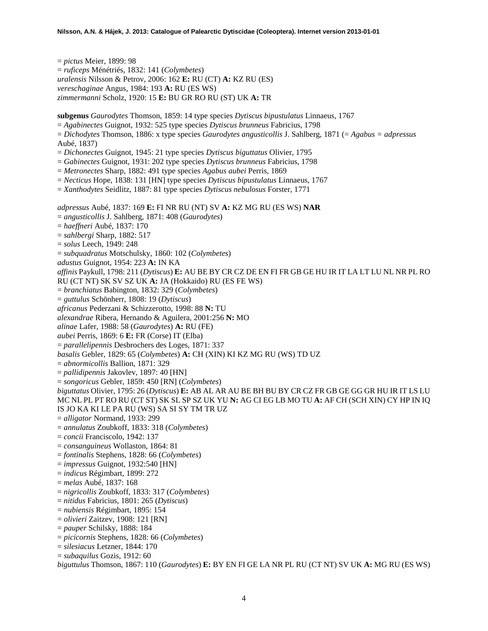= *pictus* Meier, 1899: 98 = *ruficeps* Ménétriés, 1832: 141 (*Colymbetes*) *uralensis* Nilsson & Petrov, 2006: 162 **E:** RU (CT) **A:** KZ RU (ES) *vereschaginae* Angus, 1984: 193 **A:** RU (ES WS) *zimmermanni* Scholz, 1920: 15 **E:** BU GR RO RU (ST) UK **A:** TR **subgenus** *Gaurodytes* Thomson, 1859: 14 type species *Dytiscus bipustulatus* Linnaeus, 1767 = *Agabinectes* Guignot, 1932: 525 type species *Dytiscus brunneus* Fabricius, 1798 = *Dichodytes* Thomson, 1886: x type species *Gaurodytes angusticollis* J. Sahlberg, 1871 (= *Agabus = adpressus* Aubé, 1837) = *Dichonectes* Guignot, 1945: 21 type species *Dytiscus biguttatus* Olivier, 1795 = *Gabinectes* Guignot, 1931: 202 type species *Dytiscus brunneus* Fabricius, 1798 = *Metronectes* Sharp, 1882: 491 type species *Agabus aubei* Perris, 1869 = *Necticus* Hope, 1838: 131 [HN] type species *Dytiscus bipustulatus* Linnaeus, 1767 = *Xanthodytes* Seidlitz, 1887: 81 type species *Dytiscus nebulosus* Forster, 1771 *adpressus* Aubé, 1837: 169 **E:** FI NR RU (NT) SV **A:** KZ MG RU (ES WS) **NAR** = *angusticollis* J. Sahlberg, 1871: 408 (*Gaurodytes*) = *haeffneri* Aubé, 1837: 170 = *sahlbergi* Sharp, 1882: 517 = *solus* Leech, 1949: 248 = *subquadratus* Motschulsky, 1860: 102 (*Colymbetes*) *adustus* Guignot, 1954: 223 **A:** IN KA *affinis* Paykull, 1798: 211 (*Dytiscus*) **E:** AU BE BY CR CZ DE EN FI FR GB GE HU IR IT LA LT LU NL NR PL RO RU (CT NT) SK SV SZ UK **A:** JA (Hokkaido) RU (ES FE WS) = *branchiatus* Babington, 1832: 329 (*Colymbetes*) = *guttulus* Schönherr, 1808: 19 (*Dytiscus*) *africanus* Pederzani & Schizzerotto, 1998: 88 **N:** TU *alexandrae* Ribera, Hernando & Aguilera, 2001:256 **N:** MO *alinae* Lafer, 1988: 58 (*Gaurodytes*) **A:** RU (FE) *aubei* Perris, 1869: 6 **E:** FR (Corse) IT (Elba) = *parallelipennis* Desbrochers des Loges, 1871: 337 *basalis* Gebler, 1829: 65 (*Colymbetes*) **A:** CH (XIN) KI KZ MG RU (WS) TD UZ = *abnormicollis* Ballion, 1871: 329 = *pallidipennis* Jakovlev, 1897: 40 [HN] = *songoricus* Gebler, 1859: 450 [RN] (*Colymbetes*) *biguttatus* Olivier, 1795: 26 (*Dytiscus*) **E:** AB AL AR AU BE BH BU BY CR CZ FR GB GE GG GR HU IR IT LS LU MC NL PL PT RO RU (CT ST) SK SL SP SZ UK YU **N:** AG CI EG LB MO TU **A:** AF CH (SCH XIN) CY HP IN IQ IS JO KA KI LE PA RU (WS) SA SI SY TM TR UZ = *alligator* Normand, 1933: 299 = *annulatus* Zoubkoff, 1833: 318 (*Colymbetes*) = *concii* Franciscolo, 1942: 137 = *consanguineus* Wollaston, 1864: 81 = *fontinalis* Stephens, 1828: 66 (*Colymbetes*) = *impressus* Guignot, 1932:540 [HN] = *indicus* Régimbart, 1899: 272 = *melas* Aubé, 1837: 168 = *nigricollis* Zoubkoff, 1833: 317 (*Colymbetes*) = *nitidus* Fabricius, 1801: 265 (*Dytiscus*) = *nubiensis* Régimbart, 1895: 154 = *olivieri* Zaitzev, 1908: 121 [RN] = *pauper* Schilsky, 1888: 184 = *picicornis* Stephens, 1828: 66 (*Colymbetes*) = *silesiacus* Letzner, 1844: 170

= *subaquilus* Gozis, 1912: 60

*biguttulus* Thomson, 1867: 110 (*Gaurodytes*) **E:** BY EN FI GE LA NR PL RU (CT NT) SV UK **A:** MG RU (ES WS)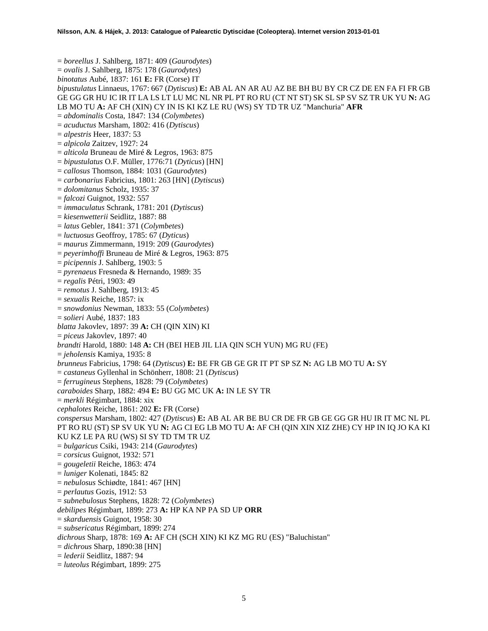= *boreellus* J. Sahlberg, 1871: 409 (*Gaurodytes*) = *ovalis* J. Sahlberg, 1875: 178 (*Gaurodytes*) *binotatus* Aubé, 1837: 161 **E:** FR (Corse) IT *bipustulatus* Linnaeus, 1767: 667 (*Dytiscus*) **E:** AB AL AN AR AU AZ BE BH BU BY CR CZ DE EN FA FI FR GB GE GG GR HU IC IR IT LA LS LT LU MC NL NR PL PT RO RU (CT NT ST) SK SL SP SV SZ TR UK YU **N:** AG LB MO TU **A:** AF CH (XIN) CY IN IS KI KZ LE RU (WS) SY TD TR UZ "Manchuria" **AFR** = *abdominalis* Costa, 1847: 134 (*Colymbetes*) = *acuductus* Marsham, 1802: 416 (*Dytiscus*) = *alpestris* Heer, 1837: 53 = *alpicola* Zaitzev, 1927: 24 = *alticola* Bruneau de Miré & Legros, 1963: 875 = *bipustulatus* O.F. Müller, 1776:71 (*Dyticus*) [HN] = *callosus* Thomson, 1884: 1031 (*Gaurodytes*) = *carbonarius* Fabricius, 1801: 263 [HN] (*Dytiscus*) = *dolomitanus* Scholz, 1935: 37 = *falcozi* Guignot, 1932: 557 = *immaculatus* Schrank, 1781: 201 (*Dytiscus*) = *kiesenwetterii* Seidlitz, 1887: 88 = *latus* Gebler, 1841: 371 (*Colymbetes*) = *luctuosus* Geoffroy, 1785: 67 (*Dyticus*) = *maurus* Zimmermann, 1919: 209 (*Gaurodytes*) = *peyerimhoffi* Bruneau de Miré & Legros, 1963: 875 = *picipennis* J. Sahlberg, 1903: 5 = *pyrenaeus* Fresneda & Hernando, 1989: 35 = *regalis* Pétri, 1903: 49 = *remotus* J. Sahlberg, 1913: 45 = *sexualis* Reiche, 1857: ix = *snowdonius* Newman, 1833: 55 (*Colymbetes*) = *solieri* Aubé, 1837: 183 *blatta* Jakovlev, 1897: 39 **A:** CH (QIN XIN) KI = *piceus* Jakovlev, 1897: 40 *brandti* Harold, 1880: 148 **A:** CH (BEI HEB JIL LIA QIN SCH YUN) MG RU (FE) = *jeholensis* Kamiya, 1935: 8 *brunneus* Fabricius, 1798: 64 (*Dytiscus*) **E:** BE FR GB GE GR IT PT SP SZ **N:** AG LB MO TU **A:** SY = *castaneus* Gyllenhal in Schönherr, 1808: 21 (*Dytiscus*) = *ferrugineus* Stephens, 1828: 79 (*Colymbetes*) *caraboides* Sharp, 1882: 494 **E:** BU GG MC UK **A:** IN LE SY TR = *merkli* Régimbart, 1884: xix *cephalotes* Reiche, 1861: 202 **E:** FR (Corse) *conspersus* Marsham, 1802: 427 (*Dytiscus*) **E:** AB AL AR BE BU CR DE FR GB GE GG GR HU IR IT MC NL PL PT RO RU (ST) SP SV UK YU **N:** AG CI EG LB MO TU **A:** AF CH (QIN XIN XIZ ZHE) CY HP IN IQ JO KA KI KU KZ LE PA RU (WS) SI SY TD TM TR UZ = *bulgaricus* Csiki, 1943: 214 (*Gaurodytes*) = *corsicus* Guignot, 1932: 571 = *gougeletii* Reiche, 1863: 474 = *luniger* Kolenati, 1845: 82 = *nebulosus* Schiødte, 1841: 467 [HN] = *perlautus* Gozis, 1912: 53 = *subnebulosus* Stephens, 1828: 72 (*Colymbetes*) *debilipes* Régimbart, 1899: 273 **A:** HP KA NP PA SD UP **ORR** = *skarduensis* Guignot, 1958: 30 = *subsericatus* Régimbart, 1899: 274 *dichrous* Sharp, 1878: 169 **A:** AF CH (SCH XIN) KI KZ MG RU (ES) "Baluchistan" = *dichrous* Sharp, 1890:38 [HN] = *lederii* Seidlitz, 1887: 94 = *luteolus* Régimbart, 1899: 275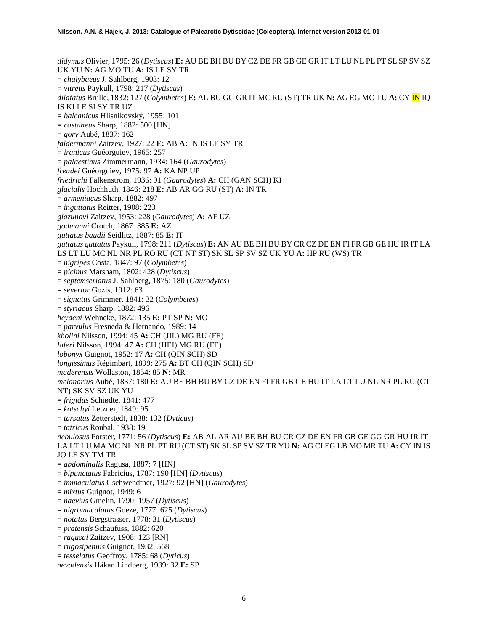*didymus* Olivier, 1795: 26 (*Dytiscus*) **E:** AU BE BH BU BY CZ DE FR GB GE GR IT LT LU NL PL PT SL SP SV SZ UK YU **N:** AG MO TU **A:** IS LE SY TR = *chalybaeus* J. Sahlberg, 1903: 12 = *vitreus* Paykull, 1798: 217 (*Dytiscus*) *dilatatus* Brullé, 1832: 127 (*Colymbetes*) **E:** AL BU GG GR IT MC RU (ST) TR UK **N:** AG EG MO TU **A:** CY IN IQ IS KI LE SI SY TR UZ = *balcanicus* Hlisnikovský, 1955: 101 = *castaneus* Sharp, 1882: 500 [HN] = *gory* Aubé, 1837: 162 *faldermanni* Zaitzev, 1927: 22 **E:** AB **A:** IN IS LE SY TR = *iranicus* Guéorguiev, 1965: 257 = *palaestinus* Zimmermann, 1934: 164 (*Gaurodytes*) *freudei* Guéorguiev, 1975: 97 **A:** KA NP UP *friedrichi* Falkenström, 1936: 91 (*Gaurodytes*) **A:** CH (GAN SCH) KI *glacialis* Hochhuth, 1846: 218 **E:** AB AR GG RU (ST) **A:** IN TR = *armeniacus* Sharp, 1882: 497 = *inguttatus* Reitter, 1908: 223 *glazunovi* Zaitzev, 1953: 228 (*Gaurodytes*) **A:** AF UZ *godmanni* Crotch, 1867: 385 **E:** AZ *guttatus baudii* Seidlitz, 1887: 85 **E:** IT *guttatus guttatus* Paykull, 1798: 211 (*Dytiscus*) **E:** AN AU BE BH BU BY CR CZ DE EN FI FR GB GE HU IR IT LA LS LT LU MC NL NR PL RO RU (CT NT ST) SK SL SP SV SZ UK YU **A:** HP RU (WS) TR = *nigripes* Costa, 1847: 97 (*Colymbetes*) = *picinus* Marsham, 1802: 428 (*Dytiscus*) = *septemseriatus* J. Sahlberg, 1875: 180 (*Gaurodytes*) = *severior* Gozis, 1912: 63 = *signatus* Grimmer, 1841: 32 (*Colymbetes*) = *styriacus* Sharp, 1882: 496 *heydeni* Wehncke, 1872: 135 **E:** PT SP **N:** MO = *parvulus* Fresneda & Hernando, 1989: 14 *kholini* Nilsson, 1994: 45 **A:** CH (JIL) MG RU (FE) *laferi* Nilsson, 1994: 47 **A:** CH (HEI) MG RU (FE) *lobonyx* Guignot, 1952: 17 **A:** CH (QIN SCH) SD *longissimus* Régimbart, 1899: 275 **A:** BT CH (QIN SCH) SD *maderensis* Wollaston, 1854: 85 **N:** MR *melanarius* Aubé, 1837: 180 **E:** AU BE BH BU BY CZ DE EN FI FR GB GE HU IT LA LT LU NL NR PL RU (CT NT) SK SV SZ UK YU = *frigidus* Schiødte, 1841: 477 = *kotschyi* Letzner, 1849: 95 = *tarsatus* Zetterstedt, 1838: 132 (*Dyticus*) = *tatricus* Roubal, 1938: 19 *nebulosus* Forster, 1771: 56 (*Dytiscus*) **E:** AB AL AR AU BE BH BU CR CZ DE EN FR GB GE GG GR HU IR IT LA LT LU MA MC NL NR PL PT RU (CT ST) SK SL SP SV SZ TR YU **N:** AG CI EG LB MO MR TU **A:** CY IN IS JO LE SY TM TR = *abdominalis* Ragusa, 1887: 7 [HN] = *bipunctatus* Fabricius, 1787: 190 [HN] (*Dytiscus*) = *immaculatus* Gschwendtner, 1927: 92 [HN] (*Gaurodytes*) = *mixtus* Guignot, 1949: 6 = *naevius* Gmelin, 1790: 1957 (*Dytiscus*) = *nigromaculatus* Goeze, 1777: 625 (*Dytiscus*) = *notatus* Bergsträsser, 1778: 31 (*Dytiscus*) = *pratensis* Schaufuss, 1882: 620 = *ragusai* Zaitzev, 1908: 123 [RN] = *rugosipennis* Guignot, 1932: 568 = *tesselatus* Geoffroy, 1785: 68 (*Dyticus*)

*nevadensis* Håkan Lindberg, 1939: 32 **E:** SP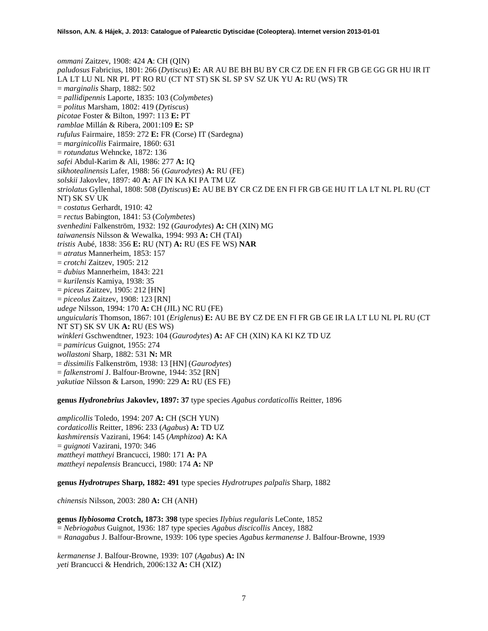*ommani* Zaitzev, 1908: 424 **A**: CH (QIN) *paludosus* Fabricius, 1801: 266 (*Dytiscus*) **E:** AR AU BE BH BU BY CR CZ DE EN FI FR GB GE GG GR HU IR IT LA LT LU NL NR PL PT RO RU (CT NT ST) SK SL SP SV SZ UK YU **A:** RU (WS) TR = *marginalis* Sharp, 1882: 502 = *pallidipennis* Laporte, 1835: 103 (*Colymbetes*) = *politus* Marsham, 1802: 419 (*Dytiscus*) *picotae* Foster & Bilton, 1997: 113 **E:** PT *ramblae* Millán & Ribera, 2001:109 **E:** SP *rufulus* Fairmaire, 1859: 272 **E:** FR (Corse) IT (Sardegna) = *marginicollis* Fairmaire, 1860: 631 = *rotundatus* Wehncke, 1872: 136 *safei* Abdul-Karim & Ali, 1986: 277 **A:** IQ *sikhotealinensis* Lafer, 1988: 56 (*Gaurodytes*) **A:** RU (FE) *solskii* Jakovlev, 1897: 40 **A:** AF IN KA KI PA TM UZ *striolatus* Gyllenhal, 1808: 508 (*Dytiscus*) **E:** AU BE BY CR CZ DE EN FI FR GB GE HU IT LA LT NL PL RU (CT NT) SK SV UK = *costatus* Gerhardt, 1910: 42 = *rectus* Babington, 1841: 53 (*Colymbetes*) *svenhedini* Falkenström, 1932: 192 (*Gaurodytes*) **A:** CH (XIN) MG *taiwanensis* Nilsson & Wewalka, 1994: 993 **A:** CH (TAI) *tristis* Aubé, 1838: 356 **E:** RU (NT) **A:** RU (ES FE WS) **NAR** = *atratus* Mannerheim, 1853: 157 = *crotchi* Zaitzev, 1905: 212 = *dubius* Mannerheim, 1843: 221 = *kurilensis* Kamiya, 1938: 35 = *piceu*s Zaitzev, 1905: 212 [HN] = *piceolus* Zaitzev, 1908: 123 [RN] *udege* Nilsson, 1994: 170 **A:** CH (JIL) NC RU (FE) *unguicularis* Thomson, 1867: 101 (*Eriglenus*) **E:** AU BE BY CZ DE EN FI FR GB GE IR LA LT LU NL PL RU (CT NT ST) SK SV UK **A:** RU (ES WS) *winkleri* Gschwendtner, 1923: 104 (*Gaurodytes*) **A:** AF CH (XIN) KA KI KZ TD UZ = *pamiricus* Guignot, 1955: 274 *wollastoni* Sharp, 1882: 531 **N:** MR = *dissimilis* Falkenström, 1938: 13 [HN] (*Gaurodytes*) = *falkenstromi* J. Balfour-Browne, 1944: 352 [RN] *yakutiae* Nilsson & Larson, 1990: 229 **A:** RU (ES FE)

**genus** *Hydronebrius* **Jakovlev, 1897: 37** type species *Agabus cordaticollis* Reitter, 1896

*amplicollis* Toledo, 1994: 207 **A:** CH (SCH YUN) *cordaticollis* Reitter, 1896: 233 (*Agabus*) **A:** TD UZ *kashmirensis* Vazirani, 1964: 145 (*Amphizoa*) **A:** KA = *guignoti* Vazirani, 1970: 346 *mattheyi mattheyi* Brancucci, 1980: 171 **A:** PA *mattheyi nepalensis* Brancucci, 1980: 174 **A:** NP

**genus** *Hydrotrupes* **Sharp, 1882: 491** type species *Hydrotrupes palpalis* Sharp, 1882

*chinensis* Nilsson, 2003: 280 **A:** CH (ANH)

**genus** *Ilybiosoma* **Crotch, 1873: 398** type species *Ilybius regularis* LeConte, 1852 = *Nebriogabus* Guignot, 1936: 187 type species *Agabus discicollis* Ancey, 1882 = *Ranagabus* J. Balfour-Browne, 1939: 106 type species *Agabus kermanense* J. Balfour-Browne, 1939

*kermanense* J. Balfour-Browne, 1939: 107 (*Agabus*) **A:** IN *yeti* Brancucci & Hendrich, 2006:132 **A:** CH (XIZ)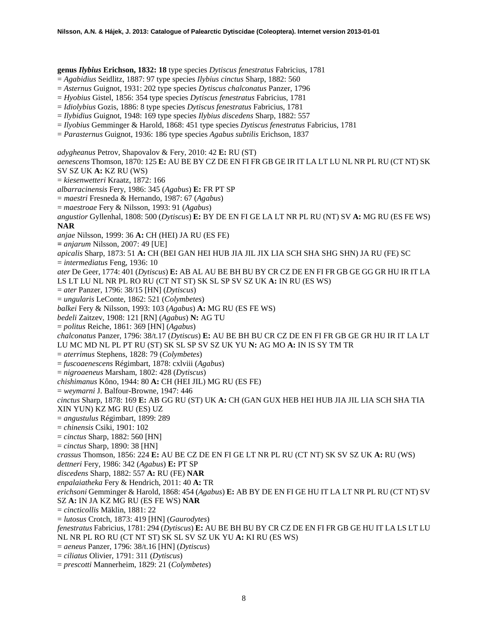**genus** *Ilybius* **Erichson, 1832: 18** type species *Dytiscus fenestratus* Fabricius, 1781

= *Agabidius* Seidlitz, 1887: 97 type species *Ilybius cinctus* Sharp, 1882: 560

= *Asternus* Guignot, 1931: 202 type species *Dytiscus chalconatus* Panzer, 1796

= *Hyobius* Gistel, 1856: 354 type species *Dytiscus fenestratus* Fabricius, 1781

= *Idiolybius* Gozis, 1886: 8 type species *Dytiscus fenestratus* Fabricius, 1781

= *Ilybidius* Guignot, 1948: 169 type species *Ilybius discedens* Sharp, 1882: 557

= *Ilyobius* Gemminger & Harold, 1868: 451 type species *Dytiscus fenestratus* Fabricius, 1781

= *Parasternus* Guignot, 1936: 186 type species *Agabus subtilis* Erichson, 1837

*adygheanus* Petrov, Shapovalov & Fery, 2010: 42 **E:** RU (ST)

*aenescens* Thomson, 1870: 125 **E:** AU BE BY CZ DE EN FI FR GB GE IR IT LA LT LU NL NR PL RU (CT NT) SK SV SZ UK **A:** KZ RU (WS)

= *kiesenwetteri* Kraatz, 1872: 166

*albarracinensis* Fery, 1986: 345 (*Agabus*) **E:** FR PT SP

= *maestri* Fresneda & Hernando, 1987: 67 (*Agabus*)

= *maestroae* Fery & Nilsson, 1993: 91 (*Agabus*)

*angustior* Gyllenhal, 1808: 500 (*Dytiscus*) **E:** BY DE EN FI GE LA LT NR PL RU (NT) SV **A:** MG RU (ES FE WS) **NAR**

*anjae* Nilsson, 1999: 36 **A:** CH (HEI) JA RU (ES FE)

**=** *anjarum* Nilsson, 2007: 49 [UE]

*apicalis* Sharp, 1873: 51 **A:** CH (BEI GAN HEI HUB JIA JIL JIX LIA SCH SHA SHG SHN) JA RU (FE) SC

= *intermediatus* Feng, 1936: 10

*ater* De Geer, 1774: 401 (*Dytiscus*) **E:** AB AL AU BE BH BU BY CR CZ DE EN FI FR GB GE GG GR HU IR IT LA

LS LT LU NL NR PL RO RU (CT NT ST) SK SL SP SV SZ UK **A:** IN RU (ES WS)

- = *ater* Panzer, 1796: 38/15 [HN] (*Dytiscus*)
- = *ungularis* LeConte, 1862: 521 (*Colymbetes*)

*balkei* Fery & Nilsson, 1993: 103 (*Agabus*) **A:** MG RU (ES FE WS)

*bedeli* Zaitzev, 1908: 121 [RN] (*Agabus*) **N:** AG TU

= *politus* Reiche, 1861: 369 [HN] (*Agabus*)

*chalconatus* Panzer, 1796: 38/t.17 (*Dytiscus*) **E:** AU BE BH BU CR CZ DE EN FI FR GB GE GR HU IR IT LA LT LU MC MD NL PL PT RU (ST) SK SL SP SV SZ UK YU **N:** AG MO **A:** IN IS SY TM TR

= *aterrimus* Stephens, 1828: 79 (*Colymbetes*)

= *fuscoaenescens* Régimbart, 1878: cxlviii (*Agabus*)

= *nigroaeneus* Marsham, 1802: 428 (*Dytiscus*)

*chishimanus* Kôno, 1944: 80 **A:** CH (HEI JIL) MG RU (ES FE)

= *weymarni* J. Balfour-Browne, 1947: 446

*cinctus* Sharp, 1878: 169 **E:** AB GG RU (ST) UK **A:** CH (GAN GUX HEB HEI HUB JIA JIL LIA SCH SHA TIA XIN YUN) KZ MG RU (ES) UZ

= *angustulus* Régimbart, 1899: 289

= *chinensis* Csiki, 1901: 102

= *cinctus* Sharp, 1882: 560 [HN]

= *cinctus* Sharp, 1890: 38 [HN]

*crassus* Thomson, 1856: 224 **E:** AU BE CZ DE EN FI GE LT NR PL RU (CT NT) SK SV SZ UK **A:** RU (WS)

*dettneri* Fery, 1986: 342 (*Agabus*) **E:** PT SP

*discedens* Sharp, 1882: 557 **A:** RU (FE) **NAR**

*enpalaiatheka* Fery & Hendrich, 2011: 40 **A:** TR

*erichsoni* Gemminger & Harold, 1868: 454 (*Agabus*) **E:** AB BY DE EN FI GE HU IT LA LT NR PL RU (CT NT) SV SZ **A:** IN JA KZ MG RU (ES FE WS) **NAR**

= *cincticollis* Mäklin, 1881: 22

= *lutosus* Crotch, 1873: 419 [HN] (*Gaurodytes*)

*fenestratus* Fabricius, 1781: 294 (*Dytiscus*) **E:** AU BE BH BU BY CR CZ DE EN FI FR GB GE HU IT LA LS LT LU NL NR PL RO RU (CT NT ST) SK SL SV SZ UK YU **A:** KI RU (ES WS)

= *aeneus* Panzer, 1796: 38/t.16 [HN] (*Dytiscus*)

= *ciliatus* Olivier, 1791: 311 (*Dytiscus*)

= *prescotti* Mannerheim, 1829: 21 (*Colymbetes*)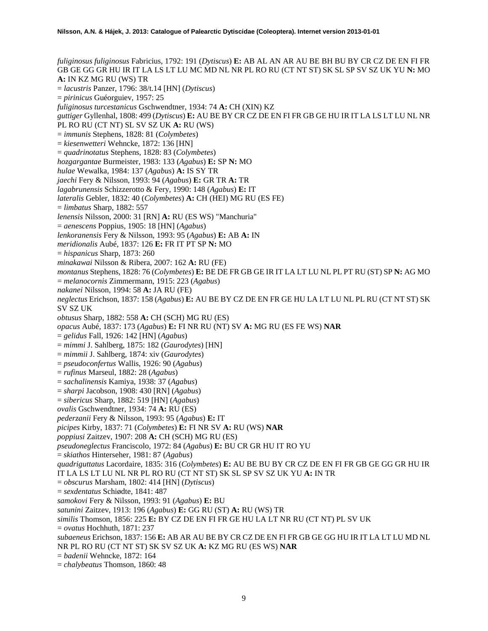*fuliginosus fuliginosus* Fabricius, 1792: 191 (*Dytiscus*) **E:** AB AL AN AR AU BE BH BU BY CR CZ DE EN FI FR GB GE GG GR HU IR IT LA LS LT LU MC MD NL NR PL RO RU (CT NT ST) SK SL SP SV SZ UK YU **N:** MO **A:** IN KZ MG RU (WS) TR = *lacustris* Panzer, 1796: 38/t.14 [HN] (*Dytiscus*) = *pirinicus* Guéorguiev, 1957: 25 *fuliginosus turcestanicus* Gschwendtner, 1934: 74 **A:** CH (XIN) KZ *guttiger* Gyllenhal, 1808: 499 (*Dytiscus*) **E:** AU BE BY CR CZ DE EN FI FR GB GE HU IR IT LA LS LT LU NL NR PL RO RU (CT NT) SL SV SZ UK **A:** RU (WS) = *immunis* Stephens, 1828: 81 (*Colymbetes*) = *kiesenwetteri* Wehncke, 1872: 136 [HN] = *quadrinotatus* Stephens, 1828: 83 (*Colymbetes*) *hozgargantae* Burmeister, 1983: 133 (*Agabus*) **E:** SP **N:** MO *hulae* Wewalka, 1984: 137 (*Agabus*) **A:** IS SY TR *jaechi* Fery & Nilsson, 1993: 94 (*Agabus*) **E:** GR TR **A:** TR *lagabrunensis* Schizzerotto & Fery, 1990: 148 (*Agabus*) **E:** IT *lateralis* Gebler, 1832: 40 (*Colymbetes*) **A:** CH (HEI) MG RU (ES FE) = *limbatus* Sharp, 1882: 557 *lenensis* Nilsson, 2000: 31 [RN] **A:** RU (ES WS) "Manchuria" = *aenescens* Poppius, 1905: 18 [HN] (*Agabus*) *lenkoranensis* Fery & Nilsson, 1993: 95 (*Agabus*) **E:** AB **A:** IN *meridionalis* Aubé, 1837: 126 **E:** FR IT PT SP **N:** MO = *hispanicus* Sharp, 1873: 260 *minakawai* Nilsson & Ribera, 2007: 162 **A:** RU (FE) *montanus* Stephens, 1828: 76 (*Colymbetes*) **E:** BE DE FR GB GE IR IT LA LT LU NL PL PT RU (ST) SP **N:** AG MO = *melanocornis* Zimmermann, 1915: 223 (*Agabus*) *nakanei* Nilsson, 1994: 58 **A:** JA RU (FE) *neglectus* Erichson, 1837: 158 (*Agabus*) **E:** AU BE BY CZ DE EN FR GE HU LA LT LU NL PL RU (CT NT ST) SK SV SZ UK *obtusus* Sharp, 1882: 558 **A:** CH (SCH) MG RU (ES) *opacus* Aubé, 1837: 173 (*Agabus*) **E:** FI NR RU (NT) SV **A:** MG RU (ES FE WS) **NAR** = *gelidus* Fall, 1926: 142 [HN] (*Agabus*) = *mimmi* J. Sahlberg, 1875: 182 (*Gaurodytes*) [HN] = *mimmii* J. Sahlberg, 1874: xiv (*Gaurodytes*) = *pseudoconfertus* Wallis, 1926: 90 (*Agabus*) = *rufinus* Marseul, 1882: 28 (*Agabus*) = *sachalinensis* Kamiya, 1938: 37 (*Agabus*) = *sharpi* Jacobson, 1908: 430 [RN] (*Agabus*) = *sibericus* Sharp, 1882: 519 [HN] (*Agabus*) *ovalis* Gschwendtner, 1934: 74 **A:** RU (ES) *pederzanii* Fery & Nilsson, 1993: 95 (*Agabus*) **E:** IT *picipes* Kirby, 1837: 71 (*Colymbetes*) **E:** FI NR SV **A:** RU (WS) **NAR** *poppiusi* Zaitzev, 1907: 208 **A:** CH (SCH) MG RU (ES) *pseudoneglectus* Franciscolo, 1972: 84 (*Agabus*) **E:** BU CR GR HU IT RO YU = *skiathos* Hinterseher, 1981: 87 (*Agabus*) *quadriguttatus* Lacordaire, 1835: 316 (*Colymbetes*) **E:** AU BE BU BY CR CZ DE EN FI FR GB GE GG GR HU IR IT LA LS LT LU NL NR PL RO RU (CT NT ST) SK SL SP SV SZ UK YU **A:** IN TR = *obscurus* Marsham, 1802: 414 [HN] (*Dytiscus*) = *sexdentatus* Schiødte, 1841: 487 *samokovi* Fery & Nilsson, 1993: 91 (*Agabus*) **E:** BU *satunini* Zaitzev, 1913: 196 (*Agabus*) **E:** GG RU (ST) **A:** RU (WS) TR *similis* Thomson, 1856: 225 **E:** BY CZ DE EN FI FR GE HU LA LT NR RU (CT NT) PL SV UK  $=$  *ovatus* Hochhuth, 1871: 237 *subaeneus* Erichson, 1837: 156 **E:** AB AR AU BE BY CR CZ DE EN FI FR GB GE GG HU IR IT LA LT LU MD NL NR PL RO RU (CT NT ST) SK SV SZ UK **A:** KZ MG RU (ES WS) **NAR** = *badenii* Wehncke, 1872: 164

= *chalybeatus* Thomson, 1860: 48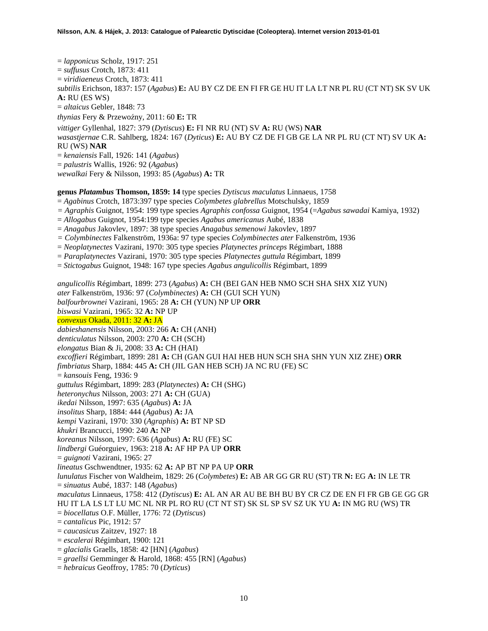= *lapponicus* Scholz, 1917: 251 = *suffusus* Crotch, 1873: 411 = *viridiaeneus* Crotch, 1873: 411 *subtilis* Erichson, 1837: 157 (*Agabus*) **E:** AU BY CZ DE EN FI FR GE HU IT LA LT NR PL RU (CT NT) SK SV UK **A:** RU (ES WS) = *altaicus* Gebler, 1848: 73 *thynias* Fery & Przewoźny, 2011: 60 E: TR *vittiger* Gyllenhal, 1827: 379 (*Dytiscus*) **E:** FI NR RU (NT) SV **A:** RU (WS) **NAR** *wasastjernae* C.R. Sahlberg, 1824: 167 (*Dyticus*) **E:** AU BY CZ DE FI GB GE LA NR PL RU (CT NT) SV UK **A:**  RU (WS) **NAR** = *kenaiensis* Fall, 1926: 141 (*Agabus*) = *palustris* Wallis, 1926: 92 (*Agabus*) *wewalkai* Fery & Nilsson, 1993: 85 (*Agabus*) **A:** TR

**genus** *Platambus* **Thomson, 1859: 14** type species *Dytiscus maculatus* Linnaeus, 1758

= *Agabinus* Crotch, 1873:397 type species *Colymbetes glabrellus* Motschulsky, 1859

- *= Agraphis* Guignot, 1954: 199 type species *Agraphis confossa* Guignot, 1954 (=*Agabus sawadai* Kamiya, 1932)
- = *Allogabus* Guignot, 1954:199 type species *Agabus americanus* Aubé, 1838
- = *Anagabus* Jakovlev, 1897: 38 type species *Anagabus semenowi* Jakovlev, 1897
- *= Colymbinectes* Falkenström, 1936a: 97 type species *Colymbinectes ater* Falkenström, 1936
- = *Neoplatynectes* Vazirani, 1970: 305 type species *Platynectes princeps* Régimbart, 1888
- = *Paraplatynectes* Vazirani, 1970: 305 type species *Platynectes guttula* Régimbart, 1899
- = *Stictogabus* Guignot, 1948: 167 type species *Agabus angulicollis* Régimbart, 1899

*angulicollis* Régimbart, 1899: 273 (*Agabus*) **A:** CH (BEI GAN HEB NMO SCH SHA SHX XIZ YUN) *ater* Falkenström, 1936: 97 (*Colymbinectes*) **A:** CH (GUI SCH YUN) *balfourbrownei* Vazirani, 1965: 28 **A:** CH (YUN) NP UP **ORR** *biswasi* Vazirani, 1965: 32 **A:** NP UP *convexus* Okada, 2011: 32 **A:** JA *dabieshanensis* Nilsson, 2003: 266 **A:** CH (ANH) *denticulatus* Nilsson, 2003: 270 **A:** CH (SCH) *elongatus* Bian & Ji, 2008: 33 **A:** CH (HAI) *excoffieri* Régimbart, 1899: 281 **A:** CH (GAN GUI HAI HEB HUN SCH SHA SHN YUN XIZ ZHE) **ORR** *fimbriatus* Sharp, 1884: 445 **A:** CH (JIL GAN HEB SCH) JA NC RU (FE) SC = *kansouis* Feng, 1936: 9 *guttulus* Régimbart, 1899: 283 (*Platynectes*) **A:** CH (SHG) *heteronychus* Nilsson, 2003: 271 **A:** CH (GUA) *ikedai* Nilsson, 1997: 635 (*Agabus*) **A:** JA *insolitus* Sharp, 1884: 444 (*Agabus*) **A:** JA *kempi* Vazirani, 1970: 330 (*Agraphis*) **A:** BT NP SD *khukri* Brancucci, 1990: 240 **A:** NP *koreanus* Nilsson, 1997: 636 (*Agabus*) **A:** RU (FE) SC *lindbergi* Guéorguiev, 1963: 218 **A:** AF HP PA UP **ORR** = *guignoti* Vazirani, 1965: 27 *lineatus* Gschwendtner, 1935: 62 **A:** AP BT NP PA UP **ORR** *lunulatus* Fischer von Waldheim, 1829: 26 (*Colymbetes*) **E:** AB AR GG GR RU (ST) TR **N:** EG **A:** IN LE TR = *sinuatus* Aubé, 1837: 148 (*Agabus*) *maculatus* Linnaeus, 1758: 412 (*Dytiscus*) **E:** AL AN AR AU BE BH BU BY CR CZ DE EN FI FR GB GE GG GR HU IT LA LS LT LU MC NL NR PL RO RU (CT NT ST) SK SL SP SV SZ UK YU **A:** IN MG RU (WS) TR = *biocellatus* O.F. Müller, 1776: 72 (*Dytiscus*) = *cantalicus* Pic, 1912: 57 = *caucasicus* Zaitzev, 1927: 18 = *escalerai* Régimbart, 1900: 121 = *glacialis* Graells, 1858: 42 [HN] (*Agabus*) = *graellsi* Gemminger & Harold, 1868: 455 [RN] (*Agabus*)

= *hebraicus* Geoffroy, 1785: 70 (*Dyticus*)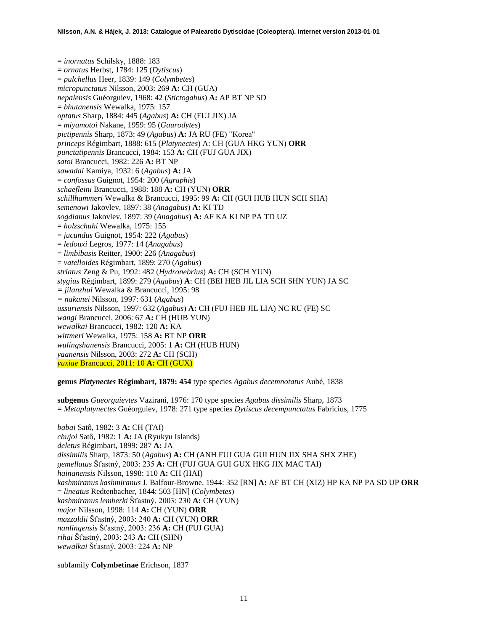= *inornatus* Schilsky, 1888: 183 = *ornatus* Herbst, 1784: 125 (*Dytiscus*) = *pulchellus* Heer, 1839: 149 (*Colymbetes*) *micropunctatus* Nilsson, 2003: 269 **A:** CH (GUA) *nepalensis* Guéorguiev, 1968: 42 (*Stictogabus*) **A:** AP BT NP SD = *bhutanensis* Wewalka, 1975: 157 *optatus* Sharp, 1884: 445 (*Agabus*) **A:** CH (FUJ JIX) JA = *miyamotoi* Nakane, 1959: 95 (*Gaurodytes*) *pictipennis* Sharp, 1873: 49 (*Agabus*) **A:** JA RU (FE) "Korea" *princeps* Régimbart, 1888: 615 (*Platynectes*) A: CH (GUA HKG YUN) **ORR** *punctatipennis* Brancucci, 1984: 153 **A:** CH (FUJ GUA JIX) *satoi* Brancucci, 1982: 226 **A:** BT NP *sawadai* Kamiya, 1932: 6 (*Agabus*) **A:** JA = *confossus* Guignot, 1954: 200 (*Agraphis*) *schaefleini* Brancucci, 1988: 188 **A:** CH (YUN) **ORR** *schillhammeri* Wewalka & Brancucci, 1995: 99 **A:** CH (GUI HUB HUN SCH SHA) *semenowi* Jakovlev, 1897: 38 (*Anagabus*) **A:** KI TD *sogdianus* Jakovlev, 1897: 39 (*Anagabus*) **A:** AF KA KI NP PA TD UZ = *holzschuhi* Wewalka, 1975: 155 = *jucundus* Guignot, 1954: 222 (*Agabus*) = *ledouxi* Legros, 1977: 14 (*Anagabus*) = *limbibasis* Reitter, 1900: 226 (*Anagabus*) = *vatelloides* Régimbart, 1899: 270 (*Agabus*) *striatus* Zeng & Pu, 1992: 482 (*Hydronebrius*) **A:** CH (SCH YUN) *stygius* Régimbart, 1899: 279 (*Agabus*) **A**: CH (BEI HEB JIL LIA SCH SHN YUN) JA SC *= jilanzhui* Wewalka & Brancucci, 1995: 98 *= nakanei* Nilsson, 1997: 631 (*Agabus*) *ussuriensis* Nilsson, 1997: 632 (*Agabus*) **A:** CH (FUJ HEB JIL LIA) NC RU (FE) SC *wangi* Brancucci, 2006: 67 **A:** CH (HUB YUN) *wewalkai* Brancucci, 1982: 120 **A:** KA *wittmeri* Wewalka, 1975: 158 **A:** BT NP **ORR** *wulingshanensis* Brancucci, 2005: 1 **A:** CH (HUB HUN) *yaanensis* Nilsson, 2003: 272 **A:** CH (SCH) *yuxiae* Brancucci, 2011: 10 **A:** CH (GUX)

**genus** *Platynectes* **Régimbart, 1879: 454** type species *Agabus decemnotatus* Aubé, 1838

**subgenus** *Gueorguievtes* Vazirani, 1976: 170 type species *Agabus dissimilis* Sharp, 1873 = *Metaplatynectes* Guéorguiev, 1978: 271 type species *Dytiscus decempunctatus* Fabricius, 1775

*babai* Satô, 1982: 3 **A:** CH (TAI) *chujoi* Satô, 1982: 1 **A:** JA (Ryukyu Islands) *deletus* Régimbart, 1899: 287 **A:** JA *dissimilis* Sharp, 1873: 50 (*Agabus*) **A:** CH (ANH FUJ GUA GUI HUN JIX SHA SHX ZHE) *gemellatus* Šťastný, 2003: 235 **A:** CH (FUJ GUA GUI GUX HKG JIX MAC TAI) *hainanensis* Nilsson, 1998: 110 **A:** CH (HAI) *kashmiranus kashmiranus* J. Balfour-Browne, 1944: 352 [RN] **A:** AF BT CH (XIZ) HP KA NP PA SD UP **ORR** = *lineatus* Redtenbacher, 1844: 503 [HN] (*Colymbetes*) *kashmiranus lemberki* Šťastný, 2003: 230 **A:** CH (YUN) *major* Nilsson, 1998: 114 **A:** CH (YUN) **ORR** *mazzoldii* Šťastný, 2003: 240 **A:** CH (YUN) **ORR** *nanlingensis* Šťastný, 2003: 236 **A:** CH (FUJ GUA) *rihai* Šťastný, 2003: 243 **A:** CH (SHN) *wewalkai* Šťastný, 2003: 224 **A:** NP

subfamily **Colymbetinae** Erichson, 1837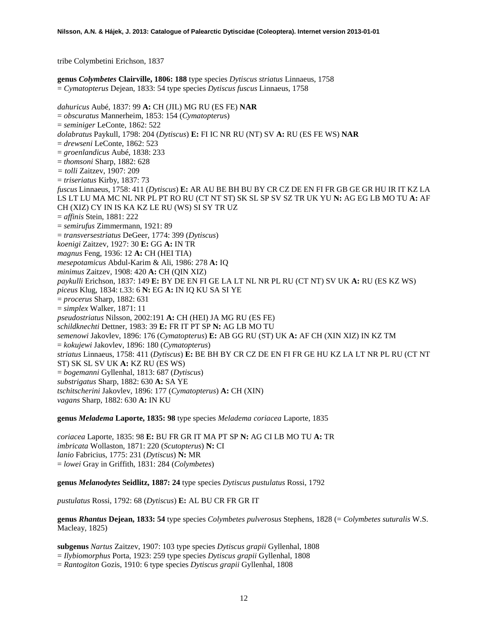tribe Colymbetini Erichson, 1837

**genus** *Colymbetes* **Clairville, 1806: 188** type species *Dytiscus striatus* Linnaeus, 1758 = *Cymatopterus* Dejean, 1833: 54 type species *Dytiscus fuscus* Linnaeus, 1758

*dahuricus* Aubé, 1837: 99 **A:** CH (JIL) MG RU (ES FE) **NAR** = *obscuratus* Mannerheim, 1853: 154 (*Cymatopteru*s) = *seminiger* LeConte, 1862: 522 *dolabratus* Paykull, 1798: 204 (*Dytiscus*) **E:** FI IC NR RU (NT) SV **A:** RU (ES FE WS) **NAR** = *drewseni* LeConte, 1862: 523 = *groenlandicus* Aubé, 1838: 233 = *thomsoni* Sharp, 1882: 628 *= tolli* Zaitzev, 1907: 209 = *triseriatus* Kirby, 1837: 73 *fuscus* Linnaeus, 1758: 411 (*Dytiscus*) **E:** AR AU BE BH BU BY CR CZ DE EN FI FR GB GE GR HU IR IT KZ LA LS LT LU MA MC NL NR PL PT RO RU (CT NT ST) SK SL SP SV SZ TR UK YU **N:** AG EG LB MO TU **A:** AF CH (XIZ) CY IN IS KA KZ LE RU (WS) SI SY TR UZ = *affinis* Stein, 1881: 222 = *semirufus* Zimmermann, 1921: 89 = *transversestriatus* DeGeer, 1774: 399 (*Dytiscus*) *koenigi* Zaitzev, 1927: 30 **E:** GG **A:** IN TR *magnus* Feng, 1936: 12 **A:** CH (HEI TIA) *mesepotamicus* Abdul-Karim & Ali, 1986: 278 **A:** IQ *minimus* Zaitzev, 1908: 420 **A:** CH (QIN XIZ) *paykulli* Erichson, 1837: 149 **E:** BY DE EN FI GE LA LT NL NR PL RU (CT NT) SV UK **A:** RU (ES KZ WS) *piceus* Klug, 1834: t.33: 6 **N:** EG **A:** IN IQ KU SA SI YE = *procerus* Sharp, 1882: 631 = *simplex* Walker, 1871: 11 *pseudostriatus* Nilsson, 2002:191 **A:** CH (HEI) JA MG RU (ES FE) *schildknechti* Dettner, 1983: 39 **E:** FR IT PT SP **N:** AG LB MO TU *semenowi* Jakovlev, 1896: 176 (*Cymatopterus*) **E:** AB GG RU (ST) UK **A:** AF CH (XIN XIZ) IN KZ TM = *kokujewi* Jakovlev, 1896: 180 (*Cymatopterus*) *striatus* Linnaeus, 1758: 411 (*Dytiscus*) **E:** BE BH BY CR CZ DE EN FI FR GE HU KZ LA LT NR PL RU (CT NT ST) SK SL SV UK **A:** KZ RU (ES WS) = *bogemanni* Gyllenhal, 1813: 687 (*Dytiscus*) *substrigatus* Sharp, 1882: 630 **A:** SA YE *tschitscherini* Jakovlev, 1896: 177 (*Cymatopterus*) **A:** CH (XIN) *vagans* Sharp, 1882: 630 **A:** IN KU

**genus** *Meladema* **Laporte, 1835: 98** type species *Meladema coriacea* Laporte, 1835

*coriacea* Laporte, 1835: 98 **E:** BU FR GR IT MA PT SP **N:** AG CI LB MO TU **A:** TR *imbricata* Wollaston, 1871: 220 (*Scutopterus*) **N:** CI *lanio* Fabricius, 1775: 231 (*Dytiscus*) **N:** MR = *lowei* Gray in Griffith, 1831: 284 (*Colymbetes*)

**genus** *Melanodytes* **Seidlitz, 1887: 24** type species *Dytiscus pustulatus* Rossi, 1792

*pustulatus* Rossi, 1792: 68 (*Dytiscus*) **E:** AL BU CR FR GR IT

**genus** *Rhantus* **Dejean, 1833: 54** type species *Colymbetes pulverosus* Stephens, 1828 (= *Colymbetes suturalis* W.S. Macleay, 1825)

**subgenus** *Nartus* Zaitzev, 1907: 103 type species *Dytiscus grapii* Gyllenhal, 1808

= *Ilybiomorphus* Porta, 1923: 259 type species *Dytiscus grapii* Gyllenhal, 1808

= *Rantogiton* Gozis, 1910: 6 type species *Dytiscus grapii* Gyllenhal, 1808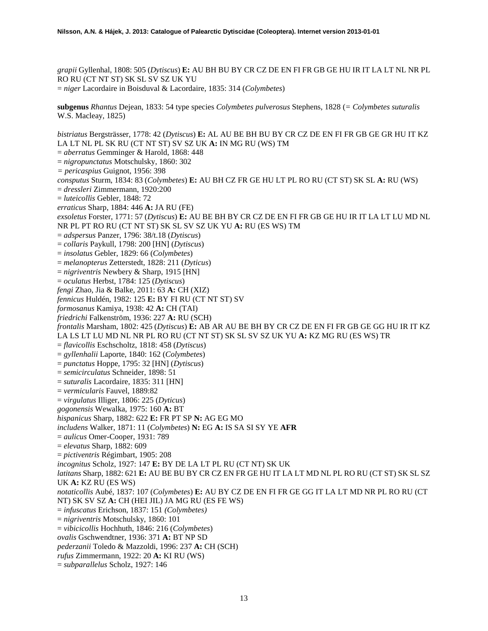*grapii* Gyllenhal, 1808: 505 (*Dytiscus*) **E:** AU BH BU BY CR CZ DE EN FI FR GB GE HU IR IT LA LT NL NR PL RO RU (CT NT ST) SK SL SV SZ UK YU = *niger* Lacordaire in Boisduval & Lacordaire, 1835: 314 (*Colymbetes*)

**subgenus** *Rhantus* Dejean, 1833: 54 type species *Colymbetes pulverosus* Stephens, 1828 (*= Colymbetes suturalis* W.S. Macleay, 1825)

*bistriatus* Bergsträsser, 1778: 42 (*Dytiscus*) **E:** AL AU BE BH BU BY CR CZ DE EN FI FR GB GE GR HU IT KZ LA LT NL PL SK RU (CT NT ST) SV SZ UK **A:** IN MG RU (WS) TM = *aberratus* Gemminger & Harold, 1868: 448 = *nigropunctatus* Motschulsky, 1860: 302 *= pericaspius* Guignot, 1956: 398 *consputus* Sturm, 1834: 83 (*Colymbetes*) **E:** AU BH CZ FR GE HU LT PL RO RU (CT ST) SK SL **A:** RU (WS) = *dressleri* Zimmermann, 1920:200 = *luteicollis* Gebler, 1848: 72 *erraticus* Sharp, 1884: 446 **A:** JA RU (FE) *exsoletus* Forster, 1771: 57 (*Dytiscus*) **E:** AU BE BH BY CR CZ DE EN FI FR GB GE HU IR IT LA LT LU MD NL NR PL PT RO RU (CT NT ST) SK SL SV SZ UK YU **A:** RU (ES WS) TM = *adspersus* Panzer, 1796: 38/t.18 (*Dytiscus*) = *collaris* Paykull, 1798: 200 [HN] (*Dytiscus*) = *insolatus* Gebler, 1829: 66 (*Colymbetes*) = *melanopterus* Zetterstedt, 1828: 211 (*Dyticus*) = *nigriventris* Newbery & Sharp, 1915 [HN] = *oculatus* Herbst, 1784: 125 (*Dytiscus*) *fengi* Zhao, Jia & Balke, 2011: 63 **A:** CH (XIZ) *fennicus* Huldén, 1982: 125 **E:** BY FI RU (CT NT ST) SV *formosanus* Kamiya, 1938: 42 **A:** CH (TAI) *friedrichi* Falkenström, 1936: 227 **A:** RU (SCH) *frontalis* Marsham, 1802: 425 (*Dytiscus*) **E:** AB AR AU BE BH BY CR CZ DE EN FI FR GB GE GG HU IR IT KZ LA LS LT LU MD NL NR PL RO RU (CT NT ST) SK SL SV SZ UK YU **A:** KZ MG RU (ES WS) TR = *flavicollis* Eschscholtz, 1818: 458 (*Dytiscus*) = *gyllenhalii* Laporte, 1840: 162 (*Colymbetes*) = *punctatus* Hoppe, 1795: 32 [HN] (*Dytiscus*) = *semicirculatus* Schneider, 1898: 51 = *suturalis* Lacordaire, 1835: 311 [HN] = *vermicularis* Fauvel, 1889:82 = *virgulatus* Illiger, 1806: 225 (*Dyticus*) *gogonensis* Wewalka, 1975: 160 **A:** BT *hispanicus* Sharp, 1882: 622 **E:** FR PT SP **N:** AG EG MO *includens* Walker, 1871: 11 (*Colymbetes*) **N:** EG **A:** IS SA SI SY YE **AFR** = *aulicus* Omer-Cooper, 1931: 789 = *elevatus* Sharp, 1882: 609 = *pictiventris* Régimbart, 1905: 208 *incognitus* Scholz, 1927: 147 **E:** BY DE LA LT PL RU (CT NT) SK UK *latitans* Sharp, 1882: 621 **E:** AU BE BU BY CR CZ EN FR GE HU IT LA LT MD NL PL RO RU (CT ST) SK SL SZ UK **A:** KZ RU (ES WS) *notaticollis* Aubé, 1837: 107 (*Colymbetes*) **E:** AU BY CZ DE EN FI FR GE GG IT LA LT MD NR PL RO RU (CT NT) SK SV SZ **A:** CH (HEI JIL) JA MG RU (ES FE WS) = *infuscatus* Erichson, 1837: 151 *(Colymbetes)* = *nigriventris* Motschulsky, 1860: 101 = *vibicicollis* Hochhuth, 1846: 216 (*Colymbetes*) *ovalis* Gschwendtner, 1936: 371 **A:** BT NP SD *pederzanii* Toledo & Mazzoldi, 1996: 237 **A:** CH (SCH) *rufus* Zimmermann, 1922: 20 **A:** KI RU (WS) = *subparallelus* Scholz, 1927: 146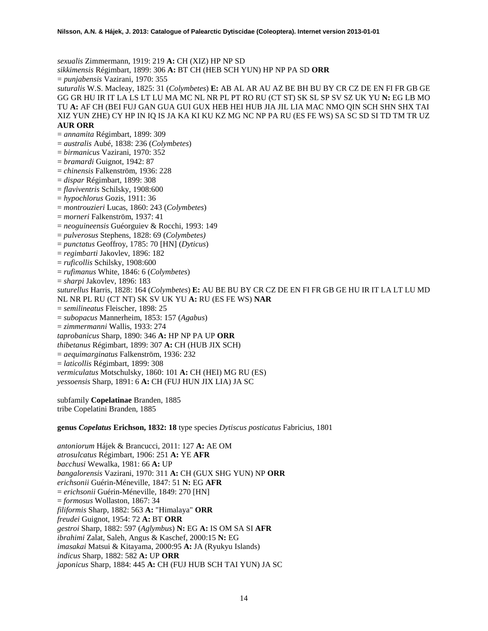*sexualis* Zimmermann, 1919: 219 **A:** CH (XIZ) HP NP SD

*sikkimensis* Régimbart, 1899: 306 **A:** BT CH (HEB SCH YUN) HP NP PA SD **ORR**

= *punjabensis* Vazirani, 1970: 355

*suturalis* W.S. Macleay, 1825: 31 (*Colymbetes*) **E:** AB AL AR AU AZ BE BH BU BY CR CZ DE EN FI FR GB GE GG GR HU IR IT LA LS LT LU MA MC NL NR PL PT RO RU (CT ST) SK SL SP SV SZ UK YU **N:** EG LB MO TU **A:** AF CH (BEI FUJ GAN GUA GUI GUX HEB HEI HUB JIA JIL LIA MAC NMO QIN SCH SHN SHX TAI XIZ YUN ZHE) CY HP IN IQ IS JA KA KI KU KZ MG NC NP PA RU (ES FE WS) SA SC SD SI TD TM TR UZ **AUR ORR**

- = *annamita* Régimbart, 1899: 309 = *australis* Aubé, 1838: 236 (*Colymbetes*)
- = *birmanicus* Vazirani, 1970: 352
- = *bramardi* Guignot, 1942: 87
- 
- = *chinensis* Falkenström, 1936: 228
- = *dispar* Régimbart, 1899: 308
- = *flaviventris* Schilsky, 1908:600
- = *hypochlorus* Gozis, 1911: 36
- = *montrouzieri* Lucas, 1860: 243 (*Colymbetes*)
- = *morneri* Falkenström, 1937: 41
- = *neoguineensis* Guéorguiev & Rocchi, 1993: 149
- = *pulverosus* Stephens, 1828: 69 (*Colymbetes)*
- = *punctatus* Geoffroy, 1785: 70 [HN] (*Dyticus*)
- = *regimbarti* Jakovlev, 1896: 182
- = *ruficollis* Schilsky, 1908:600
- = *rufimanus* White, 1846: 6 (*Colymbetes*)
- = *sharpi* Jakovlev, 1896: 183

*suturellus* Harris, 1828: 164 (*Colymbetes*) **E:** AU BE BU BY CR CZ DE EN FI FR GB GE HU IR IT LA LT LU MD NL NR PL RU (CT NT) SK SV UK YU **A:** RU (ES FE WS) **NAR**

- = *semilineatus* Fleischer, 1898: 25
- = *subopacus* Mannerheim, 1853: 157 (*Agabus*)
- = *zimmermanni* Wallis, 1933: 274
- *taprobanicus* Sharp, 1890: 346 **A:** HP NP PA UP **ORR**
- *thibetanus* Régimbart, 1899: 307 **A:** CH (HUB JIX SCH)
- = *aequimarginatus* Falkenström, 1936: 232
- = *laticollis* Régimbart, 1899: 308
- *vermiculatus* Motschulsky, 1860: 101 **A:** CH (HEI) MG RU (ES)
- *yessoensis* Sharp, 1891: 6 **A:** CH (FUJ HUN JIX LIA) JA SC

subfamily **Copelatinae** Branden, 1885 tribe Copelatini Branden, 1885

**genus** *Copelatus* **Erichson, 1832: 18** type species *Dytiscus posticatus* Fabricius, 1801

*antoniorum* Hájek & Brancucci, 2011: 127 **A:** AE OM *atrosulcatus* Régimbart, 1906: 251 **A:** YE **AFR** *bacchusi* Wewalka, 1981: 66 **A:** UP *bangalorensis* Vazirani, 1970: 311 **A:** CH (GUX SHG YUN) NP **ORR** *erichsonii* Guérin-Méneville, 1847: 51 **N:** EG **AFR** = *erichsonii* Guérin-Méneville, 1849: 270 [HN] = *formosus* Wollaston, 1867: 34 *filiformis* Sharp, 1882: 563 **A:** "Himalaya" **ORR** *freudei* Guignot, 1954: 72 **A:** BT **ORR** *gestroi* Sharp, 1882: 597 (*Aglymbus*) **N:** EG **A:** IS OM SA SI **AFR** *ibrahimi* Zalat, Saleh, Angus & Kaschef, 2000:15 **N:** EG *imasakai* Matsui & Kitayama, 2000:95 **A:** JA (Ryukyu Islands) *indicus* Sharp, 1882: 582 **A:** UP **ORR** *japonicus* Sharp, 1884: 445 **A:** CH (FUJ HUB SCH TAI YUN) JA SC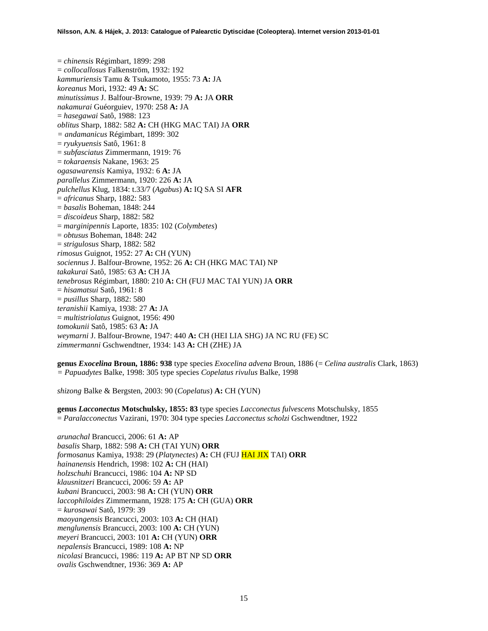= *chinensis* Régimbart, 1899: 298 = *collocallosus* Falkenström, 1932: 192 *kammuriensis* Tamu & Tsukamoto, 1955: 73 **A:** JA *koreanus* Mori, 1932: 49 **A:** SC *minutissimus* J. Balfour-Browne, 1939: 79 **A:** JA **ORR** *nakamurai* Guéorguiev, 1970: 258 **A:** JA = *hasegawai* Satô, 1988: 123 *oblitus* Sharp, 1882: 582 **A:** CH (HKG MAC TAI) JA **ORR** *= andamanicus* Régimbart, 1899: 302 = *ryukyuensis* Satô, 1961: 8 = *subfasciatus* Zimmermann, 1919: 76 = *tokaraensis* Nakane, 1963: 25 *ogasawarensis* Kamiya, 1932: 6 **A:** JA *parallelus* Zimmermann, 1920: 226 **A:** JA *pulchellus* Klug, 1834: t.33/7 (*Agabus*) **A:** IQ SA SI **AFR** = *africanus* Sharp, 1882: 583 = *basalis* Boheman, 1848: 244 = *discoideus* Sharp, 1882: 582 = *marginipennis* Laporte, 1835: 102 (*Colymbetes*) = *obtusus* Boheman, 1848: 242 = *strigulosus* Sharp, 1882: 582 *rimosus* Guignot, 1952: 27 **A:** CH (YUN) *sociennus* J. Balfour-Browne, 1952: 26 **A:** CH (HKG MAC TAI) NP *takakurai* Satô, 1985: 63 **A:** CH JA *tenebrosus* Régimbart, 1880: 210 **A:** CH (FUJ MAC TAI YUN) JA **ORR** = *hisamatsui* Satô, 1961: 8 = *pusillus* Sharp, 1882: 580 *teranishii* Kamiya, 1938: 27 **A:** JA = *multistriolatus* Guignot, 1956: 490 *tomokunii* Satô, 1985: 63 **A:** JA *weymarni* J. Balfour-Browne, 1947: 440 **A:** CH (HEI LIA SHG) JA NC RU (FE) SC *zimmermanni* Gschwendtner, 1934: 143 **A:** CH (ZHE) JA

**genus** *Exocelina* **Broun, 1886: 938** type species *Exocelina advena* Broun, 1886 (= *Celina australis* Clark, 1863) *= Papuadytes* Balke, 1998: 305 type species *Copelatus rivulus* Balke, 1998

*shizong* Balke & Bergsten, 2003: 90 (*Copelatus*) **A:** CH (YUN)

**genus** *Lacconectus* **Motschulsky, 1855: 83** type species *Lacconectus fulvescens* Motschulsky, 1855 = *Paralacconectus* Vazirani, 1970: 304 type species *Lacconectus scholzi* Gschwendtner, 1922

*arunachal* Brancucci, 2006: 61 **A:** AP *basalis* Sharp, 1882: 598 **A:** CH (TAI YUN) **ORR** *formosanus* Kamiya, 1938: 29 (*Platynectes*) **A:** CH (FUJ HAI JIX TAI) **ORR** *hainanensis* Hendrich, 1998: 102 **A:** CH (HAI) *holzschuhi* Brancucci, 1986: 104 **A:** NP SD *klausnitzeri* Brancucci, 2006: 59 **A:** AP *kubani* Brancucci, 2003: 98 **A:** CH (YUN) **ORR** *laccophiloides* Zimmermann, 1928: 175 **A:** CH (GUA) **ORR** = *kurosawai* Satô, 1979: 39 *maoyangensis* Brancucci, 2003: 103 **A:** CH (HAI) *menglunensis* Brancucci, 2003: 100 **A:** CH (YUN) *meyeri* Brancucci, 2003: 101 **A:** CH (YUN) **ORR** *nepalensis* Brancucci, 1989: 108 **A:** NP *nicolasi* Brancucci, 1986: 119 **A:** AP BT NP SD **ORR** *ovalis* Gschwendtner, 1936: 369 **A:** AP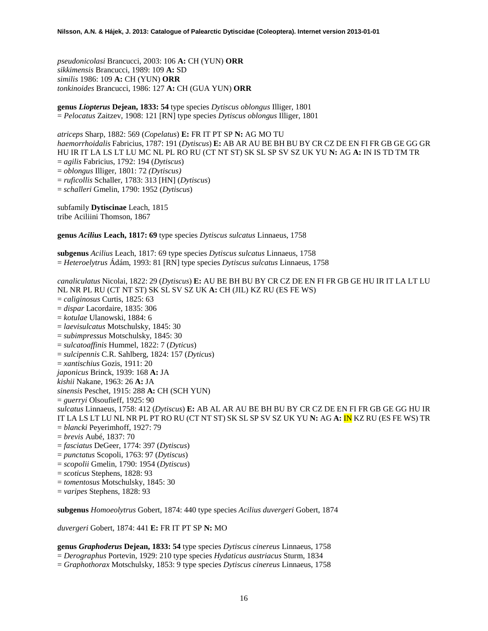*pseudonicolasi* Brancucci, 2003: 106 **A:** CH (YUN) **ORR** *sikkimensis* Brancucci, 1989: 109 **A:** SD *similis* 1986: 109 **A:** CH (YUN) **ORR** *tonkinoides* Brancucci, 1986: 127 **A:** CH (GUA YUN) **ORR**

**genus** *Liopterus* **Dejean, 1833: 54** type species *Dytiscus oblongus* Illiger, 1801 = *Pelocatus* Zaitzev, 1908: 121 [RN] type species *Dytiscus oblongus* Illiger, 1801

*atriceps* Sharp, 1882: 569 (*Copelatus*) **E:** FR IT PT SP **N:** AG MO TU *haemorrhoidalis* Fabricius, 1787: 191 (*Dytiscus*) **E:** AB AR AU BE BH BU BY CR CZ DE EN FI FR GB GE GG GR HU IR IT LA LS LT LU MC NL PL RO RU (CT NT ST) SK SL SP SV SZ UK YU **N:** AG **A:** IN IS TD TM TR = *agilis* Fabricius, 1792: 194 (*Dytiscus*) = *oblongus* Illiger, 1801: 72 *(Dytiscus)* = *ruficollis* Schaller, 1783: 313 [HN] (*Dytiscus*) = *schalleri* Gmelin, 1790: 1952 (*Dytiscus*)

subfamily **Dytiscinae** Leach, 1815 tribe Aciliini Thomson, 1867

**genus** *Acilius* **Leach, 1817: 69** type species *Dytiscus sulcatus* Linnaeus, 1758

**subgenus** *Acilius* Leach, 1817: 69 type species *Dytiscus sulcatus* Linnaeus, 1758 = *Heteroelytrus* Ádám, 1993: 81 [RN] type species *Dytiscus sulcatus* Linnaeus, 1758

*canaliculatus* Nicolai, 1822: 29 (*Dytiscus*) **E:** AU BE BH BU BY CR CZ DE EN FI FR GB GE HU IR IT LA LT LU NL NR PL RU (CT NT ST) SK SL SV SZ UK **A:** CH (JIL) KZ RU (ES FE WS) = *caliginosus* Curtis, 1825: 63 = *dispar* Lacordaire, 1835: 306 = *kotulae* Ulanowski, 1884: 6 = *laevisulcatus* Motschulsky, 1845: 30 = *subimpressus* Motschulsky, 1845: 30 = *sulcatoaffinis* Hummel, 1822: 7 (*Dyticus*) = *sulcipennis* C.R. Sahlberg, 1824: 157 (*Dyticus*) = *xantischius* Gozis, 1911: 20 *japonicus* Brinck, 1939: 168 **A:** JA *kishii* Nakane, 1963: 26 **A:** JA *sinensis* Peschet, 1915: 288 **A:** CH (SCH YUN) = *guerryi* Olsoufieff, 1925: 90 *sulcatus* Linnaeus, 1758: 412 (*Dytiscus*) **E:** AB AL AR AU BE BH BU BY CR CZ DE EN FI FR GB GE GG HU IR IT LA LS LT LU NL NR PL PT RO RU (CT NT ST) SK SL SP SV SZ UK YU **N:** AG **A:** IN KZ RU (ES FE WS) TR = *blancki* Peyerimhoff, 1927: 79 = *brevis* Aubé, 1837: 70 = *fasciatus* DeGeer, 1774: 397 (*Dytiscus*) = *punctatus* Scopoli, 1763: 97 (*Dytiscus*) = *scopolii* Gmelin, 1790: 1954 (*Dytiscus*) = *scoticus* Stephens, 1828: 93 = *tomentosus* Motschulsky, 1845: 30 = *varipes* Stephens, 1828: 93

**subgenus** *Homoeolytrus* Gobert, 1874: 440 type species *Acilius duvergeri* Gobert, 1874

*duvergeri* Gobert, 1874: 441 **E:** FR IT PT SP **N:** MO

**genus** *Graphoderus* **Dejean, 1833: 54** type species *Dytiscus cinereus* Linnaeus, 1758

= *Derographus* Portevin, 1929: 210 type species *Hydaticus austriacus* Sturm, 1834

= *Graphothorax* Motschulsky, 1853: 9 type species *Dytiscus cinereus* Linnaeus, 1758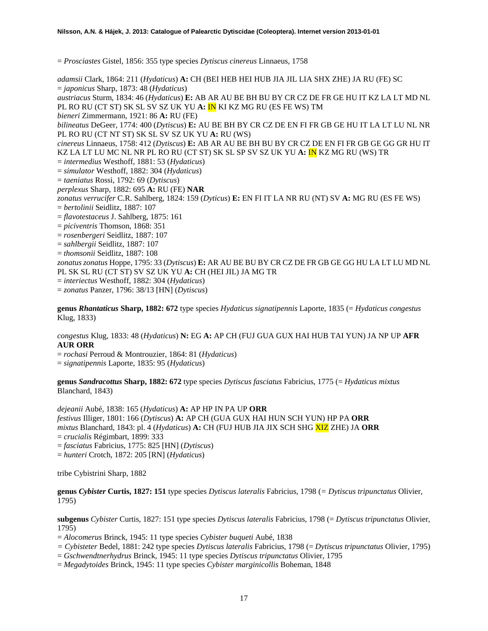= *Prosciastes* Gistel, 1856: 355 type species *Dytiscus cinereus* Linnaeus, 1758

*adamsii* Clark, 1864: 211 (*Hydaticus*) **A:** CH (BEI HEB HEI HUB JIA JIL LIA SHX ZHE) JA RU (FE) SC = *japonicus* Sharp, 1873: 48 (*Hydaticus*) *austriacus* Sturm, 1834: 46 (*Hydaticus*) **E:** AB AR AU BE BH BU BY CR CZ DE FR GE HU IT KZ LA LT MD NL PL RO RU (CT ST) SK SL SV SZ UK YU **A:** IN KI KZ MG RU (ES FE WS) TM *bieneri* Zimmermann, 1921: 86 **A:** RU (FE) *bilineatus* DeGeer, 1774: 400 (*Dytiscus*) **E:** AU BE BH BY CR CZ DE EN FI FR GB GE HU IT LA LT LU NL NR PL RO RU (CT NT ST) SK SL SV SZ UK YU **A:** RU (WS) *cinereus* Linnaeus, 1758: 412 (*Dytiscus*) **E:** AB AR AU BE BH BU BY CR CZ DE EN FI FR GB GE GG GR HU IT KZ LA LT LU MC NL NR PL RO RU (CT ST) SK SL SP SV SZ UK YU **A:** IN KZ MG RU (WS) TR = *intermedius* Westhoff, 1881: 53 (*Hydaticus*) = *simulator* Westhoff, 1882: 304 (*Hydaticus*) = *taeniatus* Rossi, 1792: 69 (*Dytiscus*) *perplexus* Sharp, 1882: 695 **A:** RU (FE) **NAR** *zonatus verrucifer* C.R. Sahlberg, 1824: 159 (*Dyticus*) **E:** EN FI IT LA NR RU (NT) SV **A:** MG RU (ES FE WS) = *bertolinii* Seidlitz, 1887: 107 = *flavotestaceus* J. Sahlberg, 1875: 161 = *piciventris* Thomson, 1868: 351 = *rosenbergeri* Seidlitz, 1887: 107 = *sahlbergii* Seidlitz, 1887: 107 = *thomsonii* Seidlitz, 1887: 108 *zonatus zonatus* Hoppe, 1795: 33 (*Dytiscus*) **E:** AR AU BE BU BY CR CZ DE FR GB GE GG HU LA LT LU MD NL PL SK SL RU (CT ST) SV SZ UK YU **A:** CH (HEI JIL) JA MG TR = *interiectus* Westhoff, 1882: 304 (*Hydaticus*)

= *zonatus* Panzer, 1796: 38/13 [HN] (*Dytiscus*)

**genus** *Rhantaticus* **Sharp, 1882: 672** type species *Hydaticus signatipennis* Laporte, 1835 (= *Hydaticus congestus*  Klug, 1833)

*congestus* Klug, 1833: 48 (*Hydaticus*) **N:** EG **A:** AP CH (FUJ GUA GUX HAI HUB TAI YUN) JA NP UP **AFR AUR ORR**

= *rochasi* Perroud & Montrouzier, 1864: 81 (*Hydaticus*)

= *signatipennis* Laporte, 1835: 95 (*Hydaticus*)

**genus** *Sandracottus* **Sharp, 1882: 672** type species *Dytiscus fasciatus* Fabricius, 1775 (= *Hydaticus mixtus* Blanchard, 1843)

*dejeanii* Aubé, 1838: 165 (*Hydaticus*) **A:** AP HP IN PA UP **ORR** *festivus* Illiger, 1801: 166 (*Dytiscus*) **A:** AP CH (GUA GUX HAI HUN SCH YUN) HP PA **ORR** *mixtus* Blanchard, 1843: pl. 4 (*Hydaticus*) **A:** CH (FUJ HUB JIA JIX SCH SHG XIZ ZHE) JA **ORR** = *crucialis* Régimbart, 1899: 333 = *fasciatus* Fabricius, 1775: 825 [HN] (*Dytiscus*)

= *hunteri* Crotch, 1872: 205 [RN] (*Hydaticus*)

tribe Cybistrini Sharp, 1882

**genus** *Cybister* **Curtis, 1827: 151** type species *Dytiscus lateralis* Fabricius, 1798 (*= Dytiscus tripunctatus* Olivier, 1795)

**subgenus** *Cybister* Curtis, 1827: 151 type species *Dytiscus lateralis* Fabricius, 1798 (= *Dytiscus tripunctatus* Olivier, 1795)

= *Alocomerus* Brinck, 1945: 11 type species *Cybister buqueti* Aubé, 1838

- *= Cybisteter* Bedel, 1881: 242 type species *Dytiscus lateralis* Fabricius, 1798 (= *Dytiscus tripunctatus* Olivier, 1795)
- = *Gschwendtnerhydrus* Brinck, 1945: 11 type species *Dytiscus tripunctatus* Olivier, 1795
- = *Megadytoides* Brinck, 1945: 11 type species *Cybister marginicollis* Boheman, 1848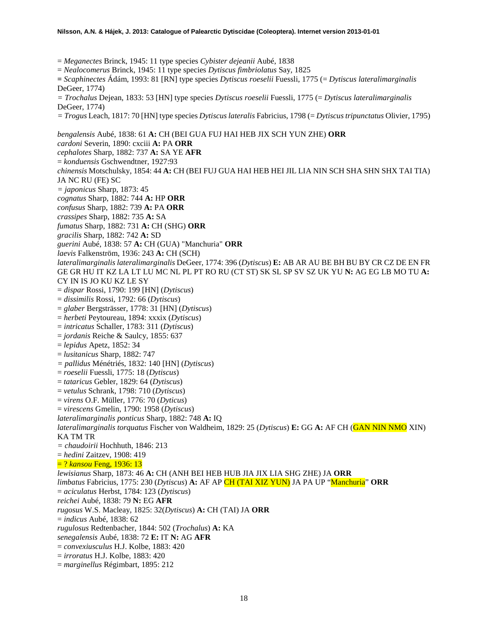= *Meganectes* Brinck, 1945: 11 type species *Cybister dejeanii* Aubé, 1838

= *Nealocomerus* Brinck, 1945: 11 type species *Dytiscus fimbriolatus* Say, 1825

**=** *Scaphinectes* Ádám, 1993: 81 [RN] type species *Dytiscus roeselii* Fuessli, 1775 (= *Dytiscus lateralimarginalis* DeGeer, 1774)

*= Trochalus* Dejean, 1833: 53 [HN] type species *Dytiscus roeselii* Fuessli, 1775 (= *Dytiscus lateralimarginalis* DeGeer, 1774)

*= Trogus* Leach, 1817: 70 [HN] type species *Dytiscus lateralis* Fabricius, 1798 (= *Dytiscus tripunctatus* Olivier, 1795)

*bengalensis* Aubé, 1838: 61 **A:** CH (BEI GUA FUJ HAI HEB JIX SCH YUN ZHE) **ORR** *cardoni* Severin, 1890: cxciii **A:** PA **ORR** *cephalotes* Sharp, 1882: 737 **A:** SA YE **AFR** = *konduensis* Gschwendtner, 1927:93 *chinensis* Motschulsky, 1854: 44 **A:** CH (BEI FUJ GUA HAI HEB HEI JIL LIA NIN SCH SHA SHN SHX TAI TIA) JA NC RU (FE) SC *= japonicus* Sharp, 1873: 45 *cognatus* Sharp, 1882: 744 **A:** HP **ORR** *confusus* Sharp, 1882: 739 **A:** PA **ORR** *crassipes* Sharp, 1882: 735 **A:** SA *fumatus* Sharp, 1882: 731 **A:** CH (SHG) **ORR** *gracilis* Sharp, 1882: 742 **A:** SD *guerini* Aubé, 1838: 57 **A:** CH (GUA) "Manchuria" **ORR** *laevis* Falkenström, 1936: 243 **A:** CH (SCH) *lateralimarginalis lateralimarginalis* DeGeer, 1774: 396 (*Dytiscus*) **E:** AB AR AU BE BH BU BY CR CZ DE EN FR GE GR HU IT KZ LA LT LU MC NL PL PT RO RU (CT ST) SK SL SP SV SZ UK YU **N:** AG EG LB MO TU **A:**  CY IN IS JO KU KZ LE SY = *dispar* Rossi, 1790: 199 [HN] (*Dytiscus*) = *dissimilis* Rossi, 1792: 66 (*Dytiscus*) = *glaber* Bergsträsser, 1778: 31 [HN] (*Dytiscus*) = *herbeti* Peytoureau, 1894: xxxix (*Dytiscus*) = *intricatus* Schaller, 1783: 311 (*Dytiscus*) = *jordanis* Reiche & Saulcy, 1855: 637 = *lepidus* Apetz, 1852: 34 = *lusitanicus* Sharp, 1882: 747 *= pallidus* Ménétriés, 1832: 140 [HN] (*Dytiscus*) = *roeselii* Fuessli, 1775: 18 (*Dytiscus*) = *tataricus* Gebler, 1829: 64 (*Dytiscus*) = *vetulus* Schrank, 1798: 710 (*Dytiscus*) = *virens* O.F. Müller, 1776: 70 (*Dyticus*) = *virescens* Gmelin, 1790: 1958 (*Dytiscus*) *lateralimarginalis ponticus* Sharp, 1882: 748 **A:** IQ *lateralimarginalis torquatus* Fischer von Waldheim, 1829: 25 (*Dytiscus*) **E:** GG **A:** AF CH (GAN NIN NMO XIN) KA TM TR *= chaudoirii* Hochhuth, 1846: 213 = *hedini* Zaitzev, 1908: 419 = ? *kansou* Feng, 1936: 13 *lewisianus* Sharp, 1873: 46 **A:** CH (ANH BEI HEB HUB JIA JIX LIA SHG ZHE) JA **ORR** *limbatus* Fabricius, 1775: 230 (*Dytiscus*) **A:** AF AP CH (TAI XIZ YUN) JA PA UP "Manchuria" **ORR** = *aciculatus* Herbst, 1784: 123 (*Dytiscus*) *reichei* Aubé, 1838: 79 **N:** EG **AFR** *rugosus* W.S. Macleay, 1825: 32(*Dytiscus*) **A:** CH (TAI) JA **ORR** = *indicus* Aubé, 1838: 62 *rugulosus* Redtenbacher, 1844: 502 (*Trochalus*) **A:** KA *senegalensis* Aubé, 1838: 72 **E:** IT **N:** AG **AFR** = *convexiusculus* H.J. Kolbe, 1883: 420

- = *irroratus* H.J. Kolbe, 1883: 420
- = *marginellus* Régimbart, 1895: 212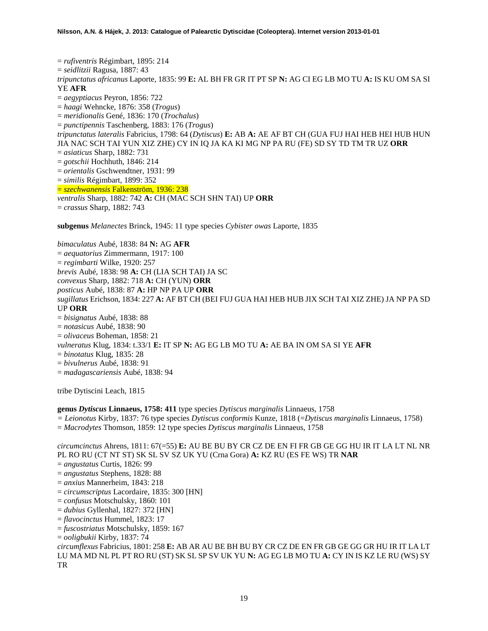= *rufiventris* Régimbart, 1895: 214 = *seidlitzii* Ragusa, 1887: 43 *tripunctatus africanus* Laporte, 1835: 99 **E:** AL BH FR GR IT PT SP **N:** AG CI EG LB MO TU **A:** IS KU OM SA SI YE **AFR** = *aegyptiacus* Peyron, 1856: 722 = *haagi* Wehncke, 1876: 358 (*Trogus*) = *meridionalis* Gené, 1836: 170 (*Trochalus*) = *punctipennis* Taschenberg, 1883: 176 (*Trogus*) *tripunctatus lateralis* Fabricius, 1798: 64 (*Dytiscus*) **E:** AB **A:** AE AF BT CH (GUA FUJ HAI HEB HEI HUB HUN JIA NAC SCH TAI YUN XIZ ZHE) CY IN IQ JA KA KI MG NP PA RU (FE) SD SY TD TM TR UZ **ORR** = *asiaticus* Sharp, 1882: 731 = *gotschii* Hochhuth, 1846: 214 = *orientalis* Gschwendtner, 1931: 99 = *similis* Régimbart, 1899: 352 = *szechwanensis* Falkenström, 1936: 238 *ventralis* Sharp, 1882: 742 **A:** CH (MAC SCH SHN TAI) UP **ORR** = *crassus* Sharp, 1882: 743 **subgenus** *Melanectes* Brinck, 1945: 11 type species *Cybister owas* Laporte, 1835

*bimaculatus* Aubé, 1838: 84 **N:** AG **AFR** = *aequatorius* Zimmermann, 1917: 100 = *regimbarti* Wilke, 1920: 257 *brevis* Aubé, 1838: 98 **A:** CH (LIA SCH TAI) JA SC *convexus* Sharp, 1882: 718 **A:** CH (YUN) **ORR** *posticus* Aubé, 1838: 87 **A:** HP NP PA UP **ORR** *sugillatus* Erichson, 1834: 227 **A:** AF BT CH (BEI FUJ GUA HAI HEB HUB JIX SCH TAI XIZ ZHE) JA NP PA SD UP **ORR** = *bisignatus* Aubé, 1838: 88 = *notasicus* Aubé, 1838: 90 = *olivaceus* Boheman, 1858: 21 *vulneratus* Klug, 1834: t.33/1 **E:** IT SP **N:** AG EG LB MO TU **A:** AE BA IN OM SA SI YE **AFR** = *binotatus* Klug, 1835: 28 = *bivulnerus* Aubé, 1838: 91

= *madagascariensis* Aubé, 1838: 94

tribe Dytiscini Leach, 1815

**genus** *Dytiscus* **Linnaeus, 1758: 411** type species *Dytiscus marginalis* Linnaeus, 1758 *= Leionotus* Kirby, 1837: 76 type species *Dytiscus conformis* Kunze, 1818 (=*Dytiscus marginalis* Linnaeus, 1758) = *Macrodytes* Thomson, 1859: 12 type species *Dytiscus marginalis* Linnaeus, 1758

*circumcinctus* Ahrens, 1811: 67(=55) **E:** AU BE BU BY CR CZ DE EN FI FR GB GE GG HU IR IT LA LT NL NR PL RO RU (CT NT ST) SK SL SV SZ UK YU (Crna Gora) **A:** KZ RU (ES FE WS) TR **NAR**

= *angustatus* Curtis, 1826: 99

- = *angustatus* Stephens, 1828: 88
- = *anxius* Mannerheim, 1843: 218
- = *circumscriptus* Lacordaire, 1835: 300 [HN]
- = *confusus* Motschulsky, 1860: 101
- = *dubius* Gyllenhal, 1827: 372 [HN]
- = *flavocinctus* Hummel, 1823: 17
- = *fuscostriatus* Motschulsky, 1859: 167

= *ooligbukii* Kirby, 1837: 74

*circumflexus* Fabricius, 1801: 258 **E:** AB AR AU BE BH BU BY CR CZ DE EN FR GB GE GG GR HU IR IT LA LT LU MA MD NL PL PT RO RU (ST) SK SL SP SV UK YU **N:** AG EG LB MO TU **A:** CY IN IS KZ LE RU (WS) SY TR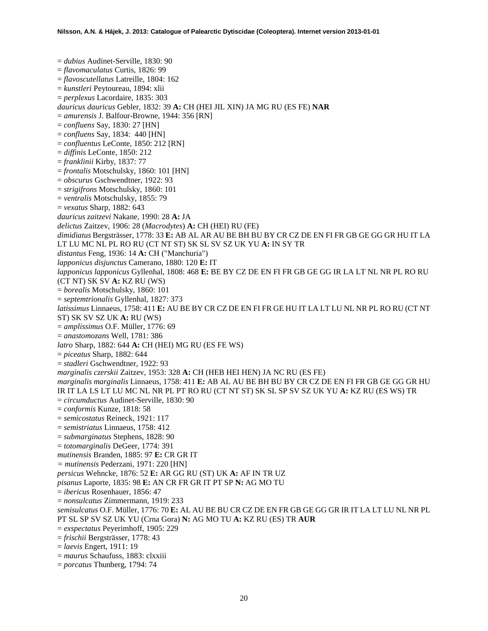= *dubius* Audinet-Serville, 1830: 90 = *flavomaculatus* Curtis, 1826: 99 = *flavoscutellatus* Latreille, 1804: 162 = *kunstleri* Peytoureau, 1894: xlii = *perplexus* Lacordaire, 1835: 303 *dauricus dauricus* Gebler, 1832: 39 **A:** CH (HEI JIL XIN) JA MG RU (ES FE) **NAR** = *amurensis* J. Balfour-Browne, 1944: 356 [RN] = *confluens* Say, 1830: 27 [HN] = *confluens* Say, 1834: 440 [HN] = *confluentus* LeConte, 1850: 212 [RN] = *diffinis* LeConte, 1850: 212 = *franklinii* Kirby, 1837: 77 = *frontalis* Motschulsky, 1860: 101 [HN] = *obscurus* Gschwendtner, 1922: 93 = *strigifrons* Motschulsky, 1860: 101 = *ventralis* Motschulsky, 1855: 79 = *vexatus* Sharp, 1882: 643 *dauricus zaitzevi* Nakane, 1990: 28 **A:** JA *delictus* Zaitzev, 1906: 28 (*Macrodytes*) **A:** CH (HEI) RU (FE) *dimidiatus* Bergsträsser, 1778: 33 **E:** AB AL AR AU BE BH BU BY CR CZ DE EN FI FR GB GE GG GR HU IT LA LT LU MC NL PL RO RU (CT NT ST) SK SL SV SZ UK YU **A:** IN SY TR *distantus* Feng, 1936: 14 **A:** CH ("Manchuria") *lapponicus disjunctus* Camerano, 1880: 120 **E:** IT *lapponicus lapponicus* Gyllenhal, 1808: 468 **E:** BE BY CZ DE EN FI FR GB GE GG IR LA LT NL NR PL RO RU (CT NT) SK SV **A:** KZ RU (WS) = *borealis* Motschulsky, 1860: 101 = *septemtrionalis* Gyllenhal, 1827: 373 *latissimus* Linnaeus, 1758: 411 **E:** AU BE BY CR CZ DE EN FI FR GE HU IT LA LT LU NL NR PL RO RU (CT NT ST) SK SV SZ UK **A:** RU (WS) = *amplissimus* O.F. Müller, 1776: 69 = *anastomozans* Well, 1781: 386 *latro* Sharp, 1882: 644 **A:** CH (HEI) MG RU (ES FE WS) = *piceatus* Sharp, 1882: 644 = *stadleri* Gschwendtner, 1922: 93 *marginalis czerskii* Zaitzev, 1953: 328 **A:** CH (HEB HEI HEN) JA NC RU (ES FE) *marginalis marginalis* Linnaeus, 1758: 411 **E:** AB AL AU BE BH BU BY CR CZ DE EN FI FR GB GE GG GR HU IR IT LA LS LT LU MC NL NR PL PT RO RU (CT NT ST) SK SL SP SV SZ UK YU **A:** KZ RU (ES WS) TR = *circumductus* Audinet-Serville, 1830: 90 = *conformis* Kunze, 1818: 58 = *semicostatus* Reineck, 1921: 117 = *semistriatus* Linnaeus, 1758: 412 = *submarginatus* Stephens, 1828: 90 = *totomarginalis* DeGeer, 1774: 391 *mutinensis* Branden, 1885: 97 **E:** CR GR IT *= mutinensis* Pederzani, 1971: 220 [HN] *persicus* Wehncke, 1876: 52 **E:** AR GG RU (ST) UK **A:** AF IN TR UZ *pisanus* Laporte, 1835: 98 **E:** AN CR FR GR IT PT SP **N:** AG MO TU = *ibericus* Rosenhauer, 1856: 47 = *nonsulcatus* Zimmermann, 1919: 233 *semisulcatus* O.F. Müller, 1776: 70 **E:** AL AU BE BU CR CZ DE EN FR GB GE GG GR IR IT LA LT LU NL NR PL PT SL SP SV SZ UK YU (Crna Gora) **N:** AG MO TU **A:** KZ RU (ES) TR **AUR** = *exspectatus* Peyerimhoff, 1905: 229 = *frischii* Bergsträsser, 1778: 43 = *laevis* Engert, 1911: 19 = *maurus* Schaufuss, 1883: clxxiii = *porcatus* Thunberg, 1794: 74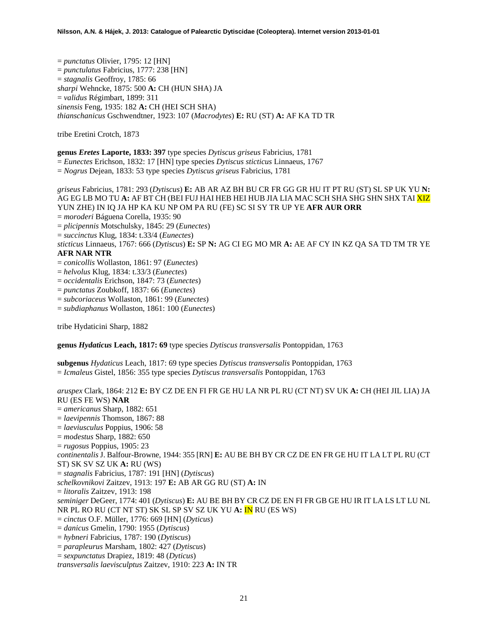= *punctatus* Olivier, 1795: 12 [HN] = *punctulatus* Fabricius, 1777: 238 [HN] = *stagnalis* Geoffroy, 1785: 66 *sharpi* Wehncke, 1875: 500 **A:** CH (HUN SHA) JA = *validus* Régimbart, 1899: 311 *sinensis* Feng, 1935: 182 **A:** CH (HEI SCH SHA) *thianschanicus* Gschwendtner, 1923: 107 (*Macrodytes*) **E:** RU (ST) **A:** AF KA TD TR

tribe Eretini Crotch, 1873

# **genus** *Eretes* **Laporte, 1833: 397** type species *Dytiscus griseus* Fabricius, 1781

= *Eunectes* Erichson, 1832: 17 [HN] type species *Dytiscus sticticus* Linnaeus, 1767

= *Nogrus* Dejean, 1833: 53 type species *Dytiscus griseus* Fabricius, 1781

*griseus* Fabricius, 1781: 293 (*Dytiscus*) **E:** AB AR AZ BH BU CR FR GG GR HU IT PT RU (ST) SL SP UK YU **N:**  AG EG LB MO TU **A:** AF BT CH (BEI FUJ HAI HEB HEI HUB JIA LIA MAC SCH SHA SHG SHN SHX TAI XIZ YUN ZHE) IN IQ JA HP KA KU NP OM PA RU (FE) SC SI SY TR UP YE **AFR AUR ORR** = *moroderi* Báguena Corella, 1935: 90

- = *plicipennis* Motschulsky, 1845: 29 (*Eunectes*)
- = *succinctus* Klug, 1834: t.33/4 (*Eunectes*)

*sticticus* Linnaeus, 1767: 666 (*Dytiscus*) **E:** SP **N:** AG CI EG MO MR **A:** AE AF CY IN KZ QA SA TD TM TR YE **AFR NAR NTR**

- = *conicollis* Wollaston, 1861: 97 (*Eunectes*)
- = *helvolus* Klug, 1834: t.33/3 (*Eunectes*)
- = *occidentalis* Erichson, 1847: 73 (*Eunectes*)
- = *punctatus* Zoubkoff, 1837: 66 (*Eunectes*)
- = *subcoriaceus* Wollaston, 1861: 99 (*Eunectes*)
- = *subdiaphanus* Wollaston, 1861: 100 (*Eunectes*)

tribe Hydaticini Sharp, 1882

**genus** *Hydaticus* **Leach, 1817: 69** type species *Dytiscus transversalis* Pontoppidan, 1763

**subgenus** *Hydaticus* Leach, 1817: 69 type species *Dytiscus transversalis* Pontoppidan, 1763 = *Icmaleus* Gistel, 1856: 355 type species *Dytiscus transversalis* Pontoppidan, 1763

*aruspex* Clark, 1864: 212 **E:** BY CZ DE EN FI FR GE HU LA NR PL RU (CT NT) SV UK **A:** CH (HEI JIL LIA) JA RU (ES FE WS) **NAR** = *americanus* Sharp, 1882: 651 = *laevipennis* Thomson, 1867: 88 = *laeviusculus* Poppius, 1906: 58 = *modestus* Sharp, 1882: 650 = *rugosus* Poppius, 1905: 23 *continentalis* J. Balfour-Browne, 1944: 355 [RN] **E:** AU BE BH BY CR CZ DE EN FR GE HU IT LA LT PL RU (CT ST) SK SV SZ UK **A:** RU (WS) = *stagnalis* Fabricius, 1787: 191 [HN] (*Dytiscus*) *schelkovnikovi* Zaitzev, 1913: 197 **E:** AB AR GG RU (ST) **A:** IN = *litoralis* Zaitzev, 1913: 198 *seminiger* DeGeer, 1774: 401 (*Dytiscus*) **E:** AU BE BH BY CR CZ DE EN FI FR GB GE HU IR IT LA LS LT LU NL NR PL RO RU (CT NT ST) SK SL SP SV SZ UK YU **A:** IN RU (ES WS) = *cinctus* O.F. Müller, 1776: 669 [HN] (*Dyticus*) = *danicus* Gmelin, 1790: 1955 (*Dytiscus*) = *hybneri* Fabricius, 1787: 190 (*Dytiscus*) = *parapleurus* Marsham, 1802: 427 (*Dytiscus*) = *sexpunctatus* Drapiez, 1819: 48 (*Dyticus*) *transversalis laevisculptus* Zaitzev, 1910: 223 **A:** IN TR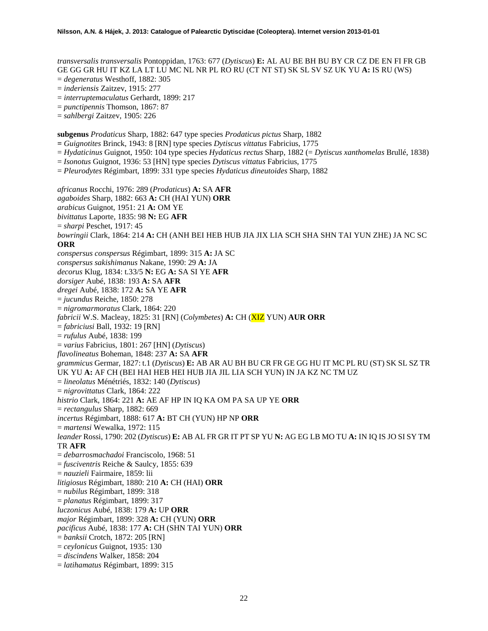*transversalis transversalis* Pontoppidan, 1763: 677 (*Dytiscus*) **E:** AL AU BE BH BU BY CR CZ DE EN FI FR GB GE GG GR HU IT KZ LA LT LU MC NL NR PL RO RU (CT NT ST) SK SL SV SZ UK YU **A:** IS RU (WS)

- = *degeneratus* Westhoff, 1882: 305
- = *inderiensis* Zaitzev, 1915: 277
- = *interruptemaculatus* Gerhardt, 1899: 217
- = *punctipennis* Thomson, 1867: 87
- = *sahlbergi* Zaitzev, 1905: 226

**subgenus** *Prodaticus* Sharp, 1882: 647 type species *Prodaticus pictus* Sharp, 1882

- **=** *Guignotites* Brinck, 1943: 8 [RN] type species *Dytiscus vittatus* Fabricius, 1775
- = *Hydaticinus* Guignot, 1950: 104 type species *Hydaticus rectus* Sharp, 1882 (= *Dytiscus xanthomelas* Brullé, 1838)
- = *Isonotus* Guignot, 1936: 53 [HN] type species *Dytiscus vittatus* Fabricius, 1775

= *Pleurodytes* Régimbart, 1899: 331 type species *Hydaticus dineutoides* Sharp, 1882

*africanus* Rocchi, 1976: 289 (*Prodaticus*) **A:** SA **AFR** *agaboides* Sharp, 1882: 663 **A:** CH (HAI YUN) **ORR** *arabicus* Guignot, 1951: 21 **A:** OM YE *bivittatus* Laporte, 1835: 98 **N:** EG **AFR** = *sharpi* Peschet, 1917: 45 *bowringii* Clark, 1864: 214 **A:** CH (ANH BEI HEB HUB JIA JIX LIA SCH SHA SHN TAI YUN ZHE) JA NC SC **ORR** *conspersus conspersus* Régimbart, 1899: 315 **A:** JA SC *conspersus sakishimanus* Nakane, 1990: 29 **A:** JA *decorus* Klug, 1834: t.33/5 **N:** EG **A:** SA SI YE **AFR** *dorsiger* Aubé, 1838: 193 **A:** SA **AFR** *dregei* Aubé, 1838: 172 **A:** SA YE **AFR** = *jucundus* Reiche, 1850: 278 = *nigromarmoratus* Clark, 1864: 220 *fabricii* W.S. Macleay, 1825: 31 [RN] (*Colymbetes*) **A:** CH (XIZ YUN) **AUR ORR** = *fabriciusi* Ball, 1932: 19 [RN] = *rufulus* Aubé, 1838: 199 = *varius* Fabricius, 1801: 267 [HN] (*Dytiscus*) *flavolineatus* Boheman, 1848: 237 **A:** SA **AFR** *grammicus* Germar, 1827: t.1 (*Dytiscus*) **E:** AB AR AU BH BU CR FR GE GG HU IT MC PL RU (ST) SK SL SZ TR UK YU **A:** AF CH (BEI HAI HEB HEI HUB JIA JIL LIA SCH YUN) IN JA KZ NC TM UZ = *lineolatus* Ménétriés, 1832: 140 (*Dytiscus*) = *nigrovittatus* Clark, 1864: 222 *histrio* Clark, 1864: 221 **A:** AE AF HP IN IQ KA OM PA SA UP YE **ORR** = *rectangulus* Sharp, 1882: 669 *incertus* Régimbart, 1888: 617 **A:** BT CH (YUN) HP NP **ORR** = *martensi* Wewalka, 1972: 115 *leander* Rossi, 1790: 202 (*Dytiscus*) **E:** AB AL FR GR IT PT SP YU **N:** AG EG LB MO TU **A:** IN IQ IS JO SI SY TM TR **AFR** = *debarrosmachadoi* Franciscolo, 1968: 51 = *fusciventris* Reiche & Saulcy, 1855: 639 = *nauzieli* Fairmaire, 1859: lii *litigiosus* Régimbart, 1880: 210 **A:** CH (HAI) **ORR** = *nubilus* Régimbart, 1899: 318 = *planatus* Régimbart, 1899: 317 *luczonicus* Aubé, 1838: 179 **A:** UP **ORR** *major* Régimbart, 1899: 328 **A:** CH (YUN) **ORR** *pacificus* Aubé, 1838: 177 **A:** CH (SHN TAI YUN) **ORR** = *banksii* Crotch, 1872: 205 [RN] = *ceylonicus* Guignot, 1935: 130 = *discindens* Walker, 1858: 204 = *latihamatus* Régimbart, 1899: 315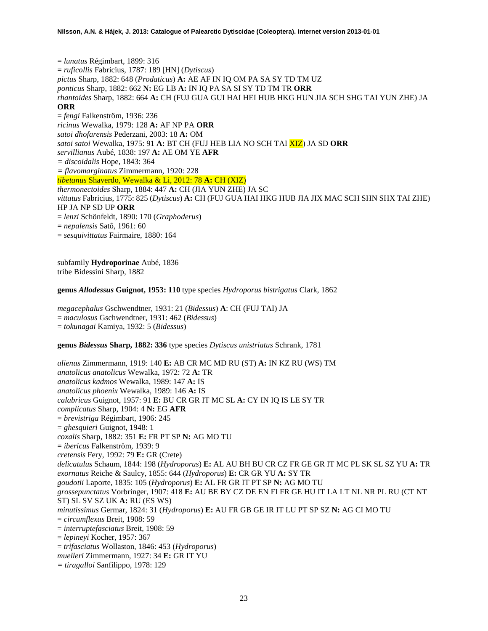= *lunatus* Régimbart, 1899: 316 = *ruficollis* Fabricius, 1787: 189 [HN] (*Dytiscus*) *pictus* Sharp, 1882: 648 (*Prodaticus*) **A:** AE AF IN IQ OM PA SA SY TD TM UZ *ponticus* Sharp, 1882: 662 **N:** EG LB **A:** IN IQ PA SA SI SY TD TM TR **ORR** *rhantoides* Sharp, 1882: 664 **A:** CH (FUJ GUA GUI HAI HEI HUB HKG HUN JIA SCH SHG TAI YUN ZHE) JA **ORR** = *fengi* Falkenström, 1936: 236 *ricinus* Wewalka, 1979: 128 **A:** AF NP PA **ORR** *satoi dhofarensis* Pederzani, 2003: 18 **A:** OM *satoi satoi* Wewalka, 1975: 91 **A:** BT CH (FUJ HEB LIA NO SCH TAI XIZ) JA SD **ORR** *servillianus* Aubé, 1838: 197 **A:** AE OM YE **AFR** *= discoidalis* Hope, 1843: 364 *= flavomarginatus* Zimmermann, 1920: 228 *tibetanus* Shaverdo, Wewalka & Li, 2012: 78 **A:** CH (XIZ) *thermonectoides* Sharp, 1884: 447 **A:** CH (JIA YUN ZHE) JA SC *vittatus* Fabricius, 1775: 825 (*Dytiscus*) **A:** CH (FUJ GUA HAI HKG HUB JIA JIX MAC SCH SHN SHX TAI ZHE) HP JA NP SD UP **ORR** = *lenzi* Schönfeldt, 1890: 170 (*Graphoderus*) = *nepalensis* Satô, 1961: 60 = *sesquivittatus* Fairmaire, 1880: 164

subfamily **Hydroporinae** Aubé, 1836 tribe Bidessini Sharp, 1882

**genus** *Allodessus* **Guignot, 1953: 110** type species *Hydroporus bistrigatus* Clark, 1862

*megacephalus* Gschwendtner, 1931: 21 (*Bidessus*) **A**: CH (FUJ TAI) JA = *maculosus* Gschwendtner, 1931: 462 (*Bidessus*) = *tokunagai* Kamiya, 1932: 5 (*Bidessus*)

**genus** *Bidessus* **Sharp, 1882: 336** type species *Dytiscus unistriatus* Schrank, 1781

*alienus* Zimmermann, 1919: 140 **E:** AB CR MC MD RU (ST) **A:** IN KZ RU (WS) TM *anatolicus anatolicus* Wewalka, 1972: 72 **A:** TR *anatolicus kadmos* Wewalka, 1989: 147 **A:** IS *anatolicus phoenix* Wewalka, 1989: 146 **A:** IS *calabricus* Guignot, 1957: 91 **E:** BU CR GR IT MC SL **A:** CY IN IQ IS LE SY TR *complicatus* Sharp, 1904: 4 **N:** EG **AFR** = *brevistriga* Régimbart, 1906: 245 = *ghesquieri* Guignot, 1948: 1 *coxalis* Sharp, 1882: 351 **E:** FR PT SP **N:** AG MO TU = *ibericus* Falkenström, 1939: 9 *cretensis* Fery, 1992: 79 **E:** GR (Crete) *delicatulus* Schaum, 1844: 198 (*Hydroporus*) **E:** AL AU BH BU CR CZ FR GE GR IT MC PL SK SL SZ YU **A:** TR *exornatus* Reiche & Saulcy, 1855: 644 (*Hydroporus*) **E:** CR GR YU **A:** SY TR *goudotii* Laporte, 1835: 105 (*Hydroporus*) **E:** AL FR GR IT PT SP **N:** AG MO TU *grossepunctatus* Vorbringer, 1907: 418 **E:** AU BE BY CZ DE EN FI FR GE HU IT LA LT NL NR PL RU (CT NT ST) SL SV SZ UK **A:** RU (ES WS) *minutissimus* Germar, 1824: 31 (*Hydroporus*) **E:** AU FR GB GE IR IT LU PT SP SZ **N:** AG CI MO TU = *circumflexus* Breit, 1908: 59 = *interruptefasciatus* Breit, 1908: 59 = *lepineyi* Kocher, 1957: 367 = *trifasciatus* Wollaston, 1846: 453 (*Hydroporus*) *muelleri* Zimmermann, 1927: 34 **E:** GR IT YU *= tiragalloi* Sanfilippo, 1978: 129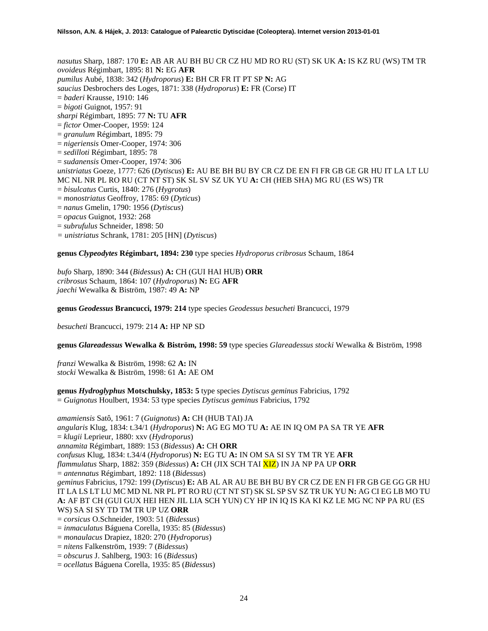*nasutus* Sharp, 1887: 170 **E:** AB AR AU BH BU CR CZ HU MD RO RU (ST) SK UK **A:** IS KZ RU (WS) TM TR *ovoideus* Régimbart, 1895: 81 **N:** EG **AFR** *pumilus* Aubé, 1838: 342 (*Hydroporus*) **E:** BH CR FR IT PT SP **N:** AG *saucius* Desbrochers des Loges, 1871: 338 (*Hydroporus*) **E:** FR (Corse) IT = *baderi* Krausse, 1910: 146 = *bigoti* Guignot, 1957: 91 *sharpi* Régimbart, 1895: 77 **N:** TU **AFR** = *fictor* Omer-Cooper, 1959: 124 = *granulum* Régimbart, 1895: 79 = *nigeriensis* Omer-Cooper, 1974: 306 = *sedilloti* Régimbart, 1895: 78 = *sudanensis* Omer-Cooper, 1974: 306 *unistriatus* Goeze, 1777: 626 (*Dytiscus*) **E:** AU BE BH BU BY CR CZ DE EN FI FR GB GE GR HU IT LA LT LU MC NL NR PL RO RU (CT NT ST) SK SL SV SZ UK YU **A:** CH (HEB SHA) MG RU (ES WS) TR = *bisulcatus* Curtis, 1840: 276 (*Hygrotus*) = *monostriatus* Geoffroy, 1785: 69 (*Dyticus*) = *nanus* Gmelin, 1790: 1956 (*Dytiscus*) = *opacus* Guignot, 1932: 268 = *subrufulus* Schneider, 1898: 50 *= unistriatus* Schrank, 1781: 205 [HN] (*Dytiscus*)

**genus** *Clypeodytes* **Régimbart, 1894: 230** type species *Hydroporus cribrosus* Schaum, 1864

*bufo* Sharp, 1890: 344 (*Bidessus*) **A:** CH (GUI HAI HUB) **ORR** *cribrosus* Schaum, 1864: 107 (*Hydroporus*) **N:** EG **AFR** *jaechi* Wewalka & Biström, 1987: 49 **A:** NP

**genus** *Geodessus* **Brancucci, 1979: 214** type species *Geodessus besucheti* Brancucci, 1979

*besucheti* Brancucci, 1979: 214 **A:** HP NP SD

**genus** *Glareadessus* **Wewalka & Biström, 1998: 59** type species *Glareadessus stocki* Wewalka & Biström, 1998

*franzi* Wewalka & Biström, 1998: 62 **A:** IN *stocki* Wewalka & Biström, 1998: 61 **A:** AE OM

**genus** *Hydroglyphus* **Motschulsky, 1853: 5** type species *Dytiscus geminus* Fabricius, 1792 = *Guignotus* Houlbert, 1934: 53 type species *Dytiscus geminus* Fabricius, 1792

*amamiensis* Satô, 1961: 7 (*Guignotus*) **A:** CH (HUB TAI) JA *angularis* Klug, 1834: t.34/1 (*Hydroporus*) **N:** AG EG MO TU **A:** AE IN IQ OM PA SA TR YE **AFR** = *klugii* Leprieur, 1880: xxv (*Hydroporus*) *annamita* Régimbart, 1889: 153 (*Bidessus*) **A:** CH **ORR** *confusus* Klug, 1834: t.34/4 (*Hydroporus*) **N:** EG TU **A:** IN OM SA SI SY TM TR YE **AFR** *flammulatus* Sharp, 1882: 359 (*Bidessus*) **A:** CH (JIX SCH TAI XIZ) IN JA NP PA UP **ORR** = *antennatus* Régimbart, 1892: 118 (*Bidessus*) *geminus* Fabricius, 1792: 199 (*Dytiscus*) **E:** AB AL AR AU BE BH BU BY CR CZ DE EN FI FR GB GE GG GR HU IT LA LS LT LU MC MD NL NR PL PT RO RU (CT NT ST) SK SL SP SV SZ TR UK YU **N:** AG CI EG LB MO TU **A:** AF BT CH (GUI GUX HEI HEN JIL LIA SCH YUN) CY HP IN IQ IS KA KI KZ LE MG NC NP PA RU (ES WS) SA SI SY TD TM TR UP UZ **ORR** = *corsicus* O.Schneider, 1903: 51 (*Bidessus*) = *inmaculatus* Báguena Corella, 1935: 85 (*Bidessus*)

- = *monaulacus* Drapiez, 1820: 270 (*Hydroporus*)
- = *nitens* Falkenström, 1939: 7 (*Bidessus*)
- = *obscurus* J. Sahlberg, 1903: 16 (*Bidessus*)
- = *ocellatus* Báguena Corella, 1935: 85 (*Bidessus*)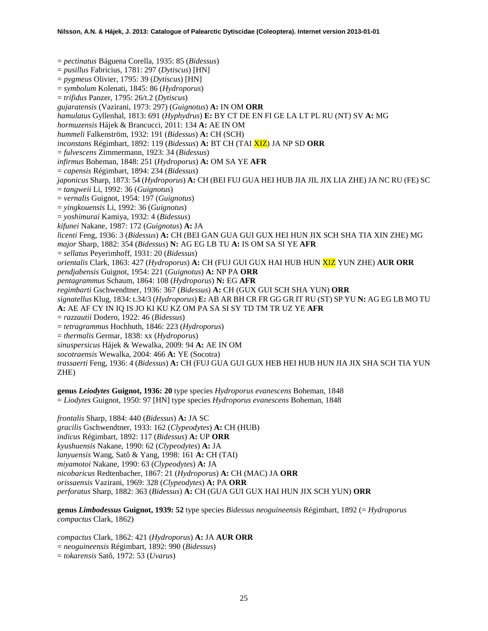= *pectinatus* Báguena Corella, 1935: 85 (*Bidessus*) = *pusillus* Fabricius, 1781: 297 (*Dytiscus*) [HN] = *pygmeus* Olivier, 1795: 39 (*Dytiscus*) [HN] = *symbolum* Kolenati, 1845: 86 (*Hydroporus*) = *trifidus* Panzer, 1795: 26/t.2 (*Dytiscus*) *gujaratensis* (Vazirani, 1973: 297) (*Guignotus*) **A:** IN OM **ORR** *hamulatus* Gyllenhal, 1813: 691 (*Hyphydrus*) **E:** BY CT DE EN FI GE LA LT PL RU (NT) SV **A:** MG *hormuzensis* Hájek & Brancucci, 2011: 134 **A:** AE IN OM *hummeli* Falkenström, 1932: 191 (*Bidessus*) **A:** CH (SCH) *inconstans* Régimbart, 1892: 119 (*Bidessus*) **A:** BT CH (TAI XIZ) JA NP SD **ORR** = *fulvescens* Zimmermann, 1923: 34 (*Bidessus*) *infirmus* Boheman, 1848: 251 (*Hydroporus*) **A:** OM SA YE **AFR** = *capensis* Régimbart, 1894: 234 (*Bidessus*) *japonicus* Sharp, 1873: 54 (*Hydroporus*) **A:** CH (BEI FUJ GUA HEI HUB JIA JIL JIX LIA ZHE) JA NC RU (FE) SC = *tangweii* Li, 1992: 36 (*Guignotus*) = *vernalis* Guignot, 1954: 197 (*Guignotus*) = *yingkouensis* Li, 1992: 36 (*Guignotus*) = *yoshimurai* Kamiya, 1932: 4 (*Bidessus*) *kifunei* Nakane, 1987: 172 (*Guignotus*) **A:** JA *licenti* Feng, 1936: 3 (*Bidessus*) **A:** CH (BEI GAN GUA GUI GUX HEI HUN JIX SCH SHA TIA XIN ZHE) MG *major* Sharp, 1882: 354 (*Bidessus*) **N:** AG EG LB TU **A:** IS OM SA SI YE **AFR** = *sellatus* Peyerimhoff, 1931: 20 (*Bidessus*) *orientalis* Clark, 1863: 427 (*Hydroporus*) **A:** CH (FUJ GUI GUX HAI HUB HUN XIZ YUN ZHE) **AUR ORR** *pendjabensis* Guignot, 1954: 221 (*Guignotus*) **A:** NP PA **ORR** *pentagrammus* Schaum, 1864: 108 (*Hydroporus*) **N:** EG **AFR** *regimbarti* Gschwendtner, 1936: 367 (*Bidessus*) **A:** CH (GUX GUI SCH SHA YUN) **ORR** *signatellus* Klug, 1834: t.34/3 (*Hydroporus*) **E:** AB AR BH CR FR GG GR IT RU (ST) SP YU **N:** AG EG LB MO TU **A:** AE AF CY IN IQ IS JO KI KU KZ OM PA SA SI SY TD TM TR UZ YE **AFR**  = *razzautii* Dodero, 1922: 46 (*Bidessus*) = *tetragrammus* Hochhuth, 1846: 223 (*Hydroporus*) = *thermalis* Germar, 1838: xx (*Hydroporus*) *sinuspersicus* Hájek & Wewalka, 2009: 94 **A:** AE IN OM *socotraensis* Wewalka, 2004: 466 **A:** YE (Socotra) *trassaerti* Feng, 1936: 4 (*Bidessus*) **A:** CH (FUJ GUA GUI GUX HEB HEI HUB HUN JIA JIX SHA SCH TIA YUN ZHE)

**genus** *Leiodytes* **Guignot, 1936: 20** type species *Hydroporus evanescens* Boheman, 1848 = *Liodytes* Guignot, 1950: 97 [HN] type species *Hydroporus evanescens* Boheman, 1848

*frontalis* Sharp, 1884: 440 (*Bidessus*) **A:** JA SC *gracilis* Gschwendtner, 1933: 162 (*Clypeodytes*) **A:** CH (HUB) *indicus* Régimbart, 1892: 117 (*Bidessus*) **A:** UP **ORR** *kyushuensis* Nakane, 1990: 62 (*Clypeodytes*) **A:** JA *lanyuensis* Wang, Satô & Yang, 1998: 161 **A:** CH (TAI) *miyamotoi* Nakane, 1990: 63 (*Clypeodytes*) **A:** JA *nicobaricus* Redtenbacher, 1867: 21 (*Hydroporus*) **A:** CH (MAC) JA **ORR** *orissaensis* Vazirani, 1969: 328 (*Clypeodytes*) **A:** PA **ORR** *perforatus* Sharp, 1882: 363 (*Bidessus*) **A:** CH (GUA GUI GUX HAI HUN JIX SCH YUN) **ORR**

**genus** *Limbodessus* **Guignot, 1939: 52** type species *Bidessus neoguineensis* Régimbart, 1892 (= *Hydroporus compactus* Clark, 1862)

*compactus* Clark, 1862: 421 (*Hydroporus*) **A:** JA **AUR ORR** = *neoguineensis* Régimbart, 1892: 990 (*Bidessus*) = *tokarensis* Satô, 1972: 53 (*Uvarus*)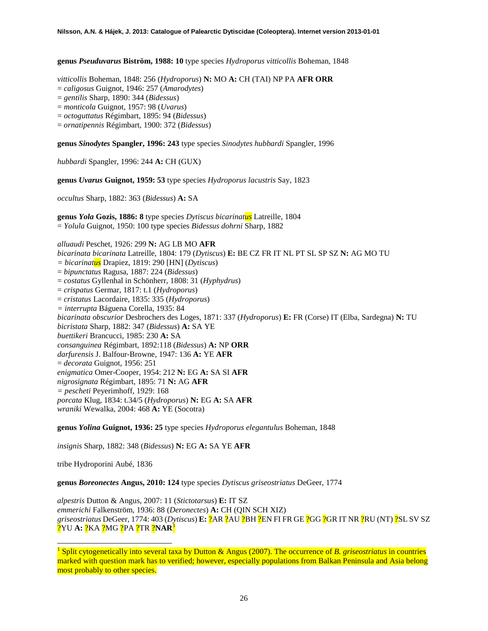**genus** *Pseuduvarus* **Biström, 1988: 10** type species *Hydroporus vitticollis* Boheman, 1848

*vitticollis* Boheman, 1848: 256 (*Hydroporus*) **N:** MO **A:** CH (TAI) NP PA **AFR ORR**

= *caligosus* Guignot, 1946: 257 (*Amarodytes*)

= *gentilis* Sharp, 1890: 344 (*Bidessus*)

= *monticola* Guignot, 1957: 98 (*Uvarus*)

= *octoguttatus* Régimbart, 1895: 94 (*Bidessus*)

= *ornatipennis* Régimbart, 1900: 372 (*Bidessus*)

**genus** *Sinodytes* **Spangler, 1996: 243** type species *Sinodytes hubbardi* Spangler, 1996

*hubbardi* Spangler, 1996: 244 **A:** CH (GUX)

**genus** *Uvarus* **Guignot, 1959: 53** type species *Hydroporus lacustris* Say, 1823

*occultus* Sharp, 1882: 363 (*Bidessus*) **A:** SA

**genus** *Yola* **Gozis, 1886: 8** type species *Dytiscus bicarinatus* Latreille, 1804 = *Yolula* Guignot, 1950: 100 type species *Bidessus dohrni* Sharp, 1882

*alluaudi* Peschet, 1926: 299 **N:** AG LB MO **AFR** *bicarinata bicarinata* Latreille, 1804: 179 (*Dytiscus*) **E:** BE CZ FR IT NL PT SL SP SZ **N:** AG MO TU *= bicarinatus* Drapiez, 1819: 290 [HN] (*Dytiscus*) = *bipunctatus* Ragusa, 1887: 224 (*Bidessus*) = *costatus* Gyllenhal in Schönherr, 1808: 31 (*Hyphydrus*) = *crispatus* Germar, 1817: t.1 (*Hydroporus*) = *cristatus* Lacordaire, 1835: 335 (*Hydroporus*) *= interrupta* Báguena Corella, 1935: 84 *bicarinata obscurior* Desbrochers des Loges, 1871: 337 (*Hydroporus*) **E:** FR (Corse) IT (Elba, Sardegna) **N:** TU *bicristata* Sharp, 1882: 347 (*Bidessus*) **A:** SA YE *buettikeri* Brancucci, 1985: 230 **A:** SA *consanguinea* Régimbart, 1892:118 (*Bidessus*) **A:** NP **ORR** *darfurensis* J. Balfour-Browne, 1947: 136 **A:** YE **AFR** = *decorata* Guignot, 1956: 251 *enigmatica* Omer-Cooper, 1954: 212 **N:** EG **A:** SA SI **AFR** *nigrosignata* Régimbart, 1895: 71 **N:** AG **AFR** *= pescheti* Peyerimhoff, 1929: 168 *porcata* Klug, 1834: t.34/5 (*Hydroporus*) **N:** EG **A:** SA **AFR** *wraniki* Wewalka, 2004: 468 **A:** YE (Socotra)

**genus** *Yolina* **Guignot, 1936: 25** type species *Hydroporus elegantulus* Boheman, 1848

*insignis* Sharp, 1882: 348 (*Bidessus*) **N:** EG **A:** SA YE **AFR**

tribe Hydroporini Aubé, 1836

**genus** *Boreonectes* **Angus, 2010: 124** type species *Dytiscus griseostriatus* DeGeer, 1774

*alpestris* Dutton & Angus, 2007: 11 (*Stictotarsus*) **E:** IT SZ *emmerichi* Falkenström, 1936: 88 (*Deronectes*) **A:** CH (QIN SCH XIZ) *griseostriatus* DeGeer, 1774: 403 (*Dytiscus*) **E:** ?AR ?AU ?BH ?EN FI FR GE ?GG ?GR IT NR ?RU (NT) ?SL SV SZ ?YU **A:** ?KA ?MG ?PA ?TR ?**NAR**[1](#page-25-0)

<span id="page-25-0"></span> <sup>1</sup> Split cytogenetically into several taxa by Dutton & Angus (2007). The occurrence of *B. griseostriatus* in countries marked with question mark has to verified; however, especially populations from Balkan Peninsula and Asia belong most probably to other species.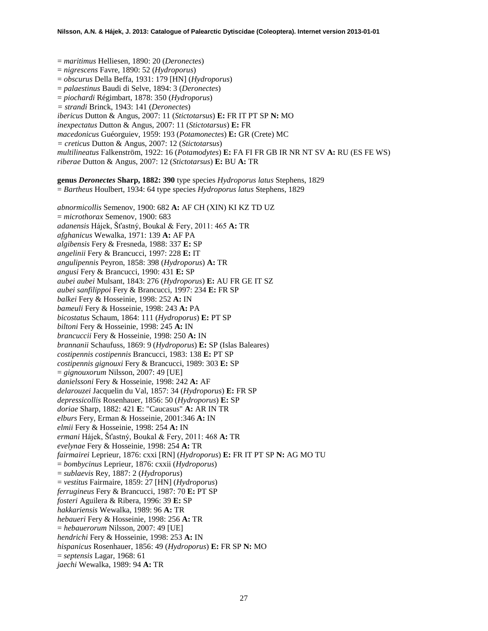= *maritimus* Helliesen, 1890: 20 (*Deronectes*) = *nigrescens* Favre, 1890: 52 (*Hydroporus*) = *obscurus* Della Beffa, 1931: 179 [HN] (*Hydroporus*) = *palaestinus* Baudi di Selve, 1894: 3 (*Deronectes*) = *piochardi* Régimbart, 1878: 350 (*Hydroporus*) *= strandi* Brinck, 1943: 141 (*Deronectes*) *ibericus* Dutton & Angus, 2007: 11 (*Stictotarsus*) **E:** FR IT PT SP **N:** MO *inexpectatus* Dutton & Angus, 2007: 11 (*Stictotarsus*) **E:** FR *macedonicus* Guéorguiev, 1959: 193 (*Potamonectes*) **E:** GR (Crete) MC *= creticus* Dutton & Angus, 2007: 12 (*Stictotarsus*) *multilineatus* Falkenström, 1922: 16 (*Potamodytes*) **E:** FA FI FR GB IR NR NT SV **A:** RU (ES FE WS) *riberae* Dutton & Angus, 2007: 12 (*Stictotarsus*) **E:** BU **A:** TR **genus** *Deronectes* **Sharp, 1882: 390** type species *Hydroporus latus* Stephens, 1829 = *Bartheus* Houlbert, 1934: 64 type species *Hydroporus latus* Stephens, 1829 *abnormicollis* Semenov, 1900: 682 **A:** AF CH (XIN) KI KZ TD UZ = *microthorax* Semenov, 1900: 683 *adanensis* Hájek, Šťastný, Boukal & Fery, 2011: 465 **A:** TR *afghanicus* Wewalka, 1971: 139 **A:** AF PA *algibensis* Fery & Fresneda, 1988: 337 **E:** SP *angelinii* Fery & Brancucci, 1997: 228 **E:** IT *angulipennis* Peyron, 1858: 398 (*Hydroporus*) **A:** TR *angusi* Fery & Brancucci, 1990: 431 **E:** SP *aubei aubei* Mulsant, 1843: 276 (*Hydroporus*) **E:** AU FR GE IT SZ *aubei sanfilippoi* Fery & Brancucci, 1997: 234 **E:** FR SP *balkei* Fery & Hosseinie, 1998: 252 **A:** IN *bameuli* Fery & Hosseinie, 1998: 243 **A:** PA *bicostatus* Schaum, 1864: 111 (*Hydroporus*) **E:** PT SP *biltoni* Fery & Hosseinie, 1998: 245 **A:** IN *brancuccii* Fery & Hosseinie, 1998: 250 **A:** IN *brannanii* Schaufuss, 1869: 9 (*Hydroporus*) **E:** SP (Islas Baleares) *costipennis costipennis* Brancucci, 1983: 138 **E:** PT SP *costipennis gignouxi* Fery & Brancucci, 1989: 303 **E:** SP = *gignouxorum* Nilsson, 2007: 49 [UE] *danielssoni* Fery & Hosseinie, 1998: 242 **A:** AF *delarouzei* Jacquelin du Val, 1857: 34 (*Hydroporus*) **E:** FR SP *depressicollis* Rosenhauer, 1856: 50 (*Hydroporus*) **E:** SP *doriae* Sharp, 1882: 421 **E**: "Caucasus" **A:** AR IN TR *elburs* Fery, Erman & Hosseinie, 2001:346 **A:** IN *elmii* Fery & Hosseinie, 1998: 254 **A:** IN *ermani* Hájek, Šťastný, Boukal & Fery, 2011: 468 **A:** TR *evelynae* Fery & Hosseinie, 1998: 254 **A:** TR *fairmairei* Leprieur, 1876: cxxi [RN] (*Hydroporus*) **E:** FR IT PT SP **N:** AG MO TU = *bombycinus* Leprieur, 1876: cxxii (*Hydroporus*) = *sublaevis* Rey, 1887: 2 (*Hydroporus*) = *vestitus* Fairmaire, 1859: 27 [HN] (*Hydroporus*) *ferrugineus* Fery & Brancucci, 1987: 70 **E:** PT SP *fosteri* Aguilera & Ribera, 1996: 39 **E:** SP *hakkariensis* Wewalka, 1989: 96 **A:** TR *hebaueri* Fery & Hosseinie, 1998: 256 **A:** TR = *hebauerorum* Nilsson, 2007: 49 [UE] *hendrichi* Fery & Hosseinie, 1998: 253 **A:** IN *hispanicus* Rosenhauer, 1856: 49 (*Hydroporus*) **E:** FR SP **N:** MO = *septensis* Lagar, 1968: 61 *jaechi* Wewalka, 1989: 94 **A:** TR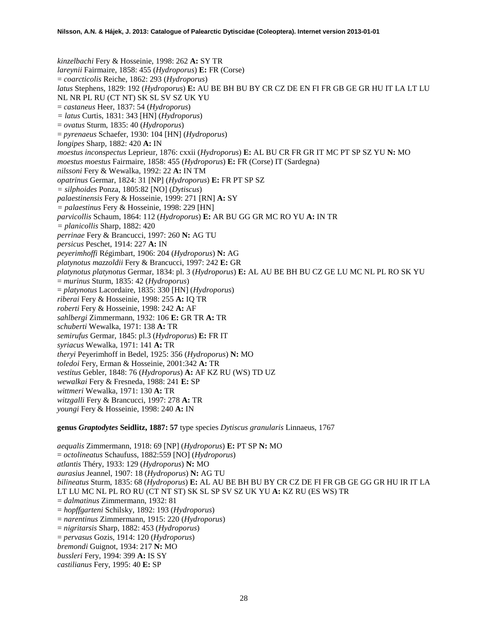*kinzelbachi* Fery & Hosseinie, 1998: 262 **A:** SY TR *lareynii* Fairmaire, 1858: 455 (*Hydroporus*) **E:** FR (Corse) = *coarcticolis* Reiche, 1862: 293 (*Hydroporus*) *latus* Stephens, 1829: 192 (*Hydroporus*) **E:** AU BE BH BU BY CR CZ DE EN FI FR GB GE GR HU IT LA LT LU NL NR PL RU (CT NT) SK SL SV SZ UK YU = *castaneus* Heer, 1837: 54 (*Hydroporus*) *= latus* Curtis, 1831: 343 [HN] (*Hydroporus*) = *ovatus* Sturm, 1835: 40 (*Hydroporus*) = *pyrenaeus* Schaefer, 1930: 104 [HN] (*Hydroporus*) *longipes* Sharp, 1882: 420 **A:** IN *moestus inconspectus* Leprieur, 1876: cxxii (*Hydroporus*) **E:** AL BU CR FR GR IT MC PT SP SZ YU **N:** MO *moestus moestus* Fairmaire, 1858: 455 (*Hydroporus*) **E:** FR (Corse) IT (Sardegna) *nilssoni* Fery & Wewalka, 1992: 22 **A:** IN TM *opatrinus* Germar, 1824: 31 [NP] (*Hydroporus*) **E:** FR PT SP SZ *= silphoides* Ponza, 1805:82 [NO] (*Dytiscus*) *palaestinensis* Fery & Hosseinie, 1999: 271 [RN] **A:** SY *= palaestinus* Fery & Hosseinie, 1998: 229 [HN] *parvicollis* Schaum, 1864: 112 (*Hydroporus*) **E:** AR BU GG GR MC RO YU **A:** IN TR *= planicollis* Sharp, 1882: 420 *perrinae* Fery & Brancucci, 1997: 260 **N:** AG TU *persicus* Peschet, 1914: 227 **A:** IN *peyerimhoffi* Régimbart, 1906: 204 (*Hydroporus*) **N:** AG *platynotus mazzoldii* Fery & Brancucci, 1997: 242 **E:** GR *platynotus platynotus* Germar, 1834: pl. 3 (*Hydroporus*) **E:** AL AU BE BH BU CZ GE LU MC NL PL RO SK YU = *murinus* Sturm, 1835: 42 (*Hydroporus*) = *platynotus* Lacordaire, 1835: 330 [HN] (*Hydroporus*) *riberai* Fery & Hosseinie, 1998: 255 **A:** IQ TR *roberti* Fery & Hosseinie, 1998: 242 **A:** AF *sahlbergi* Zimmermann, 1932: 106 **E:** GR TR **A:** TR *schuberti* Wewalka, 1971: 138 **A:** TR *semirufus* Germar, 1845: pl.3 (*Hydroporus*) **E:** FR IT *syriacus* Wewalka, 1971: 141 **A:** TR *theryi* Peyerimhoff in Bedel, 1925: 356 (*Hydroporus*) **N:** MO *toledoi* Fery, Erman & Hosseinie, 2001:342 **A:** TR *vestitus* Gebler, 1848: 76 (*Hydroporus*) **A:** AF KZ RU (WS) TD UZ *wewalkai* Fery & Fresneda, 1988: 241 **E:** SP *wittmeri* Wewalka, 1971: 130 **A:** TR *witzgalli* Fery & Brancucci, 1997: 278 **A:** TR *youngi* Fery & Hosseinie, 1998: 240 **A:** IN

**genus** *Graptodytes* **Seidlitz, 1887: 57** type species *Dytiscus granularis* Linnaeus, 1767

*aequalis* Zimmermann, 1918: 69 [NP] (*Hydroporus*) **E:** PT SP **N:** MO = *octolineatus* Schaufuss, 1882:559 [NO] (*Hydroporus*) *atlantis* Théry, 1933: 129 (*Hydroporus*) **N:** MO *aurasius* Jeannel, 1907: 18 (*Hydroporus*) **N:** AG TU *bilineatus* Sturm, 1835: 68 (*Hydroporus*) **E:** AL AU BE BH BU BY CR CZ DE FI FR GB GE GG GR HU IR IT LA LT LU MC NL PL RO RU (CT NT ST) SK SL SP SV SZ UK YU **A:** KZ RU (ES WS) TR = *dalmatinus* Zimmermann, 1932: 81 = *hopffgarteni* Schilsky, 1892: 193 (*Hydroporus*) = *narentinus* Zimmermann, 1915: 220 (*Hydroporus*) = *nigritarsis* Sharp, 1882: 453 (*Hydroporus*) = *pervasus* Gozis, 1914: 120 (*Hydroporus*) *bremondi* Guignot, 1934: 217 **N:** MO *bussleri* Fery, 1994: 399 **A:** IS SY *castilianus* Fery, 1995: 40 **E:** SP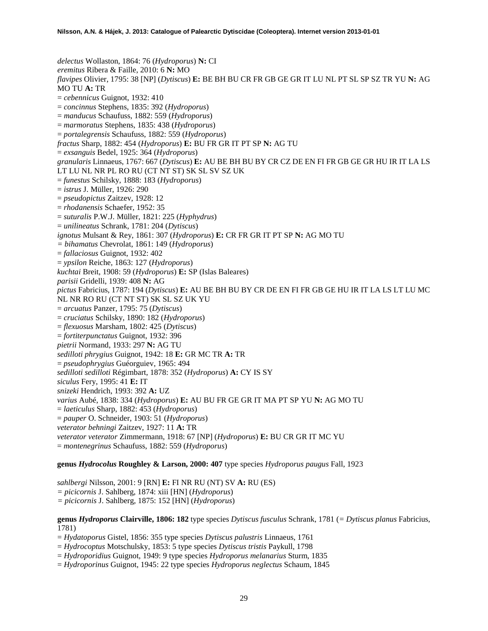*delectus* Wollaston, 1864: 76 (*Hydroporus*) **N:** CI *eremitus* Ribera & Faille, 2010: 6 **N:** MO *flavipes* Olivier, 1795: 38 [NP] (*Dytiscus*) **E:** BE BH BU CR FR GB GE GR IT LU NL PT SL SP SZ TR YU **N:** AG MO TU **A:** TR = *cebennicus* Guignot, 1932: 410 = *concinnus* Stephens, 1835: 392 (*Hydroporus*) = *manducus* Schaufuss, 1882: 559 (*Hydroporus*) = *marmoratus* Stephens, 1835: 438 (*Hydroporus*) = *portalegrensis* Schaufuss, 1882: 559 (*Hydroporus*) *fractus* Sharp, 1882: 454 (*Hydroporus*) **E:** BU FR GR IT PT SP **N:** AG TU = *exsanguis* Bedel, 1925: 364 (*Hydroporus*) *granularis* Linnaeus, 1767: 667 (*Dytiscus*) **E:** AU BE BH BU BY CR CZ DE EN FI FR GB GE GR HU IR IT LA LS LT LU NL NR PL RO RU (CT NT ST) SK SL SV SZ UK = *funestus* Schilsky, 1888: 183 (*Hydroporus*) = *istrus* J. Müller, 1926: 290 = *pseudopictus* Zaitzev, 1928: 12 = *rhodanensis* Schaefer, 1952: 35 = *suturalis* P.W.J. Müller, 1821: 225 (*Hyphydrus*) = *unilineatus* Schrank, 1781: 204 (*Dytiscus*) *ignotus* Mulsant & Rey, 1861: 307 (*Hydroporus*) **E:** CR FR GR IT PT SP **N:** AG MO TU *= bihamatus* Chevrolat, 1861: 149 (*Hydroporus*) = *fallaciosus* Guignot, 1932: 402 = *ypsilon* Reiche, 1863: 127 (*Hydroporus*) *kuchtai* Breit, 1908: 59 (*Hydroporus*) **E:** SP (Islas Baleares) *parisii* Gridelli, 1939: 408 **N:** AG *pictus* Fabricius, 1787: 194 (*Dytiscus*) **E:** AU BE BH BU BY CR DE EN FI FR GB GE HU IR IT LA LS LT LU MC NL NR RO RU (CT NT ST) SK SL SZ UK YU = *arcuatus* Panzer, 1795: 75 (*Dytiscus*) = *cruciatus* Schilsky, 1890: 182 (*Hydroporus*) = *flexuosus* Marsham, 1802: 425 (*Dytiscus*) = *fortiterpunctatus* Guignot, 1932: 396 *pietrii* Normand, 1933: 297 **N:** AG TU *sedilloti phrygius* Guignot, 1942: 18 **E:** GR MC TR **A:** TR = *pseudophrygius* Guéorguiev, 1965: 494 *sedilloti sedilloti* Régimbart, 1878: 352 (*Hydroporus*) **A:** CY IS SY *siculus* Fery, 1995: 41 **E:** IT *snizeki* Hendrich, 1993: 392 **A:** UZ *varius* Aubé, 1838: 334 (*Hydroporus*) **E:** AU BU FR GE GR IT MA PT SP YU **N:** AG MO TU = *laeticulus* Sharp, 1882: 453 (*Hydroporus*) = *pauper* O. Schneider, 1903: 51 (*Hydroporus*) *veterator behningi* Zaitzev, 1927: 11 **A:** TR *veterator veterator* Zimmermann, 1918: 67 [NP] (*Hydroporus*) **E:** BU CR GR IT MC YU = *montenegrinus* Schaufuss, 1882: 559 (*Hydroporus*)

# **genus** *Hydrocolus* **Roughley & Larson, 2000: 407** type species *Hydroporus paugus* Fall, 1923

*sahlbergi* Nilsson, 2001: 9 [RN] **E:** FI NR RU (NT) SV **A:** RU (ES) *= picicornis* J. Sahlberg, 1874: xiii [HN] (*Hydroporus*) *= picicornis* J. Sahlberg, 1875: 152 [HN] (*Hydroporus*)

**genus** *Hydroporus* **Clairville, 1806: 182** type species *Dytiscus fusculus* Schrank, 1781 (*= Dytiscus planus* Fabricius, 1781)

- = *Hydatoporus* Gistel, 1856: 355 type species *Dytiscus palustris* Linnaeus, 1761
- = *Hydrocoptus* Motschulsky, 1853: 5 type species *Dytiscus tristis* Paykull, 1798
- = *Hydroporidius* Guignot, 1949: 9 type species *Hydroporus melanarius* Sturm, 1835
- = *Hydroporinus* Guignot, 1945: 22 type species *Hydroporus neglectus* Schaum, 1845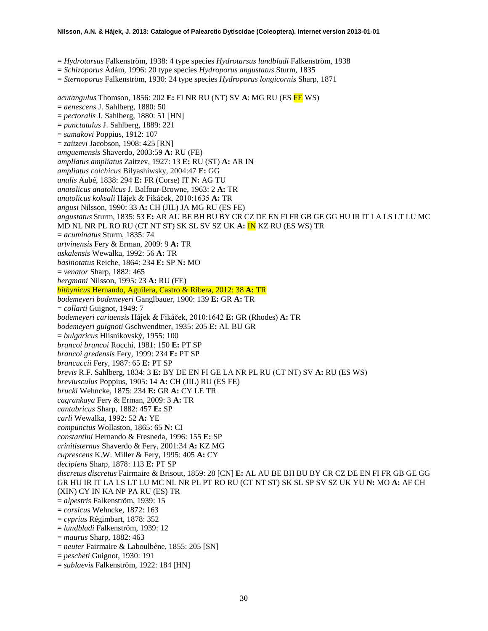= *Hydrotarsus* Falkenström, 1938: 4 type species *Hydrotarsus lundbladi* Falkenström, 1938

- = *Schizoporus* Ádám, 1996: 20 type species *Hydroporus angustatus* Sturm, 1835
- = *Sternoporus* Falkenström, 1930: 24 type species *Hydroporus longicornis* Sharp, 1871

*acutangulus* Thomson, 1856: 202 **E:** FI NR RU (NT) SV **A**: MG RU (ES FE WS) = *aenescens* J. Sahlberg, 1880: 50 = *pectoralis* J. Sahlberg, 1880: 51 [HN] = *punctatulus* J. Sahlberg, 1889: 221 = *sumakovi* Poppius, 1912: 107 = *zaitzevi* Jacobson, 1908: 425 [RN] *amguemensis* Shaverdo, 2003:59 **A:** RU (FE) *ampliatus ampliatus* Zaitzev, 1927: 13 **E:** RU (ST) **A:** AR IN *ampliatus colchicus* Bilyashiwsky, 2004:47 **E:** GG *analis* Aubé, 1838: 294 **E:** FR (Corse) IT **N:** AG TU *anatolicus anatolicus* J. Balfour-Browne, 1963: 2 **A:** TR *anatolicus koksali* Hájek & Fikáček, 2010:1635 **A:** TR *angusi* Nilsson, 1990: 33 **A:** CH (JIL) JA MG RU (ES FE) *angustatus* Sturm, 1835: 53 **E:** AR AU BE BH BU BY CR CZ DE EN FI FR GB GE GG HU IR IT LA LS LT LU MC MD NL NR PL RO RU (CT NT ST) SK SL SV SZ UK **A:** IN KZ RU (ES WS) TR = *acuminatus* Sturm, 1835: 74 *artvinensis* Fery & Erman, 2009: 9 **A:** TR *askalensis* Wewalka, 1992: 56 **A:** TR *basinotatus* Reiche, 1864: 234 **E:** SP **N:** MO = *venator* Sharp, 1882: 465 *bergmani* Nilsson, 1995: 23 **A:** RU (FE) *bithynicus* Hernando, Aguilera, Castro & Ribera, 2012: 38 **A:** TR *bodemeyeri bodemeyeri* Ganglbauer, 1900: 139 **E:** GR **A:** TR = *collarti* Guignot, 1949: 7 *bodemeyeri cariaensis* Hájek & Fikáček, 2010:1642 **E:** GR (Rhodes) **A:** TR *bodemeyeri guignoti* Gschwendtner, 1935: 205 **E:** AL BU GR = *bulgaricus* Hlisnikovský, 1955: 100 *brancoi brancoi* Rocchi, 1981: 150 **E:** PT SP *brancoi gredensis* Fery, 1999: 234 **E:** PT SP *brancuccii* Fery, 1987: 65 **E:** PT SP *brevis* R.F. Sahlberg, 1834: 3 **E:** BY DE EN FI GE LA NR PL RU (CT NT) SV **A:** RU (ES WS) *breviusculus* Poppius, 1905: 14 **A:** CH (JIL) RU (ES FE) *brucki* Wehncke, 1875: 234 **E:** GR **A:** CY LE TR *cagrankaya* Fery & Erman, 2009: 3 **A:** TR *cantabricus* Sharp, 1882: 457 **E:** SP *carli* Wewalka, 1992: 52 **A:** YE *compunctus* Wollaston, 1865: 65 **N:** CI *constantini* Hernando & Fresneda, 1996: 155 **E:** SP *crinitisternus* Shaverdo & Fery, 2001:34 **A:** KZ MG *cuprescens* K.W. Miller & Fery, 1995: 405 **A:** CY *decipiens* Sharp, 1878: 113 **E:** PT SP *discretus discretus* Fairmaire & Brisout, 1859: 28 [CN] **E:** AL AU BE BH BU BY CR CZ DE EN FI FR GB GE GG GR HU IR IT LA LS LT LU MC NL NR PL PT RO RU (CT NT ST) SK SL SP SV SZ UK YU **N:** MO **A:** AF CH (XIN) CY IN KA NP PA RU (ES) TR = *alpestris* Falkenström, 1939: 15 = *corsicus* Wehncke, 1872: 163 = *cyprius* Régimbart, 1878: 352 = *lundbladi* Falkenström, 1939: 12 = *maurus* Sharp, 1882: 463 = *neuter* Fairmaire & Laboulbène, 1855: 205 [SN] = *pescheti* Guignot, 1930: 191

= *sublaevis* Falkenström, 1922: 184 [HN]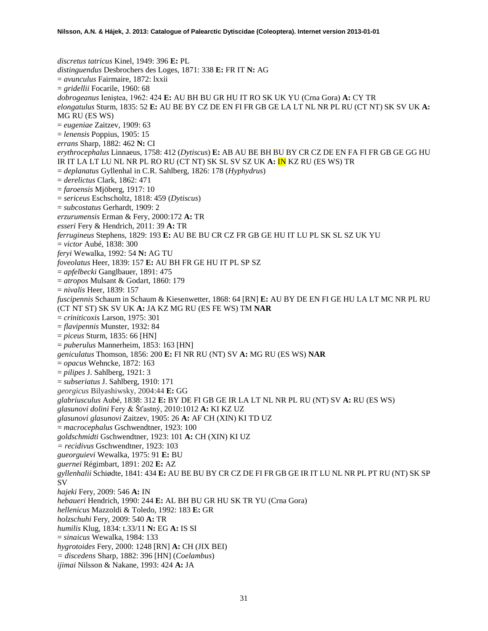*discretus tatricus* Kinel, 1949: 396 **E:** PL *distinguendus* Desbrochers des Loges, 1871: 338 **E:** FR IT **N:** AG = *avunculus* Fairmaire, 1872: lxxii = *gridellii* Focarile, 1960: 68 *dobrogeanus* Ieniştea, 1962: 424 **E:** AU BH BU GR HU IT RO SK UK YU (Crna Gora) **A:** CY TR *elongatulus* Sturm, 1835: 52 **E:** AU BE BY CZ DE EN FI FR GB GE LA LT NL NR PL RU (CT NT) SK SV UK **A:**  MG RU (ES WS) = *eugeniae* Zaitzev, 1909: 63 = *lenensis* Poppius, 1905: 15 *errans* Sharp, 1882: 462 **N:** CI *erythrocephalus* Linnaeus, 1758: 412 (*Dytiscus*) **E:** AB AU BE BH BU BY CR CZ DE EN FA FI FR GB GE GG HU IR IT LA LT LU NL NR PL RO RU (CT NT) SK SL SV SZ UK **A:** IN KZ RU (ES WS) TR = *deplanatus* Gyllenhal in C.R. Sahlberg, 1826: 178 (*Hyphydrus*) = *derelictus* Clark, 1862: 471 = *faroensis* Mjöberg, 1917: 10 = *sericeus* Eschscholtz, 1818: 459 (*Dytiscus*) = *subcostatus* Gerhardt, 1909: 2 *erzurumensis* Erman & Fery, 2000:172 **A:** TR *esseri* Fery & Hendrich, 2011: 39 **A:** TR *ferrugineus* Stephens, 1829: 193 **E:** AU BE BU CR CZ FR GB GE HU IT LU PL SK SL SZ UK YU = *victor* Aubé, 1838: 300 *feryi* Wewalka, 1992: 54 **N:** AG TU *foveolatus* Heer, 1839: 157 **E:** AU BH FR GE HU IT PL SP SZ = *apfelbecki* Ganglbauer, 1891: 475 = *atropos* Mulsant & Godart, 1860: 179 = *nivalis* Heer, 1839: 157 *fuscipennis* Schaum in Schaum & Kiesenwetter, 1868: 64 [RN] **E:** AU BY DE EN FI GE HU LA LT MC NR PL RU (CT NT ST) SK SV UK **A:** JA KZ MG RU (ES FE WS) TM **NAR** = *criniticoxis* Larson, 1975: 301 = *flavipennis* Munster, 1932: 84 = *piceus* Sturm, 1835: 66 [HN] = *puberulus* Mannerheim, 1853: 163 [HN] *geniculatus* Thomson, 1856: 200 **E:** FI NR RU (NT) SV **A:** MG RU (ES WS) **NAR** = *opacus* Wehncke, 1872: 163 = *pilipes* J. Sahlberg, 1921: 3 = *subseriatus* J. Sahlberg, 1910: 171 *georgicus* Bilyashiwsky, 2004:44 **E:** GG *glabriusculus* Aubé, 1838: 312 **E:** BY DE FI GB GE IR LA LT NL NR PL RU (NT) SV **A:** RU (ES WS) *glasunovi dolini* Fery & Šťastný, 2010:1012 **A:** KI KZ UZ *glasunovi glasunovi* Zaitzev, 1905: 26 **A:** AF CH (XIN) KI TD UZ = *macrocephalus* Gschwendtner, 1923: 100 *goldschmidti* Gschwendtner, 1923: 101 **A:** CH (XIN) KI UZ *= recidivus* Gschwendtner, 1923: 103 *gueorguievi* Wewalka, 1975: 91 **E:** BU *guernei* Régimbart, 1891: 202 **E:** AZ *gyllenhalii* Schiødte, 1841: 434 **E:** AU BE BU BY CR CZ DE FI FR GB GE IR IT LU NL NR PL PT RU (NT) SK SP SV *hajeki* Fery, 2009: 546 **A:** IN *hebaueri* Hendrich, 1990: 244 **E:** AL BH BU GR HU SK TR YU (Crna Gora) *hellenicus* Mazzoldi & Toledo, 1992: 183 **E:** GR *holzschuhi* Fery, 2009: 540 **A:** TR *humilis* Klug, 1834: t.33/11 **N:** EG **A:** IS SI = *sinaicus* Wewalka, 1984: 133 *hygrotoides* Fery, 2000: 1248 [RN] **A:** CH (JIX BEI) *= discedens* Sharp, 1882: 396 [HN] (*Coelambus*) *ijimai* Nilsson & Nakane, 1993: 424 **A:** JA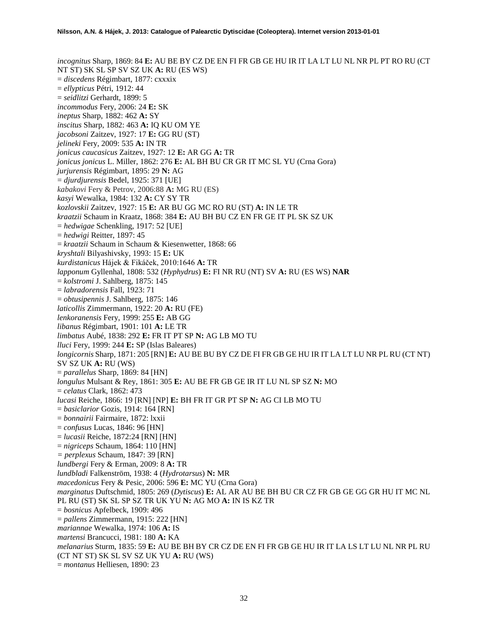*incognitus* Sharp, 1869: 84 **E:** AU BE BY CZ DE EN FI FR GB GE HU IR IT LA LT LU NL NR PL PT RO RU (CT NT ST) SK SL SP SV SZ UK **A:** RU (ES WS) = *discedens* Régimbart, 1877: cxxxix = *ellypticus* Pétri, 1912: 44 = *seidlitzi* Gerhardt, 1899: 5 *incommodus* Fery, 2006: 24 **E:** SK *ineptus* Sharp, 1882: 462 **A:** SY *inscitus* Sharp, 1882: 463 **A:** IQ KU OM YE *jacobsoni* Zaitzev, 1927: 17 **E:** GG RU (ST) *jelineki* Fery, 2009: 535 **A:** IN TR *jonicus caucasicus* Zaitzev, 1927: 12 **E:** AR GG **A:** TR *jonicus jonicus* L. Miller, 1862: 276 **E:** AL BH BU CR GR IT MC SL YU (Crna Gora) *jurjurensis* Régimbart, 1895: 29 **N:** AG = *djurdjurensis* Bedel, 1925: 371 [UE] *kabakovi* Fery & Petrov, 2006:88 **A:** MG RU (ES) *kasyi* Wewalka, 1984: 132 **A:** CY SY TR *kozlovskii* Zaitzev, 1927: 15 **E:** AR BU GG MC RO RU (ST) **A:** IN LE TR *kraatzii* Schaum in Kraatz, 1868: 384 **E:** AU BH BU CZ EN FR GE IT PL SK SZ UK = *hedwigae* Schenkling, 1917: 52 [UE] = *hedwigi* Reitter, 1897: 45 = *kraatzii* Schaum in Schaum & Kiesenwetter, 1868: 66 *kryshtali* Bilyashivsky, 1993: 15 **E:** UK *kurdistanicus* Hájek & Fikáček, 2010:1646 **A:** TR *lapponum* Gyllenhal, 1808: 532 (*Hyphydrus*) **E:** FI NR RU (NT) SV **A:** RU (ES WS) **NAR** = *kolstromi* J. Sahlberg, 1875: 145 = *labradorensis* Fall, 1923: 71 = *obtusipennis* J. Sahlberg, 1875: 146 *laticollis* Zimmermann, 1922: 20 **A:** RU (FE) *lenkoranensis* Fery, 1999: 255 **E:** AB GG *libanus* Régimbart, 1901: 101 **A:** LE TR *limbatus* Aubé, 1838: 292 **E:** FR IT PT SP **N:** AG LB MO TU *lluci* Fery, 1999: 244 **E:** SP (Islas Baleares) *longicornis* Sharp, 1871: 205 [RN] **E:** AU BE BU BY CZ DE FI FR GB GE HU IR IT LA LT LU NR PL RU (CT NT) SV SZ UK **A:** RU (WS) = *parallelus* Sharp, 1869: 84 [HN] *longulus* Mulsant & Rey, 1861: 305 **E:** AU BE FR GB GE IR IT LU NL SP SZ **N:** MO = *celatus* Clark, 1862: 473 *lucasi* Reiche, 1866: 19 [RN] [NP] **E:** BH FR IT GR PT SP **N:** AG CI LB MO TU = *basiclarior* Gozis, 1914: 164 [RN] = *bonnairii* Fairmaire, 1872: lxxii = *confusus* Lucas, 1846: 96 [HN] = *lucasii* Reiche, 1872:24 [RN] [HN] = *nigriceps* Schaum, 1864: 110 [HN] *= perplexus* Schaum, 1847: 39 [RN] *lundbergi* Fery & Erman, 2009: 8 **A:** TR *lundbladi* Falkenström, 1938: 4 (*Hydrotarsus*) **N:** MR *macedonicus* Fery & Pesic, 2006: 596 **E:** MC YU (Crna Gora) *marginatus* Duftschmid, 1805: 269 (*Dytiscus*) **E:** AL AR AU BE BH BU CR CZ FR GB GE GG GR HU IT MC NL PL RU (ST) SK SL SP SZ TR UK YU **N:** AG MO **A:** IN IS KZ TR = *bosnicus* Apfelbeck, 1909: 496 = *pallens* Zimmermann, 1915: 222 [HN] *mariannae* Wewalka, 1974: 106 **A:** IS *martensi* Brancucci, 1981: 180 **A:** KA *melanarius* Sturm, 1835: 59 **E:** AU BE BH BY CR CZ DE EN FI FR GB GE HU IR IT LA LS LT LU NL NR PL RU (CT NT ST) SK SL SV SZ UK YU **A:** RU (WS) = *montanus* Helliesen, 1890: 23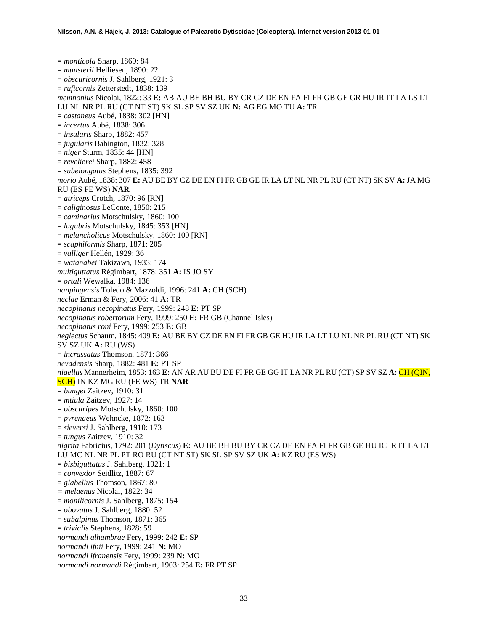= *monticola* Sharp, 1869: 84 = *munsterii* Helliesen, 1890: 22 = *obscuricornis* J. Sahlberg, 1921: 3 = *ruficornis* Zetterstedt, 1838: 139 *memnonius* Nicolai, 1822: 33 **E:** AB AU BE BH BU BY CR CZ DE EN FA FI FR GB GE GR HU IR IT LA LS LT LU NL NR PL RU (CT NT ST) SK SL SP SV SZ UK **N:** AG EG MO TU **A:** TR = *castaneus* Aubé, 1838: 302 [HN] = *incertus* Aubé, 1838: 306 = *insularis* Sharp, 1882: 457 = *jugularis* Babington, 1832: 328 = *niger* Sturm, 1835: 44 [HN] = *revelierei* Sharp, 1882: 458 = *subelongatus* Stephens, 1835: 392 *morio* Aubé, 1838: 307 **E:** AU BE BY CZ DE EN FI FR GB GE IR LA LT NL NR PL RU (CT NT) SK SV **A:** JA MG RU (ES FE WS) **NAR** = *atriceps* Crotch, 1870: 96 [RN] = *caliginosus* LeConte, 1850: 215 = *caminarius* Motschulsky, 1860: 100 = *lugubris* Motschulsky, 1845: 353 [HN] = *melancholicus* Motschulsky, 1860: 100 [RN] = *scaphiformis* Sharp, 1871: 205 = *valliger* Hellén, 1929: 36 = *watanabei* Takizawa, 1933: 174 *multiguttatus* Régimbart, 1878: 351 **A:** IS JO SY = *ortali* Wewalka, 1984: 136 *nanpingensis* Toledo & Mazzoldi, 1996: 241 **A:** CH (SCH) *neclae* Erman & Fery, 2006: 41 **A:** TR *necopinatus necopinatus* Fery, 1999: 248 **E:** PT SP *necopinatus robertorum* Fery, 1999: 250 **E:** FR GB (Channel Isles) *necopinatus roni* Fery, 1999: 253 **E:** GB *neglectus* Schaum, 1845: 409 **E:** AU BE BY CZ DE EN FI FR GB GE HU IR LA LT LU NL NR PL RU (CT NT) SK SV SZ UK **A:** RU (WS) = *incrassatus* Thomson, 1871: 366 *nevadensis* Sharp, 1882: 481 **E:** PT SP *nigellus* Mannerheim, 1853: 163 **E:** AN AR AU BU DE FI FR GE GG IT LA NR PL RU (CT) SP SV SZ **A:** CH (QIN, SCH) IN KZ MG RU (FE WS) TR **NAR** = *bungei* Zaitzev, 1910: 31 = *mtiula* Zaitzev, 1927: 14 = *obscuripes* Motschulsky, 1860: 100 = *pyrenaeus* Wehncke, 1872: 163 = *sieversi* J. Sahlberg, 1910: 173 = *tungus* Zaitzev, 1910: 32 *nigrita* Fabricius, 1792: 201 (*Dytiscus*) **E:** AU BE BH BU BY CR CZ DE EN FA FI FR GB GE HU IC IR IT LA LT LU MC NL NR PL PT RO RU (CT NT ST) SK SL SP SV SZ UK **A:** KZ RU (ES WS) = *bisbiguttatus* J. Sahlberg, 1921: 1 = *convexior* Seidlitz, 1887: 67 = *glabellus* Thomson, 1867: 80 *= melaenus* Nicolai, 1822: 34 = *monilicornis* J. Sahlberg, 1875: 154 = *obovatus* J. Sahlberg, 1880: 52 = *subalpinus* Thomson, 1871: 365 = *trivialis* Stephens, 1828: 59 *normandi alhambrae* Fery, 1999: 242 **E:** SP *normandi ifnii* Fery, 1999: 241 **N:** MO *normandi ifranensis* Fery, 1999: 239 **N:** MO *normandi normandi* Régimbart, 1903: 254 **E:** FR PT SP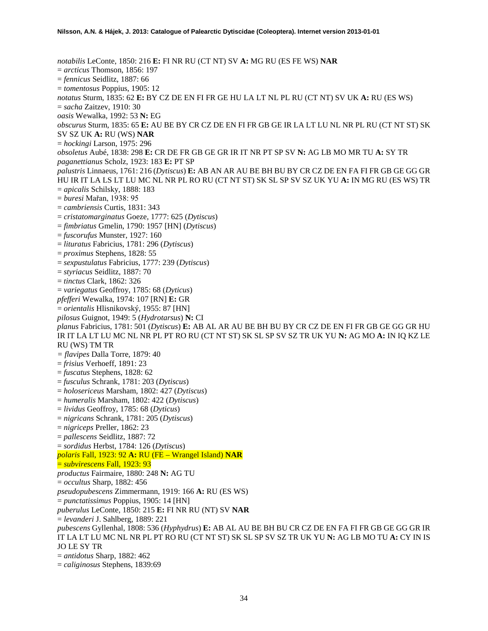*notabilis* LeConte, 1850: 216 **E:** FI NR RU (CT NT) SV **A:** MG RU (ES FE WS) **NAR** = *arcticus* Thomson, 1856: 197 = *fennicus* Seidlitz, 1887: 66 = *tomentosus* Poppius, 1905: 12 *notatus* Sturm, 1835: 62 **E:** BY CZ DE EN FI FR GE HU LA LT NL PL RU (CT NT) SV UK **A:** RU (ES WS) = *sacha* Zaitzev, 1910: 30 *oasis* Wewalka, 1992: 53 **N:** EG *obscurus* Sturm, 1835: 65 **E:** AU BE BY CR CZ DE EN FI FR GB GE IR LA LT LU NL NR PL RU (CT NT ST) SK SV SZ UK **A:** RU (WS) **NAR** = *hockingi* Larson, 1975: 296 *obsoletus* Aubé, 1838: 298 **E:** CR DE FR GB GE GR IR IT NR PT SP SV **N:** AG LB MO MR TU **A:** SY TR *paganettianus* Scholz, 1923: 183 **E:** PT SP *palustris* Linnaeus, 1761: 216 (*Dytiscus*) **E:** AB AN AR AU BE BH BU BY CR CZ DE EN FA FI FR GB GE GG GR HU IR IT LA LS LT LU MC NL NR PL RO RU (CT NT ST) SK SL SP SV SZ UK YU **A:** IN MG RU (ES WS) TR = *apicalis* Schilsky, 1888: 183 = *buresi* Mařan, 1938: 95 = *cambriensis* Curtis, 1831: 343 = *cristatomarginatus* Goeze, 1777: 625 (*Dytiscus*) = *fimbriatus* Gmelin, 1790: 1957 [HN] (*Dytiscus*) = *fuscorufus* Munster, 1927: 160 = *lituratus* Fabricius, 1781: 296 (*Dytiscus*) = *proximus* Stephens, 1828: 55 = *sexpustulatus* Fabricius, 1777: 239 (*Dytiscus*) = *styriacus* Seidlitz, 1887: 70 = *tinctus* Clark, 1862: 326 = *variegatus* Geoffroy, 1785: 68 (*Dyticus*) *pfefferi* Wewalka, 1974: 107 [RN] **E:** GR = *orientalis* Hlisnikovský, 1955: 87 [HN] *pilosus* Guignot, 1949: 5 (*Hydrotarsus*) **N:** CI *planus* Fabricius, 1781: 501 (*Dytiscus*) **E:** AB AL AR AU BE BH BU BY CR CZ DE EN FI FR GB GE GG GR HU IR IT LA LT LU MC NL NR PL PT RO RU (CT NT ST) SK SL SP SV SZ TR UK YU **N:** AG MO **A:** IN IQ KZ LE RU (WS) TM TR *= flavipes* Dalla Torre, 1879: 40 = *frisius* Verhoeff, 1891: 23 = *fuscatus* Stephens, 1828: 62 = *fusculus* Schrank, 1781: 203 (*Dytiscus*) = *holosericeus* Marsham, 1802: 427 (*Dytiscus*) = *humeralis* Marsham, 1802: 422 (*Dytiscus*) = *lividus* Geoffroy, 1785: 68 (*Dyticus*) = *nigricans* Schrank, 1781: 205 (*Dytiscus*) = *nigriceps* Preller, 1862: 23 = *pallescens* Seidlitz, 1887: 72 = *sordidus* Herbst, 1784: 126 (*Dytiscus*) *polaris* Fall, 1923: 92 **A:** RU (FE – Wrangel Island) **NAR** = *subvirescens* Fall, 1923: 93 *productus* Fairmaire, 1880: 248 **N:** AG TU = *occultus* Sharp, 1882: 456 *pseudopubescens* Zimmermann, 1919: 166 **A:** RU (ES WS) = *punctatissimus* Poppius, 1905: 14 [HN] *puberulus* LeConte, 1850: 215 **E:** FI NR RU (NT) SV **NAR** = *levanderi* J. Sahlberg, 1889: 221 *pubescens* Gyllenhal, 1808: 536 (*Hyphydrus*) **E:** AB AL AU BE BH BU CR CZ DE EN FA FI FR GB GE GG GR IR IT LA LT LU MC NL NR PL PT RO RU (CT NT ST) SK SL SP SV SZ TR UK YU **N:** AG LB MO TU **A:** CY IN IS JO LE SY TR = *antidotus* Sharp, 1882: 462

= *caliginosus* Stephens, 1839:69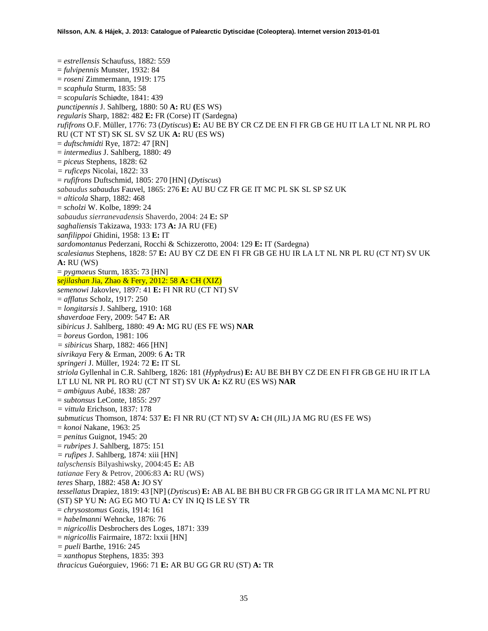= *estrellensis* Schaufuss, 1882: 559 = *fulvipennis* Munster, 1932: 84 = *roseni* Zimmermann, 1919: 175 = *scaphula* Sturm, 1835: 58 = *scopularis* Schiødte, 1841: 439 *punctipennis* J. Sahlberg, 1880: 50 **A:** RU **(**ES WS) *regularis* Sharp, 1882: 482 **E:** FR (Corse) IT (Sardegna) *rufifrons* O.F. Müller, 1776: 73 (*Dytiscus*) **E:** AU BE BY CR CZ DE EN FI FR GB GE HU IT LA LT NL NR PL RO RU (CT NT ST) SK SL SV SZ UK **A:** RU (ES WS) = *duftschmidti* Rye, 1872: 47 [RN] = *intermedius* J. Sahlberg, 1880: 49 = *piceus* Stephens, 1828: 62 *= ruficeps* Nicolai, 1822: 33 = *rufifrons* Duftschmid, 1805: 270 [HN] (*Dytiscus*) *sabaudus sabaudus* Fauvel, 1865: 276 **E:** AU BU CZ FR GE IT MC PL SK SL SP SZ UK = *alticola* Sharp, 1882: 468 = *scholzi* W. Kolbe, 1899: 24 *sabaudus sierranevadensis* Shaverdo, 2004: 24 **E:** SP *saghaliensis* Takizawa, 1933: 173 **A:** JA RU (FE) *sanfilippoi* Ghidini, 1958: 13 **E:** IT *sardomontanus* Pederzani, Rocchi & Schizzerotto, 2004: 129 **E:** IT (Sardegna) *scalesianus* Stephens, 1828: 57 **E:** AU BY CZ DE EN FI FR GB GE HU IR LA LT NL NR PL RU (CT NT) SV UK **A:** RU (WS) = *pygmaeus* Sturm, 1835: 73 [HN] *sejilashan* Jia, Zhao & Fery, 2012: 58 **A:** CH (XIZ) *semenowi* Jakovlev, 1897: 41 **E:** FI NR RU (CT NT) SV = *afflatus* Scholz, 1917: 250 = *longitarsis* J. Sahlberg, 1910: 168 *shaverdoae* Fery, 2009: 547 **E:** AR *sibiricus* J. Sahlberg, 1880: 49 **A:** MG RU (ES FE WS) **NAR** = *boreus* Gordon, 1981: 106 *= sibiricus* Sharp, 1882: 466 [HN] *sivrikaya* Fery & Erman, 2009: 6 **A:** TR *springeri* J. Müller, 1924: 72 **E:** IT SL *striola* Gyllenhal in C.R. Sahlberg, 1826: 181 (*Hyphydrus*) **E:** AU BE BH BY CZ DE EN FI FR GB GE HU IR IT LA LT LU NL NR PL RO RU (CT NT ST) SV UK **A:** KZ RU (ES WS) **NAR** = *ambiguus* Aubé, 1838: 287 = *subtonsus* LeConte, 1855: 297 *= vittula* Erichson, 1837: 178 *submuticus* Thomson, 1874: 537 **E:** FI NR RU (CT NT) SV **A:** CH (JIL) JA MG RU (ES FE WS) = *konoi* Nakane, 1963: 25 = *penitus* Guignot, 1945: 20 = *rubripes* J. Sahlberg, 1875: 151 *= rufipes* J. Sahlberg, 1874: xiii [HN] *talyschensis* Bilyashiwsky, 2004:45 **E:** AB *tatianae* Fery & Petrov, 2006:83 **A:** RU (WS) *teres* Sharp, 1882: 458 **A:** JO SY *tessellatus* Drapiez, 1819: 43 [NP] (*Dytiscus*) **E:** AB AL BE BH BU CR FR GB GG GR IR IT LA MA MC NL PT RU (ST) SP YU **N:** AG EG MO TU **A:** CY IN IQ IS LE SY TR = *chrysostomus* Gozis, 1914: 161 = *habelmanni* Wehncke, 1876: 76 = *nigricollis* Desbrochers des Loges, 1871: 339 = *nigricollis* Fairmaire, 1872: lxxii [HN] *= pueli* Barthe, 1916: 245 = *xanthopus* Stephens, 1835: 393 *thracicus* Guéorguiev, 1966: 71 **E:** AR BU GG GR RU (ST) **A:** TR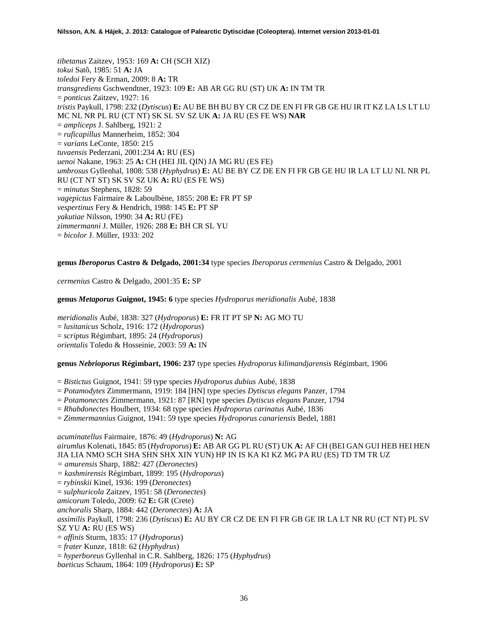*tibetanus* Zaitzev, 1953: 169 **A:** CH (SCH XIZ) *tokui* Satô, 1985: 51 **A:** JA *toledoi* Fery & Erman, 2009: 8 **A:** TR *transgrediens* Gschwendtner, 1923: 109 **E:** AB AR GG RU (ST) UK **A:** IN TM TR = *ponticus* Zaitzev, 1927: 16 *tristis* Paykull, 1798: 232 (*Dytiscus*) **E:** AU BE BH BU BY CR CZ DE EN FI FR GB GE HU IR IT KZ LA LS LT LU MC NL NR PL RU (CT NT) SK SL SV SZ UK **A:** JA RU (ES FE WS) **NAR** = *ampliceps* J. Sahlberg, 1921: 2 = *ruficapillus* Mannerheim, 1852: 304 = *varians* LeConte, 1850: 215 *tuvaensis* Pederzani, 2001:234 **A:** RU (ES) *uenoi* Nakane, 1963: 25 **A:** CH (HEI JIL QIN) JA MG RU (ES FE) *umbrosus* Gyllenhal, 1808: 538 (*Hyphydrus*) **E:** AU BE BY CZ DE EN FI FR GB GE HU IR LA LT LU NL NR PL RU (CT NT ST) SK SV SZ UK **A:** RU (ES FE WS) = *minutus* Stephens, 1828: 59 *vagepictus* Fairmaire & Laboulbène, 1855: 208 **E:** FR PT SP *vespertinus* Fery & Hendrich, 1988: 145 **E:** PT SP *yakutiae* Nilsson, 1990: 34 **A:** RU (FE) *zimmermanni* J. Müller, 1926: 288 **E:** BH CR SL YU = *bicolor* J. Müller, 1933: 202

### **genus** *Iberoporus* **Castro & Delgado, 2001:34** type species *Iberoporus cermenius* Castro & Delgado, 2001

*cermenius* Castro & Delgado, 2001:35 **E:** SP

# **genus** *Metaporus* **Guignot, 1945: 6** type species *Hydroporus meridionalis* Aubé, 1838

*meridionalis* Aubé, 1838: 327 (*Hydroporus*) **E:** FR IT PT SP **N:** AG MO TU = *lusitanicus* Scholz, 1916: 172 (*Hydroporus*) = *scriptus* Régimbart, 1895: 24 (*Hydroporus*) *orientalis* Toledo & Hosseinie, 2003: 59 **A:** IN

# **genus** *Nebrioporus* **Régimbart, 1906: 237** type species *Hydroporus kilimandjarensis* Régimbart, 1906

= *Bistictus* Guignot, 1941: 59 type species *Hydroporus dubius* Aubé, 1838

- = *Potamodytes* Zimmermann, 1919: 184 [HN] type species *Dytiscus elegans* Panzer, 1794
- = *Potamonectes* Zimmermann, 1921: 87 [RN] type species *Dytiscus elegans* Panzer, 1794

= *Rhabdonectes* Houlbert, 1934: 68 type species *Hydroporus carinatus* Aubé, 1836

= *Zimmermannius* Guignot, 1941: 59 type species *Hydroporus canariensis* Bedel, 1881

*acuminatellus* Fairmaire, 1876: 49 (*Hydroporus*) **N:** AG *airumlus* Kolenati, 1845: 85 (*Hydroporus*) **E:** AB AR GG PL RU (ST) UK **A:** AF CH (BEI GAN GUI HEB HEI HEN JIA LIA NMO SCH SHA SHN SHX XIN YUN) HP IN IS KA KI KZ MG PA RU (ES) TD TM TR UZ *= amurensis* Sharp, 1882: 427 (*Deronectes*) *= kashmirensis* Régimbart, 1899: 195 (*Hydroporus*) = *rybinskii* Kinel, 1936: 199 (*Deronectes*) = *sulphuricola* Zaitzev, 1951: 58 (*Deronectes*) *amicorum* Toledo, 2009: 62 **E:** GR (Crete) *anchoralis* Sharp, 1884: 442 (*Deronectes*) **A:** JA *assimilis* Paykull, 1798: 236 (*Dytiscus*) **E:** AU BY CR CZ DE EN FI FR GB GE IR LA LT NR RU (CT NT) PL SV SZ YU **A:** RU (ES WS) = *affinis* Sturm, 1835: 17 (*Hydroporus*) = *frater* Kunze, 1818: 62 (*Hyphydrus*) = *hyperboreus* Gyllenhal in C.R. Sahlberg, 1826: 175 (*Hyphydrus*) *baeticus* Schaum, 1864: 109 (*Hydroporus*) **E:** SP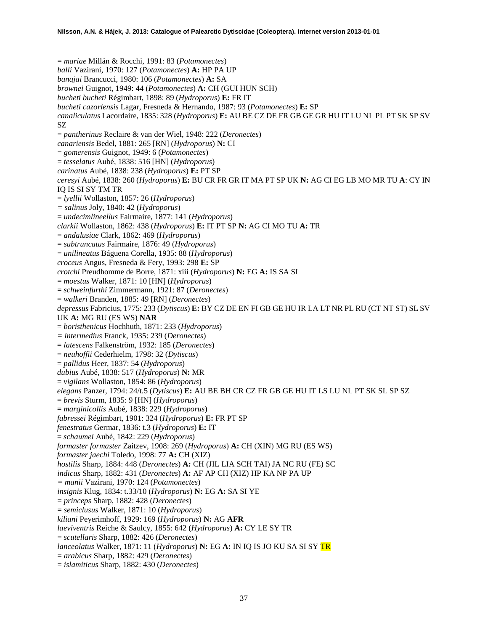= *mariae* Millán & Rocchi, 1991: 83 (*Potamonectes*) *balli* Vazirani, 1970: 127 (*Potamonectes*) **A:** HP PA UP *banajai* Brancucci, 1980: 106 (*Potamonectes*) **A:** SA *brownei* Guignot, 1949: 44 (*Potamonectes*) **A:** CH (GUI HUN SCH) *bucheti bucheti* Régimbart, 1898: 89 (*Hydroporus*) **E:** FR IT *bucheti cazorlensis* Lagar, Fresneda & Hernando, 1987: 93 (*Potamonectes*) **E:** SP *canaliculatus* Lacordaire, 1835: 328 (*Hydroporus*) **E:** AU BE CZ DE FR GB GE GR HU IT LU NL PL PT SK SP SV SZ = *pantherinus* Reclaire & van der Wiel, 1948: 222 (*Deronectes*) *canariensis* Bedel, 1881: 265 [RN] (*Hydroporus*) **N:** CI = *gomerensis* Guignot, 1949: 6 (*Potamonectes*) = *tesselatus* Aubé, 1838: 516 [HN] (*Hydroporus*) *carinatus* Aubé, 1838: 238 (*Hydroporus*) **E:** PT SP *ceresyi* Aubé, 1838: 260 (*Hydroporus*) **E:** BU CR FR GR IT MA PT SP UK **N:** AG CI EG LB MO MR TU **A**: CY IN IQ IS SI SY TM TR = *lyellii* Wollaston, 1857: 26 (*Hydroporus*) *= salinus* Joly, 1840: 42 (*Hydroporus*) = *undecimlineellus* Fairmaire, 1877: 141 (*Hydroporus*) *clarkii* Wollaston, 1862: 438 (*Hydroporus*) **E:** IT PT SP **N:** AG CI MO TU **A:** TR = *andalusiae* Clark, 1862: 469 (*Hydroporus*) = *subtruncatus* Fairmaire, 1876: 49 (*Hydroporus*) = *unilineatus* Báguena Corella, 1935: 88 (*Hydroporus*) *croceus* Angus, Fresneda & Fery, 1993: 298 **E:** SP *crotchi* Preudhomme de Borre, 1871: xiii (*Hydroporus*) **N:** EG **A:** IS SA SI = *moestus* Walker, 1871: 10 [HN] (*Hydroporus*) = *schweinfurthi* Zimmermann, 1921: 87 (*Deronectes*) = *walkeri* Branden, 1885: 49 [RN] (*Deronectes*) *depressus* Fabricius, 1775: 233 (*Dytiscus*) **E:** BY CZ DE EN FI GB GE HU IR LA LT NR PL RU (CT NT ST) SL SV UK **A:** MG RU (ES WS) **NAR** = *boristhenicus* Hochhuth, 1871: 233 (*Hydroporus*) *= intermedius* Franck, 1935: 239 (*Deronectes*) = *latescens* Falkenström, 1932: 185 (*Deronectes*) = *neuhoffii* Cederhielm, 1798: 32 (*Dytiscus*) = *pallidus* Heer, 1837: 54 (*Hydroporus*) *dubius* Aubé, 1838: 517 (*Hydroporus*) **N:** MR = *vigilans* Wollaston, 1854: 86 (*Hydroporus*) *elegans* Panzer, 1794: 24/t.5 (*Dytiscus*) **E:** AU BE BH CR CZ FR GB GE HU IT LS LU NL PT SK SL SP SZ = *brevis* Sturm, 1835: 9 [HN] (*Hydroporus*) = *marginicollis* Aubé, 1838: 229 (*Hydroporus*) *fabressei* Régimbart, 1901: 324 (*Hydroporus*) **E:** FR PT SP *fenestratus* Germar, 1836: t.3 (*Hydroporus*) **E:** IT = *schaumei* Aubé, 1842: 229 (*Hydroporus*) *formaster formaster* Zaitzev, 1908: 269 (*Hydroporus*) **A:** CH (XIN) MG RU (ES WS) *formaster jaechi* Toledo, 1998: 77 **A:** CH (XIZ) *hostilis* Sharp, 1884: 448 (*Deronectes*) **A:** CH (JIL LIA SCH TAI) JA NC RU (FE) SC *indicus* Sharp, 1882: 431 (*Deronectes*) **A:** AF AP CH (XIZ) HP KA NP PA UP *= manii* Vazirani, 1970: 124 (*Potamonectes*) *insignis* Klug, 1834: t.33/10 (*Hydroporus*) **N:** EG **A:** SA SI YE = *princeps* Sharp, 1882: 428 (*Deronectes*) = *semiclusus* Walker, 1871: 10 (*Hydroporus*) *kiliani* Peyerimhoff, 1929: 169 (*Hydroporus*) **N:** AG **AFR** *laeviventris* Reiche & Saulcy, 1855: 642 (*Hydroporus*) **A:** CY LE SY TR = *scutellaris* Sharp, 1882: 426 (*Deronectes*) *lanceolatus* Walker, 1871: 11 (*Hydroporus*) **N:** EG **A:** IN IQ IS JO KU SA SI SY TR = *arabicus* Sharp, 1882: 429 (*Deronectes*)

= *islamiticus* Sharp, 1882: 430 (*Deronectes*)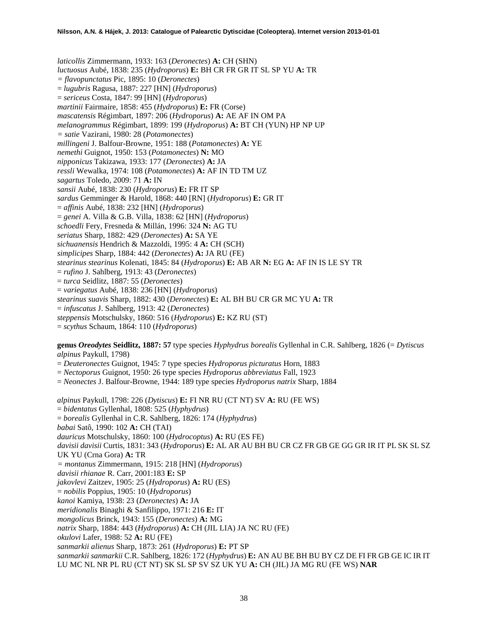*laticollis* Zimmermann, 1933: 163 (*Deronectes*) **A:** CH (SHN) *luctuosus* Aubé, 1838: 235 (*Hydroporus*) **E:** BH CR FR GR IT SL SP YU **A:** TR *= flavopunctatus* Pic, 1895: 10 (*Deronectes*) = *lugubris* Ragusa, 1887: 227 [HN] (*Hydroporus*) = *sericeus* Costa, 1847: 99 [HN] (*Hydroporus*) *martinii* Fairmaire, 1858: 455 (*Hydroporus*) **E:** FR (Corse) *mascatensis* Régimbart, 1897: 206 (*Hydroporus*) **A:** AE AF IN OM PA *melanogrammus* Régimbart, 1899: 199 (*Hydroporus*) **A:** BT CH (YUN) HP NP UP *= satie* Vazirani, 1980: 28 (*Potamonectes*) *millingeni* J. Balfour-Browne, 1951: 188 (*Potamonectes*) **A:** YE *nemethi* Guignot, 1950: 153 (*Potamonectes*) **N:** MO *nipponicus* Takizawa, 1933: 177 (*Deronectes*) **A:** JA *ressli* Wewalka, 1974: 108 (*Potamonectes*) **A:** AF IN TD TM UZ *sagartus* Toledo, 2009: 71 **A:** IN *sansii* Aubé, 1838: 230 (*Hydroporus*) **E:** FR IT SP *sardus* Gemminger & Harold, 1868: 440 [RN] (*Hydroporus*) **E:** GR IT = *affinis* Aubé, 1838: 232 [HN] (*Hydroporus*) = *genei* A. Villa & G.B. Villa, 1838: 62 [HN] (*Hydroporus*) *schoedli* Fery, Fresneda & Millán, 1996: 324 **N:** AG TU *seriatus* Sharp, 1882: 429 (*Deronectes*) **A:** SA YE *sichuanensis* Hendrich & Mazzoldi, 1995: 4 **A:** CH (SCH) *simplicipes* Sharp, 1884: 442 (*Deronectes*) **A:** JA RU (FE) *stearinus stearinus* Kolenati, 1845: 84 (*Hydroporus*) **E:** AB AR **N:** EG **A:** AF IN IS LE SY TR = *rufino* J. Sahlberg, 1913: 43 (*Deronectes*) = *turca* Seidlitz, 1887: 55 (*Deronectes*) = *variegatus* Aubé, 1838: 236 [HN] (*Hydroporus*) *stearinus suavis* Sharp, 1882: 430 (*Deronectes*) **E:** AL BH BU CR GR MC YU **A:** TR = *infuscatus* J. Sahlberg, 1913: 42 (*Deronectes*) *steppensis* Motschulsky, 1860: 516 (*Hydroporus*) **E:** KZ RU (ST)

= *scythus* Schaum, 1864: 110 (*Hydroporus*)

**genus** *Oreodytes* **Seidlitz, 1887: 57** type species *Hyphydrus borealis* Gyllenhal in C.R. Sahlberg, 1826 (= *Dytiscus alpinus* Paykull, 1798)

- = *Deuteronectes* Guignot, 1945: 7 type species *Hydroporus picturatus* Horn, 1883
- = *Nectoporus* Guignot, 1950: 26 type species *Hydroporus abbreviatus* Fall, 1923
- = *Neonectes* J. Balfour-Browne, 1944: 189 type species *Hydroporus natrix* Sharp, 1884

*alpinus* Paykull, 1798: 226 (*Dytiscus*) **E:** FI NR RU (CT NT) SV **A:** RU (FE WS) = *bidentatus* Gyllenhal, 1808: 525 (*Hyphydrus*) = *borealis* Gyllenhal in C.R. Sahlberg, 1826: 174 (*Hyphydrus*) *babai* Satô, 1990: 102 **A:** CH (TAI) *dauricus* Motschulsky, 1860: 100 (*Hydrocoptus*) **A:** RU (ES FE) *davisii davisii* Curtis, 1831: 343 (*Hydroporus*) **E:** AL AR AU BH BU CR CZ FR GB GE GG GR IR IT PL SK SL SZ UK YU (Crna Gora) **A:** TR *= montanus* Zimmermann, 1915: 218 [HN] (*Hydroporus*) *davisii rhianae* R. Carr, 2001:183 **E:** SP *jakovlevi* Zaitzev, 1905: 25 (*Hydroporus*) **A:** RU (ES) = *nobilis* Poppius, 1905: 10 (*Hydroporus*) *kanoi* Kamiya, 1938: 23 (*Deronectes*) **A:** JA *meridionalis* Binaghi & Sanfilippo, 1971: 216 **E:** IT *mongolicus* Brinck, 1943: 155 (*Deronectes*) **A:** MG *natrix* Sharp, 1884: 443 (*Hydroporus*) **A:** CH (JIL LIA) JA NC RU (FE) *okulovi* Lafer, 1988: 52 **A:** RU (FE) *sanmarkii alienus* Sharp, 1873: 261 (*Hydroporus*) **E:** PT SP *sanmarkii sanmarkii* C.R. Sahlberg, 1826: 172 (*Hyphydrus*) **E:** AN AU BE BH BU BY CZ DE FI FR GB GE IC IR IT LU MC NL NR PL RU (CT NT) SK SL SP SV SZ UK YU **A:** CH (JIL) JA MG RU (FE WS) **NAR**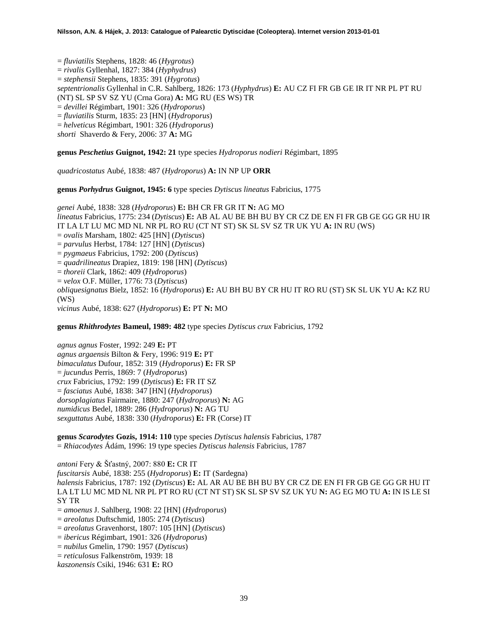= *fluviatilis* Stephens, 1828: 46 (*Hygrotus*)

= *rivalis* Gyllenhal, 1827: 384 (*Hyphydrus*)

= *stephensii* Stephens, 1835: 391 (*Hygrotus*)

*septentrionalis* Gyllenhal in C.R. Sahlberg, 1826: 173 (*Hyphydrus*) **E:** AU CZ FI FR GB GE IR IT NR PL PT RU

(NT) SL SP SV SZ YU (Crna Gora) **A:** MG RU (ES WS) TR

= *devillei* Régimbart, 1901: 326 (*Hydroporus*)

= *fluviatilis* Sturm, 1835: 23 [HN] (*Hydroporus*)

= *helveticus* Régimbart, 1901: 326 (*Hydroporus*)

*shorti* Shaverdo & Fery, 2006: 37 **A:** MG

**genus** *Peschetius* **Guignot, 1942: 21** type species *Hydroporus nodieri* Régimbart, 1895

*quadricostatus* Aubé, 1838: 487 (*Hydroporus*) **A:** IN NP UP **ORR**

**genus** *Porhydrus* **Guignot, 1945: 6** type species *Dytiscus lineatus* Fabricius, 1775

*genei* Aubé, 1838: 328 (*Hydroporus*) **E:** BH CR FR GR IT **N:** AG MO *lineatus* Fabricius, 1775: 234 (*Dytiscus*) **E:** AB AL AU BE BH BU BY CR CZ DE EN FI FR GB GE GG GR HU IR IT LA LT LU MC MD NL NR PL RO RU (CT NT ST) SK SL SV SZ TR UK YU **A:** IN RU (WS) = *ovalis* Marsham, 1802: 425 [HN] (*Dytiscus*) = *parvulus* Herbst, 1784: 127 [HN] (*Dytiscus*) = *pygmaeus* Fabricius, 1792: 200 (*Dytiscus*) = *quadrilineatus* Drapiez, 1819: 198 [HN] (*Dytiscus*) = *thoreii* Clark, 1862: 409 (*Hydroporus*) = *velox* O.F. Müller, 1776: 73 (*Dytiscus*) *obliquesignatus* Bielz, 1852: 16 (*Hydroporus*) **E:** AU BH BU BY CR HU IT RO RU (ST) SK SL UK YU **A:** KZ RU (WS) *vicinus* Aubé, 1838: 627 (*Hydroporus*) **E:** PT **N:** MO

**genus** *Rhithrodytes* **Bameul, 1989: 482** type species *Dytiscus crux* Fabricius, 1792

*agnus agnus* Foster, 1992: 249 **E:** PT *agnus argaensis* Bilton & Fery, 1996: 919 **E:** PT *bimaculatus* Dufour, 1852: 319 (*Hydroporus*) **E:** FR SP = *jucundus* Perris, 1869: 7 (*Hydroporus*) *crux* Fabricius, 1792: 199 (*Dytiscus*) **E:** FR IT SZ = *fasciatus* Aubé, 1838: 347 [HN] (*Hydroporus*) *dorsoplagiatus* Fairmaire, 1880: 247 (*Hydroporus*) **N:** AG *numidicus* Bedel, 1889: 286 (*Hydroporus*) **N:** AG TU *sexguttatus* Aubé, 1838: 330 (*Hydroporus*) **E:** FR (Corse) IT

**genus** *Scarodytes* **Gozis, 1914: 110** type species *Dytiscus halensis* Fabricius, 1787 = *Rhiacodytes* Ádám, 1996: 19 type species *Dytiscus halensis* Fabricius, 1787

*antoni* Fery & Šťastný, 2007: 880 **E:** CR IT *fuscitarsis* Aubé, 1838: 255 (*Hydroporus*) **E:** IT (Sardegna) *halensis* Fabricius, 1787: 192 (*Dytiscus*) **E:** AL AR AU BE BH BU BY CR CZ DE EN FI FR GB GE GG GR HU IT LA LT LU MC MD NL NR PL PT RO RU (CT NT ST) SK SL SP SV SZ UK YU **N:** AG EG MO TU **A:** IN IS LE SI SY TR = *amoenus* J. Sahlberg, 1908: 22 [HN] (*Hydroporus*)

= *areolatus* Duftschmid, 1805: 274 (*Dytiscus*)

= *areolatus* Gravenhorst, 1807: 105 [HN] (*Dytiscus*)

= *ibericus* Régimbart, 1901: 326 (*Hydroporus*)

- = *nubilus* Gmelin, 1790: 1957 (*Dytiscus*)
- = *reticulosus* Falkenström, 1939: 18

*kaszonensis* Csiki, 1946: 631 **E:** RO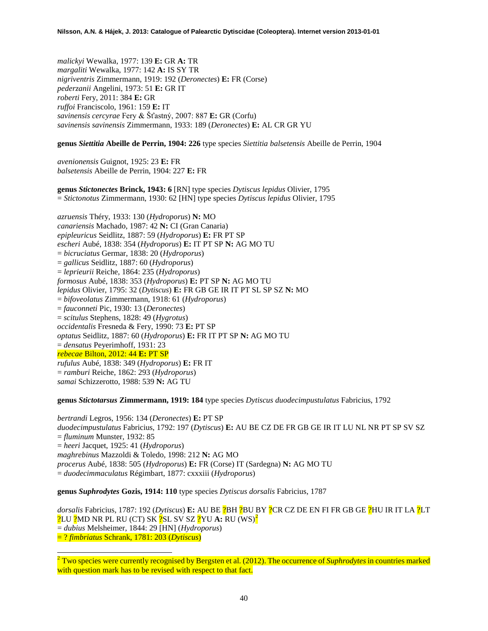*malickyi* Wewalka, 1977: 139 **E:** GR **A:** TR *margaliti* Wewalka, 1977: 142 **A:** IS SY TR *nigriventris* Zimmermann, 1919: 192 (*Deronectes*) **E:** FR (Corse) *pederzanii* Angelini, 1973: 51 **E:** GR IT *roberti* Fery, 2011: 384 **E:** GR *ruffoi* Franciscolo, 1961: 159 **E:** IT *savinensis cercyrae* Fery & Šťastný, 2007: 887 **E:** GR (Corfu) *savinensis savinensis* Zimmermann, 1933: 189 (*Deronectes*) **E:** AL CR GR YU

# **genus** *Siettitia* **Abeille de Perrin, 1904: 226** type species *Siettitia balsetensis* Abeille de Perrin, 1904

*avenionensis* Guignot, 1925: 23 **E:** FR *balsetensis* Abeille de Perrin, 1904: 227 **E:** FR

**genus** *Stictonectes* **Brinck, 1943: 6** [RN] type species *Dytiscus lepidus* Olivier, 1795 = *Stictonotus* Zimmermann, 1930: 62 [HN] type species *Dytiscus lepidus* Olivier, 1795

*azruensis* Théry, 1933: 130 (*Hydroporus*) **N:** MO *canariensis* Machado, 1987: 42 **N:** CI (Gran Canaria) *epipleuricus* Seidlitz, 1887: 59 (*Hydroporus*) **E:** FR PT SP *escheri* Aubé, 1838: 354 (*Hydroporus*) **E:** IT PT SP **N:** AG MO TU = *bicruciatus* Germar, 1838: 20 (*Hydroporus*) = *gallicus* Seidlitz, 1887: 60 (*Hydroporus*) = *leprieurii* Reiche, 1864: 235 (*Hydroporus*) *formosus* Aubé, 1838: 353 (*Hydroporus*) **E:** PT SP **N:** AG MO TU *lepidus* Olivier, 1795: 32 (*Dytiscus*) **E:** FR GB GE IR IT PT SL SP SZ **N:** MO = *bifoveolatus* Zimmermann, 1918: 61 (*Hydroporus*) = *fauconneti* Pic, 1930: 13 (*Deronectes*) = *scitulus* Stephens, 1828: 49 (*Hygrotus*) *occidentalis* Fresneda & Fery, 1990: 73 **E:** PT SP *optatus* Seidlitz, 1887: 60 (*Hydroporus*) **E:** FR IT PT SP **N:** AG MO TU = *densatus* Peyerimhoff, 1931: 23 *rebecae* Bilton, 2012: 44 **E:** PT SP *rufulus* Aubé, 1838: 349 (*Hydroporus*) **E:** FR IT = *ramburi* Reiche, 1862: 293 (*Hydroporus*) *samai* Schizzerotto, 1988: 539 **N:** AG TU

**genus** *Stictotarsus* **Zimmermann, 1919: 184** type species *Dytiscus duodecimpustulatus* Fabricius, 1792

*bertrandi* Legros, 1956: 134 (*Deronectes*) **E:** PT SP *duodecimpustulatus* Fabricius, 1792: 197 (*Dytiscus*) **E:** AU BE CZ DE FR GB GE IR IT LU NL NR PT SP SV SZ = *fluminum* Munster, 1932: 85 = *heeri* Jacquet, 1925: 41 (*Hydroporus*) *maghrebinus* Mazzoldi & Toledo, 1998: 212 **N:** AG MO *procerus* Aubé, 1838: 505 (*Hydroporus*) **E:** FR (Corse) IT (Sardegna) **N:** AG MO TU = *duodecimmaculatus* Régimbart, 1877: cxxxiii (*Hydroporus*)

**genus** *Suphrodytes* **Gozis, 1914: 110** type species *Dytiscus dorsalis* Fabricius, 1787

*dorsalis* Fabricius, 1787: 192 (*Dytiscus*) **E:** AU BE ?BH ?BU BY ?CR CZ DE EN FI FR GB GE ?HU IR IT LA ?LT ?LU ?MD NR PL RU (CT) SK ?SL SV SZ ?YU **A:** RU (WS)[2](#page-39-0) = *dubius* Melsheimer, 1844: 29 [HN] (*Hydroporus*) = ? *fimbriatus* Schrank, 1781: 203 (*Dytiscus*)

<span id="page-39-0"></span><sup>&</sup>lt;sup>2</sup> Two species were currently recognised by Bergsten et al. (2012). The occurrence of *Suphrodytes* in countries marked with question mark has to be revised with respect to that fact.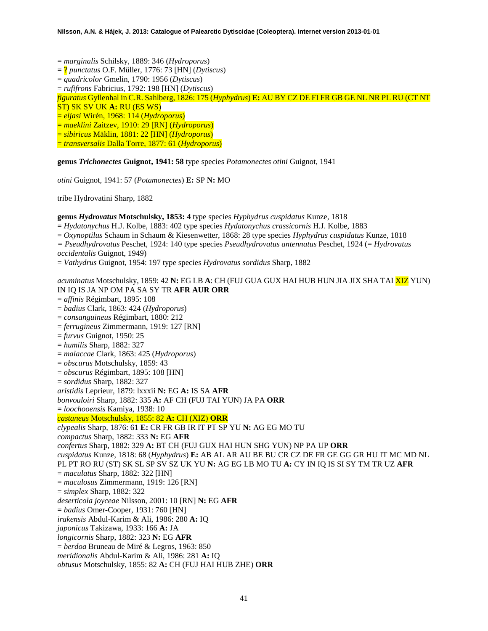= *marginalis* Schilsky, 1889: 346 (*Hydroporus*)

= ? *punctatus* O.F. Müller, 1776: 73 [HN] (*Dytiscus*)

= *quadricolor* Gmelin, 1790: 1956 (*Dytiscus*)

= *rufifrons* Fabricius, 1792: 198 [HN] (*Dytiscus*)

*figuratus* Gyllenhal in C.R. Sahlberg, 1826: 175 (*Hyphydrus*) **E:** AU BY CZ DE FI FR GB GE NL NR PL RU (CT NT ST) SK SV UK **A:** RU (ES WS)

= *eljasi* Wirén, 1968: 114 (*Hydroporus*)

= *maeklini* Zaitzev, 1910: 29 [RN] (*Hydroporus*)

= *sibiricus* Mäklin, 1881: 22 [HN] (*Hydroporus*)

= *transversalis* Dalla Torre, 1877: 61 (*Hydroporus*)

**genus** *Trichonectes* **Guignot, 1941: 58** type species *Potamonectes otini* Guignot, 1941

*otini* Guignot, 1941: 57 (*Potamonectes*) **E:** SP **N:** MO

tribe Hydrovatini Sharp, 1882

**genus** *Hydrovatus* **Motschulsky, 1853: 4** type species *Hyphydrus cuspidatus* Kunze, 1818

= *Hydatonychus* H.J. Kolbe, 1883: 402 type species *Hydatonychus crassicornis* H.J. Kolbe, 1883

= *Oxynoptilus* Schaum in Schaum & Kiesenwetter, 1868: 28 type species *Hyphydrus cuspidatus* Kunze, 1818

*= Pseudhydrovatus* Peschet, 1924: 140 type species *Pseudhydrovatus antennatus* Peschet, 1924 (= *Hydrovatus* 

*occidentalis* Guignot, 1949)

= *Vathydrus* Guignot, 1954: 197 type species *Hydrovatus sordidus* Sharp, 1882

*acuminatus* Motschulsky, 1859: 42 **N:** EG LB **A**: CH (FUJ GUA GUX HAI HUB HUN JIA JIX SHA TAI XIZ YUN) IN IQ IS JA NP OM PA SA SY TR **AFR AUR ORR** = *affinis* Régimbart, 1895: 108 = *badius* Clark, 1863: 424 (*Hydroporus*) = *consanguineus* Régimbart, 1880: 212 = *ferrugineus* Zimmermann, 1919: 127 [RN] = *furvus* Guignot, 1950: 25 = *humilis* Sharp, 1882: 327 = *malaccae* Clark, 1863: 425 (*Hydroporus*) = *obscurus* Motschulsky, 1859: 43 = *obscurus* Régimbart, 1895: 108 [HN] = *sordidus* Sharp, 1882: 327 *aristidis* Leprieur, 1879: lxxxii **N:** EG **A:** IS SA **AFR** *bonvouloiri* Sharp, 1882: 335 **A:** AF CH (FUJ TAI YUN) JA PA **ORR** = *loochooensis* Kamiya, 1938: 10 *castaneus* Motschulsky, 1855: 82 **A:** CH (XIZ) **ORR** *clypealis* Sharp, 1876: 61 **E:** CR FR GB IR IT PT SP YU **N:** AG EG MO TU *compactus* Sharp, 1882: 333 **N:** EG **AFR** *confertus* Sharp, 1882: 329 **A:** BT CH (FUJ GUX HAI HUN SHG YUN) NP PA UP **ORR** *cuspidatus* Kunze, 1818: 68 (*Hyphydrus*) **E:** AB AL AR AU BE BU CR CZ DE FR GE GG GR HU IT MC MD NL PL PT RO RU (ST) SK SL SP SV SZ UK YU **N:** AG EG LB MO TU **A:** CY IN IQ IS SI SY TM TR UZ **AFR** = *maculatus* Sharp, 1882: 322 [HN] = *maculosus* Zimmermann, 1919: 126 [RN] = *simplex* Sharp, 1882: 322 *deserticola joyceae* Nilsson, 2001: 10 [RN] **N:** EG **AFR** = *badius* Omer-Cooper, 1931: 760 [HN] *irakensis* Abdul-Karim & Ali, 1986: 280 **A:** IQ *japonicus* Takizawa, 1933: 166 **A:** JA *longicornis* Sharp, 1882: 323 **N:** EG **AFR** = *berdoa* Bruneau de Miré & Legros, 1963: 850 *meridionalis* Abdul-Karim & Ali, 1986: 281 **A:** IQ *obtusus* Motschulsky, 1855: 82 **A:** CH (FUJ HAI HUB ZHE) **ORR**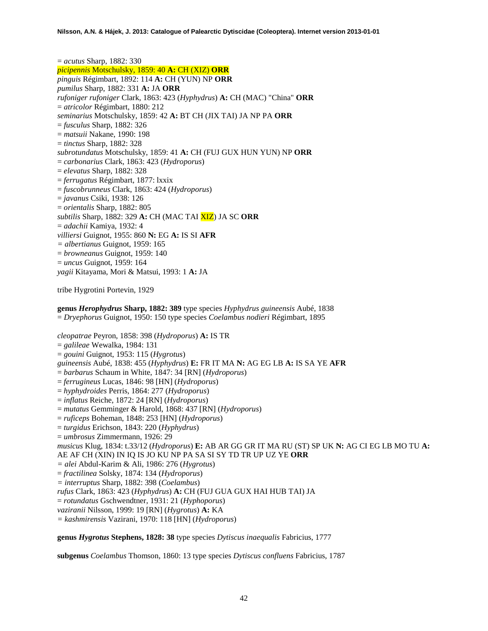= *acutus* Sharp, 1882: 330 *picipennis* Motschulsky, 1859: 40 **A:** CH (XIZ) **ORR** *pinguis* Régimbart, 1892: 114 **A:** CH (YUN) NP **ORR** *pumilus* Sharp, 1882: 331 **A:** JA **ORR** *rufoniger rufoniger* Clark, 1863: 423 (*Hyphydrus*) **A:** CH (MAC) "China" **ORR** = *atricolor* Régimbart, 1880: 212 *seminarius* Motschulsky, 1859: 42 **A:** BT CH (JIX TAI) JA NP PA **ORR** = *fusculus* Sharp, 1882: 326 = *matsuii* Nakane, 1990: 198 = *tinctus* Sharp, 1882: 328 *subrotundatus* Motschulsky, 1859: 41 **A:** CH (FUJ GUX HUN YUN) NP **ORR** = *carbonarius* Clark, 1863: 423 (*Hydroporus*) = *elevatus* Sharp, 1882: 328 = *ferrugatus* Régimbart, 1877: lxxix = *fuscobrunneus* Clark, 1863: 424 (*Hydroporus*) = *javanus* Csiki, 1938: 126 = *orientalis* Sharp, 1882: 805 *subtilis* Sharp, 1882: 329 **A:** CH (MAC TAI XIZ) JA SC **ORR** = *adachii* Kamiya, 1932: 4 *villiersi* Guignot, 1955: 860 **N:** EG **A:** IS SI **AFR** *= albertianus* Guignot, 1959: 165 = *browneanus* Guignot, 1959: 140 = *uncus* Guignot, 1959: 164 *yagii* Kitayama, Mori & Matsui, 1993: 1 **A:** JA

tribe Hygrotini Portevin, 1929

**genus** *Herophydrus* **Sharp, 1882: 389** type species *Hyphydrus guineensis* Aubé, 1838 = *Dryephorus* Guignot, 1950: 150 type species *Coelambus nodieri* Régimbart, 1895

*cleopatrae* Peyron, 1858: 398 (*Hydroporus*) **A:** IS TR

- = *galileae* Wewalka, 1984: 131
- = *gouini* Guignot, 1953: 115 (*Hygrotus*)
- *guineensis* Aubé, 1838: 455 (*Hyphydrus*) **E:** FR IT MA **N:** AG EG LB **A:** IS SA YE **AFR**
- = *barbarus* Schaum in White, 1847: 34 [RN] (*Hydroporus*)
- = *ferrugineus* Lucas, 1846: 98 [HN] (*Hydroporus*)
- = *hyphydroides* Perris, 1864: 277 (*Hydroporus*)
- = *inflatus* Reiche, 1872: 24 [RN] (*Hydroporus*)
- = *mutatus* Gemminger & Harold, 1868: 437 [RN] (*Hydroporus*)
- = *ruficeps* Boheman, 1848: 253 [HN] (*Hydroporus*)
- = *turgidus* Erichson, 1843: 220 (*Hyphydrus*)
- = *umbrosus* Zimmermann, 1926: 29

*musicus* Klug, 1834: t.33/12 (*Hydroporus*) **E:** AB AR GG GR IT MA RU (ST) SP UK **N:** AG CI EG LB MO TU **A:** AE AF CH (XIN) IN IQ IS JO KU NP PA SA SI SY TD TR UP UZ YE **ORR**

- *= alei* Abdul-Karim & Ali, 1986: 276 (*Hygrotus*)
- = *fractilinea* Solsky, 1874: 134 (*Hydroporus*)
- *= interruptus* Sharp, 1882: 398 (*Coelambus*)

*rufus* Clark, 1863: 423 (*Hyphydrus*) **A:** CH (FUJ GUA GUX HAI HUB TAI) JA

= *rotundatus* Gschwendtner, 1931: 21 (*Hyphoporus*)

*vaziranii* Nilsson, 1999: 19 [RN] (*Hygrotus*) **A:** KA

*= kashmirensis* Vazirani, 1970: 118 [HN] (*Hydroporus*)

**genus** *Hygrotus* **Stephens, 1828: 38** type species *Dytiscus inaequalis* Fabricius, 1777

**subgenus** *Coelambus* Thomson, 1860: 13 type species *Dytiscus confluens* Fabricius, 1787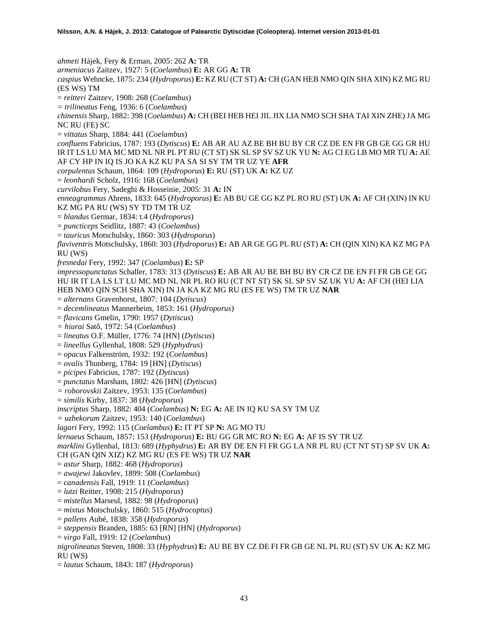*ahmeti* Hájek, Fery & Erman, 2005: 262 **A:** TR *armeniacus* Zaitzev, 1927: 5 (*Coelambus*) **E:** AR GG **A:** TR *caspius* Wehncke, 1875: 234 (*Hydroporus*) **E:** KZ RU (CT ST) **A:** CH (GAN HEB NMO QIN SHA XIN) KZ MG RU (ES WS) TM = *reitteri* Zaitzev, 1908: 268 (*Coelambus*) *= trilineatus* Feng, 1936: 6 (*Coelambus*) *chinensis* Sharp, 1882: 398 (*Coelambus*) **A:** CH (BEI HEB HEI JIL JIX LIA NMO SCH SHA TAI XIN ZHE) JA MG NC RU (FE) SC = *vittatus* Sharp, 1884: 441 (*Coelambus*) *confluens* Fabricius, 1787: 193 (*Dytiscus*) **E:** AB AR AU AZ BE BH BU BY CR CZ DE EN FR GB GE GG GR HU IR IT LS LU MA MC MD NL NR PL PT RU (CT ST) SK SL SP SV SZ UK YU **N:** AG CI EG LB MO MR TU **A:** AE AF CY HP IN IQ IS JO KA KZ KU PA SA SI SY TM TR UZ YE **AFR** *corpulentus* Schaum, 1864: 109 (*Hydroporus*) **E:** RU (ST) UK **A:** KZ UZ = *leonhardi* Scholz, 1916: 168 (*Coelambus*) *curvilobus* Fery, Sadeghi & Hosseinie, 2005: 31 **A:** IN *enneagrammus* Ahrens, 1833: 645 (*Hydroporus*) **E:** AB BU GE GG KZ PL RO RU (ST) UK **A:** AF CH (XIN) IN KU KZ MG PA RU (WS) SY TD TM TR UZ = *blandus* Germar, 1834: t.4 (*Hydroporus*) = *puncticeps* Seidlitz, 1887: 43 (*Coelambus*) = *tauricus* Motschulsky, 1860: 303 (*Hydroporus*) *flaviventris* Motschulsky, 1860: 303 (*Hydroporus*) **E:** AB AR GE GG PL RU (ST) **A:** CH (QIN XIN) KA KZ MG PA RU (WS) *fresnedai* Fery, 1992: 347 (*Coelambus*) **E:** SP *impressopunctatus* Schaller, 1783: 313 (*Dytiscus*) **E:** AB AR AU BE BH BU BY CR CZ DE EN FI FR GB GE GG HU IR IT LA LS LT LU MC MD NL NR PL RO RU (CT NT ST) SK SL SP SV SZ UK YU **A:** AF CH (HEI LIA HEB NMO QIN SCH SHA XIN) IN JA KA KZ MG RU (ES FE WS) TM TR UZ **NAR** = *alternans* Gravenhorst, 1807: 104 (*Dytiscus*) = *decemlineatus* Mannerheim, 1853: 161 (*Hydroporus*) = *flavicans* Gmelin, 1790: 1957 (*Dytiscus*) *= hiurai* Satô, 1972: 54 (*Coelambus*) = *lineatus* O.F. Müller, 1776: 74 [HN] (*Dytiscus*) = *lineellus* Gyllenhal, 1808: 529 (*Hyphydrus*) = *opacus* Falkenström, 1932: 192 (*Coelambus*) = *ovalis* Thunberg, 1784: 19 [HN] (*Dytiscus*) = *picipes* Fabricius, 1787: 192 (*Dytiscus*) = *punctatus* Marsham, 1802: 426 [HN] (*Dytiscus*) *= roborovskii* Zaitzev, 1953: 135 (*Coelambus*) = *similis* Kirby, 1837: 38 (*Hydroporus*) *inscriptus* Sharp, 1882: 404 (*Coelambus*) **N:** EG **A:** AE IN IQ KU SA SY TM UZ *= uzbekorum* Zaitzev, 1953: 140 (*Coelambus*) *lagari* Fery, 1992: 115 (*Coelambus*) **E:** IT PT SP **N:** AG MO TU *lernaeus* Schaum, 1857: 153 (*Hydroporus*) **E:** BU GG GR MC RO **N:** EG **A:** AF IS SY TR UZ *marklini* Gyllenhal, 1813: 689 (*Hyphydrus*) **E:** AR BY DE EN FI FR GG LA NR PL RU (CT NT ST) SP SV UK **A:**  CH (GAN QIN XIZ) KZ MG RU (ES FE WS) TR UZ **NAR** = *astur* Sharp, 1882: 468 (*Hydroporus*) = *awajewi* Jakovlev, 1899: 508 (*Coelambus*) = *canadensis* Fall, 1919: 11 (*Coelambus*) = *lutzi* Reitter, 1908: 215 (*Hydroporus*) = *mistellus* Marseul, 1882: 98 (*Hydroporus*) = *mixtus* Motschulsky, 1860: 515 (*Hydrocoptus*) = *pallens* Aubé, 1838: 358 (*Hydroporus*) = *steppensis* Branden, 1885: 63 [RN] [HN] (*Hydroporus*) = *virgo* Fall, 1919: 12 (*Coelambus*) *nigrolineatus* Steven, 1808: 33 (*Hyphydrus*) **E:** AU BE BY CZ DE FI FR GB GE NL PL RU (ST) SV UK **A:** KZ MG RU (WS) = *lautus* Schaum, 1843: 187 (*Hydroporus*)

43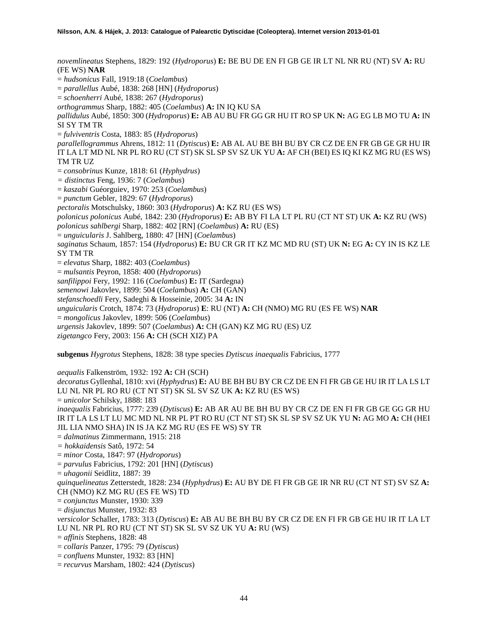*novemlineatus* Stephens, 1829: 192 (*Hydroporus*) **E:** BE BU DE EN FI GB GE IR LT NL NR RU (NT) SV **A:** RU (FE WS) **NAR** = *hudsonicus* Fall, 1919:18 (*Coelambus*) = *parallellus* Aubé, 1838: 268 [HN] (*Hydroporus*) = *schoenherri* Aubé, 1838: 267 (*Hydroporus*) *orthogrammus* Sharp, 1882: 405 (*Coelambus*) **A:** IN IQ KU SA *pallidulus* Aubé, 1850: 300 (*Hydroporus*) **E:** AB AU BU FR GG GR HU IT RO SP UK **N:** AG EG LB MO TU **A:** IN SI SY TM TR = *fulviventris* Costa, 1883: 85 (*Hydroporus*) *parallellogrammus* Ahrens, 1812: 11 (*Dytiscus*) **E:** AB AL AU BE BH BU BY CR CZ DE EN FR GB GE GR HU IR IT LA LT MD NL NR PL RO RU (CT ST) SK SL SP SV SZ UK YU **A:** AF CH (BEI) ES IQ KI KZ MG RU (ES WS) TM TR UZ = *consobrinus* Kunze, 1818: 61 (*Hyphydrus*) *= distinctus* Feng, 1936: 7 (*Coelambus*) = *kaszabi* Guéorguiev, 1970: 253 (*Coelambus*) = *punctum* Gebler, 1829: 67 (*Hydroporus*) *pectoralis* Motschulsky, 1860: 303 (*Hydroporus*) **A:** KZ RU (ES WS) *polonicus polonicus* Aubé, 1842: 230 (*Hydroporus*) **E:** AB BY FI LA LT PL RU (CT NT ST) UK **A:** KZ RU (WS) *polonicus sahlbergi* Sharp, 1882: 402 [RN] (*Coelambus*) **A:** RU (ES) = *unguicularis* J. Sahlberg, 1880: 47 [HN] (*Coelambus*) *saginatus* Schaum, 1857: 154 (*Hydroporus*) **E:** BU CR GR IT KZ MC MD RU (ST) UK **N:** EG **A:** CY IN IS KZ LE SY TM TR = *elevatus* Sharp, 1882: 403 (*Coelambus*) = *mulsantis* Peyron, 1858: 400 (*Hydroporus*) *sanfilippoi* Fery, 1992: 116 (*Coelambus*) **E:** IT (Sardegna) *semenowi* Jakovlev, 1899: 504 (*Coelambus*) **A:** CH (GAN) *stefanschoedli* Fery, Sadeghi & Hosseinie, 2005: 34 **A:** IN *unguicularis* Crotch, 1874: 73 (*Hydroporus*) **E**: RU (NT) **A:** CH (NMO) MG RU (ES FE WS) **NAR** = *mongolicus* Jakovlev, 1899: 506 (*Coelambus*) *urgensis* Jakovlev, 1899: 507 (*Coelambus*) **A:** CH (GAN) KZ MG RU (ES) UZ *zigetangco* Fery, 2003: 156 **A:** CH (SCH XIZ) PA **subgenus** *Hygrotus* Stephens, 1828: 38 type species *Dytiscus inaequalis* Fabricius, 1777

*aequalis* Falkenström, 1932: 192 **A:** CH (SCH) *decoratus* Gyllenhal, 1810: xvi (*Hyphydrus*) **E:** AU BE BH BU BY CR CZ DE EN FI FR GB GE HU IR IT LA LS LT LU NL NR PL RO RU (CT NT ST) SK SL SV SZ UK **A:** KZ RU (ES WS) = *unicolor* Schilsky, 1888: 183 *inaequalis* Fabricius, 1777: 239 (*Dytiscus*) **E:** AB AR AU BE BH BU BY CR CZ DE EN FI FR GB GE GG GR HU IR IT LA LS LT LU MC MD NL NR PL PT RO RU (CT NT ST) SK SL SP SV SZ UK YU **N:** AG MO **A:** CH (HEI JIL LIA NMO SHA) IN IS JA KZ MG RU (ES FE WS) SY TR = *dalmatinus* Zimmermann, 1915: 218 *= hokkaidensis* Satô, 1972: 54 = *minor* Costa, 1847: 97 (*Hydroporus*) = *parvulus* Fabricius, 1792: 201 [HN] (*Dytiscus*) = *uhagonii* Seidlitz, 1887: 39 *quinquelineatus* Zetterstedt, 1828: 234 (*Hyphydrus*) **E:** AU BY DE FI FR GB GE IR NR RU (CT NT ST) SV SZ **A:**  CH (NMO) KZ MG RU (ES FE WS) TD = *conjunctus* Munster, 1930: 339 = *disjunctus* Munster, 1932: 83 *versicolor* Schaller, 1783: 313 (*Dytiscus*) **E:** AB AU BE BH BU BY CR CZ DE EN FI FR GB GE HU IR IT LA LT LU NL NR PL RO RU (CT NT ST) SK SL SV SZ UK YU **A:** RU (WS) = *affinis* Stephens, 1828: 48 = *collaris* Panzer, 1795: 79 (*Dytiscus*) = *confluens* Munster, 1932: 83 [HN]

= *recurvus* Marsham, 1802: 424 (*Dytiscus*)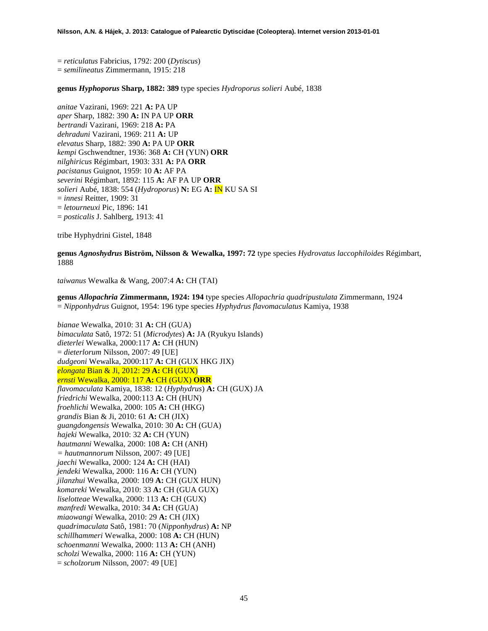= *reticulatus* Fabricius, 1792: 200 (*Dytiscus*) = *semilineatus* Zimmermann, 1915: 218

**genus** *Hyphoporus* **Sharp, 1882: 389** type species *Hydroporus solieri* Aubé, 1838

*anitae* Vazirani, 1969: 221 **A:** PA UP *aper* Sharp, 1882: 390 **A:** IN PA UP **ORR** *bertrandi* Vazirani, 1969: 218 **A:** PA *dehraduni* Vazirani, 1969: 211 **A:** UP *elevatus* Sharp, 1882: 390 **A:** PA UP **ORR** *kempi* Gschwendtner, 1936: 368 **A:** CH (YUN) **ORR** *nilghiricus* Régimbart, 1903: 331 **A:** PA **ORR** *pacistanus* Guignot, 1959: 10 **A:** AF PA *severini* Régimbart, 1892: 115 **A:** AF PA UP **ORR** *solieri* Aubé, 1838: 554 (*Hydroporus*) **N:** EG **A:** IN KU SA SI = *innesi* Reitter, 1909: 31 = *letourneuxi* Pic, 1896: 141 = *posticalis* J. Sahlberg, 1913: 41

tribe Hyphydrini Gistel, 1848

**genus** *Agnoshydrus* **Biström, Nilsson & Wewalka, 1997: 72** type species *Hydrovatus laccophiloides* Régimbart, 1888

*taiwanus* Wewalka & Wang, 2007:4 **A:** CH (TAI)

**genus** *Allopachria* **Zimmermann, 1924: 194** type species *Allopachria quadripustulata* Zimmermann, 1924 = *Nipponhydrus* Guignot, 1954: 196 type species *Hyphydrus flavomaculatus* Kamiya, 1938

*bianae* Wewalka, 2010: 31 **A:** CH (GUA) *bimaculata* Satô, 1972: 51 (*Microdytes*) **A:** JA (Ryukyu Islands) *dieterlei* Wewalka, 2000:117 **A:** CH (HUN) = *dieterlorum* Nilsson, 2007: 49 [UE] *dudgeoni* Wewalka, 2000:117 **A:** CH (GUX HKG JIX) *elongata* Bian & Ji, 2012: 29 **A:** CH (GUX) *ernsti* Wewalka, 2000: 117 **A:** CH (GUX) **ORR** *flavomaculata* Kamiya, 1838: 12 (*Hyphydrus*) **A:** CH (GUX) JA *friedrichi* Wewalka, 2000:113 **A:** CH (HUN) *froehlichi* Wewalka, 2000: 105 **A:** CH (HKG) *grandis* Bian & Ji, 2010: 61 **A:** CH (JIX) *guangdongensis* Wewalka, 2010: 30 **A:** CH (GUA) *hajeki* Wewalka, 2010: 32 **A:** CH (YUN) *hautmanni* Wewalka, 2000: 108 **A:** CH (ANH) *= hautmannorum* Nilsson, 2007: 49 [UE] *jaechi* Wewalka, 2000: 124 **A:** CH (HAI) *jendeki* Wewalka, 2000: 116 **A:** CH (YUN) *jilanzhui* Wewalka, 2000: 109 **A:** CH (GUX HUN) *komareki* Wewalka, 2010: 33 **A:** CH (GUA GUX) *liselotteae* Wewalka, 2000: 113 **A:** CH (GUX) *manfredi* Wewalka, 2010: 34 **A:** CH (GUA) *miaowangi* Wewalka, 2010: 29 **A:** CH (JIX) *quadrimaculata* Satô, 1981: 70 (*Nipponhydrus*) **A:** NP *schillhammeri* Wewalka, 2000: 108 **A:** CH (HUN) *schoenmanni* Wewalka, 2000: 113 **A:** CH (ANH) *scholzi* Wewalka, 2000: 116 **A:** CH (YUN) = *scholzorum* Nilsson, 2007: 49 [UE]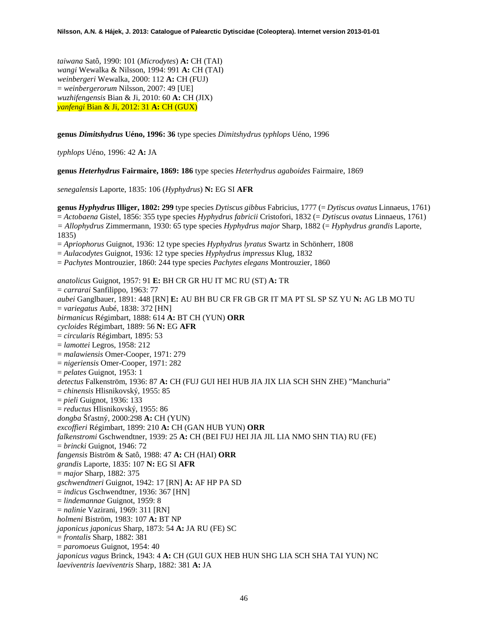*taiwana* Satô, 1990: 101 (*Microdytes*) **A:** CH (TAI) *wangi* Wewalka & Nilsson, 1994: 991 **A:** CH (TAI) *weinbergeri* Wewalka, 2000: 112 **A:** CH (FUJ) = *weinbergerorum* Nilsson, 2007: 49 [UE] *wuzhifengensis* Bian & Ji, 2010: 60 **A:** CH (JIX) *yanfengi* Bian & Ji, 2012: 31 **A:** CH (GUX)

**genus** *Dimitshydrus* **Uéno, 1996: 36** type species *Dimitshydrus typhlops* Uéno, 1996

*typhlops* Uéno, 1996: 42 **A:** JA

**genus** *Heterhydrus* **Fairmaire, 1869: 186** type species *Heterhydrus agaboides* Fairmaire, 1869

*senegalensis* Laporte, 1835: 106 (*Hyphydrus*) **N:** EG SI **AFR**

**genus** *Hyphydrus* **Illiger, 1802: 299** type species *Dytiscus gibbus* Fabricius, 1777 (= *Dytiscus ovatus* Linnaeus, 1761) = *Actobaena* Gistel, 1856: 355 type species *Hyphydrus fabricii* Cristofori, 1832 (= *Dytiscus ovatus* Linnaeus, 1761) *= Allophydrus* Zimmermann, 1930: 65 type species *Hyphydrus major* Sharp, 1882 (= *Hyphydrus grandis* Laporte, 1835) = *Apriophorus* Guignot, 1936: 12 type species *Hyphydrus lyratus* Swartz in Schönherr, 1808 = *Aulacodytes* Guignot, 1936: 12 type species *Hyphydrus impressus* Klug, 1832 = *Pachytes* Montrouzier, 1860: 244 type species *Pachytes elegans* Montrouzier, 1860 *anatolicus* Guignot, 1957: 91 **E:** BH CR GR HU IT MC RU (ST) **A:** TR = *carrarai* Sanfilippo, 1963: 77 *aubei* Ganglbauer, 1891: 448 [RN] **E:** AU BH BU CR FR GB GR IT MA PT SL SP SZ YU **N:** AG LB MO TU = *variegatus* Aubé, 1838: 372 [HN] *birmanicus* Régimbart, 1888: 614 **A:** BT CH (YUN) **ORR** *cycloides* Régimbart, 1889: 56 **N:** EG **AFR** = *circularis* Régimbart, 1895: 53 = *lamottei* Legros, 1958: 212 = *malawiensis* Omer-Cooper, 1971: 279 = *nigeriensis* Omer-Cooper, 1971: 282 = *pelates* Guignot, 1953: 1 *detectus* Falkenström, 1936: 87 **A:** CH (FUJ GUI HEI HUB JIA JIX LIA SCH SHN ZHE) "Manchuria" = *chinensis* Hlisnikovský, 1955: 85 = *pieli* Guignot, 1936: 133 = *reductus* Hlisnikovský, 1955: 86 *dongba* Šťastný, 2000:298 **A:** CH (YUN) *excoffieri* Régimbart, 1899: 210 **A:** CH (GAN HUB YUN) **ORR** *falkenstromi* Gschwendtner, 1939: 25 **A:** CH (BEI FUJ HEI JIA JIL LIA NMO SHN TIA) RU (FE) = *brincki* Guignot, 1946: 72 *fangensis* Biström & Satô, 1988: 47 **A:** CH (HAI) **ORR** *grandis* Laporte, 1835: 107 **N:** EG SI **AFR** = *major* Sharp, 1882: 375 *gschwendtneri* Guignot, 1942: 17 [RN] **A:** AF HP PA SD = *indicus* Gschwendtner, 1936: 367 [HN] = *lindemannae* Guignot, 1959: 8 = *nalinie* Vazirani, 1969: 311 [RN] *holmeni* Biström, 1983: 107 **A:** BT NP *japonicus japonicus* Sharp, 1873: 54 **A:** JA RU (FE) SC = *frontalis* Sharp, 1882: 381 = *paromoeus* Guignot, 1954: 40 *japonicus vagus* Brinck, 1943: 4 **A:** CH (GUI GUX HEB HUN SHG LIA SCH SHA TAI YUN) NC *laeviventris laeviventris* Sharp, 1882: 381 **A:** JA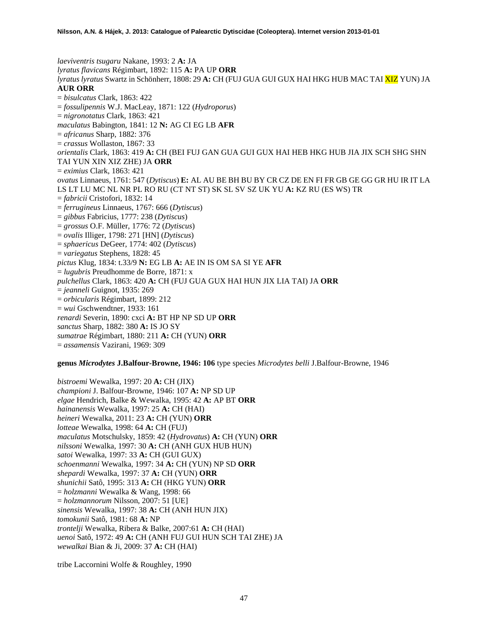*laeviventris tsugaru* Nakane, 1993: 2 **A:** JA *lyratus flavicans* Régimbart, 1892: 115 **A:** PA UP **ORR** *lyratus lyratus* Swartz in Schönherr, 1808: 29 **A:** CH (FUJ GUA GUI GUX HAI HKG HUB MAC TAI XIZ YUN) JA **AUR ORR** = *bisulcatus* Clark, 1863: 422 = *fossulipennis* W.J. MacLeay, 1871: 122 (*Hydroporus*) = *nigronotatus* Clark, 1863: 421 *maculatus* Babington, 1841: 12 **N:** AG CI EG LB **AFR** = *africanus* Sharp, 1882: 376 = *crassus* Wollaston, 1867: 33 *orientalis* Clark, 1863: 419 **A:** CH (BEI FUJ GAN GUA GUI GUX HAI HEB HKG HUB JIA JIX SCH SHG SHN TAI YUN XIN XIZ ZHE) JA **ORR** = *eximius* Clark, 1863: 421 *ovatus* Linnaeus, 1761: 547 (*Dytiscus*) **E:** AL AU BE BH BU BY CR CZ DE EN FI FR GB GE GG GR HU IR IT LA LS LT LU MC NL NR PL RO RU (CT NT ST) SK SL SV SZ UK YU **A:** KZ RU (ES WS) TR = *fabricii* Cristofori, 1832: 14 = *ferrugineus* Linnaeus, 1767: 666 (*Dytiscus*) = *gibbus* Fabricius, 1777: 238 (*Dytiscus*) = *grossus* O.F. Müller, 1776: 72 (*Dytiscus*) = *ovalis* Illiger, 1798: 271 [HN] (*Dytiscus*) = *sphaericus* DeGeer, 1774: 402 (*Dytiscus*) = *variegatus* Stephens, 1828: 45 *pictus* Klug, 1834: t.33/9 **N:** EG LB **A:** AE IN IS OM SA SI YE **AFR** = *lugubris* Preudhomme de Borre, 1871: x *pulchellus* Clark, 1863: 420 **A:** CH (FUJ GUA GUX HAI HUN JIX LIA TAI) JA **ORR** = *jeanneli* Guignot, 1935: 269 = *orbicularis* Régimbart, 1899: 212 = *wui* Gschwendtner, 1933: 161 *renardi* Severin, 1890: cxci **A:** BT HP NP SD UP **ORR** *sanctus* Sharp, 1882: 380 **A:** IS JO SY *sumatrae* Régimbart, 1880: 211 **A:** CH (YUN) **ORR** = *assamensis* Vazirani, 1969: 309

# **genus** *Microdytes* **J.Balfour-Browne, 1946: 106** type species *Microdytes belli* J.Balfour-Browne, 1946

*bistroemi* Wewalka, 1997: 20 **A:** CH (JIX) *championi* J. Balfour-Browne, 1946: 107 **A:** NP SD UP *elgae* Hendrich, Balke & Wewalka, 1995: 42 **A:** AP BT **ORR** *hainanensis* Wewalka, 1997: 25 **A:** CH (HAI) *heineri* Wewalka, 2011: 23 **A:** CH (YUN) **ORR** *lotteae* Wewalka, 1998: 64 **A:** CH (FUJ) *maculatus* Motschulsky, 1859: 42 (*Hydrovatus*) **A:** CH (YUN) **ORR** *nilssoni* Wewalka, 1997: 30 **A:** CH (ANH GUX HUB HUN) *satoi* Wewalka, 1997: 33 **A:** CH (GUI GUX) *schoenmanni* Wewalka, 1997: 34 **A:** CH (YUN) NP SD **ORR** *shepardi* Wewalka, 1997: 37 **A:** CH (YUN) **ORR** *shunichii* Satô, 1995: 313 **A:** CH (HKG YUN) **ORR** = *holzmanni* Wewalka & Wang, 1998: 66 = *holzmannorum* Nilsson, 2007: 51 [UE] *sinensis* Wewalka, 1997: 38 **A:** CH (ANH HUN JIX) *tomokunii* Satô, 1981: 68 **A:** NP *trontelji* Wewalka, Ribera & Balke, 2007:61 **A:** CH (HAI) *uenoi* Satô, 1972: 49 **A:** CH (ANH FUJ GUI HUN SCH TAI ZHE) JA *wewalkai* Bian & Ji, 2009: 37 **A:** CH (HAI)

tribe Laccornini Wolfe & Roughley, 1990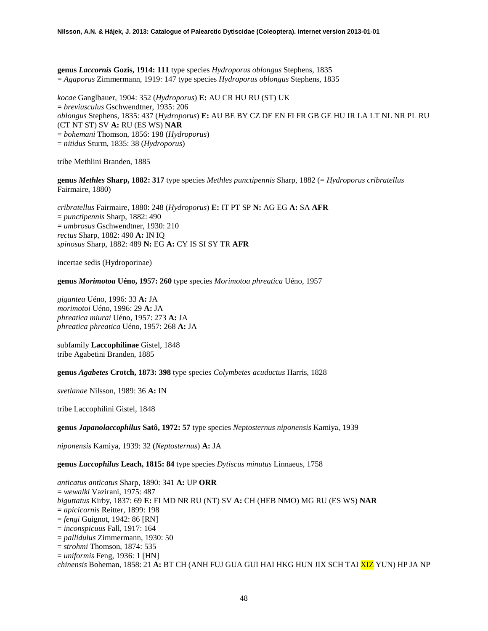**genus** *Laccornis* **Gozis, 1914: 111** type species *Hydroporus oblongus* Stephens, 1835 = *Agaporus* Zimmermann, 1919: 147 type species *Hydroporus oblongus* Stephens, 1835

*kocae* Ganglbauer, 1904: 352 (*Hydroporus*) **E:** AU CR HU RU (ST) UK = *breviusculus* Gschwendtner, 1935: 206 *oblongus* Stephens, 1835: 437 (*Hydroporus*) **E:** AU BE BY CZ DE EN FI FR GB GE HU IR LA LT NL NR PL RU (CT NT ST) SV **A:** RU (ES WS) **NAR** = *bohemani* Thomson, 1856: 198 (*Hydroporus*) = *nitidus* Sturm, 1835: 38 (*Hydroporus*)

tribe Methlini Branden, 1885

**genus** *Methles* **Sharp, 1882: 317** type species *Methles punctipennis* Sharp, 1882 (= *Hydroporus cribratellus* Fairmaire, 1880)

*cribratellus* Fairmaire, 1880: 248 (*Hydroporus*) **E:** IT PT SP **N:** AG EG **A:** SA **AFR** = *punctipennis* Sharp, 1882: 490 = *umbrosus* Gschwendtner, 1930: 210 *rectus* Sharp, 1882: 490 **A:** IN IQ *spinosus* Sharp, 1882: 489 **N:** EG **A:** CY IS SI SY TR **AFR**

incertae sedis (Hydroporinae)

**genus** *Morimotoa* **Uéno, 1957: 260** type species *Morimotoa phreatica* Uéno, 1957

*gigantea* Uéno, 1996: 33 **A:** JA *morimotoi* Uéno, 1996: 29 **A:** JA *phreatica miurai* Uéno, 1957: 273 **A:** JA *phreatica phreatica* Uéno, 1957: 268 **A:** JA

subfamily **Laccophilinae** Gistel, 1848 tribe Agabetini Branden, 1885

**genus** *Agabetes* **Crotch, 1873: 398** type species *Colymbetes acuductus* Harris, 1828

*svetlanae* Nilsson, 1989: 36 **A:** IN

tribe Laccophilini Gistel, 1848

**genus** *Japanolaccophilus* **Satô, 1972: 57** type species *Neptosternus niponensis* Kamiya, 1939

*niponensis* Kamiya, 1939: 32 (*Neptosternus*) **A:** JA

**genus** *Laccophilus* **Leach, 1815: 84** type species *Dytiscus minutus* Linnaeus, 1758

*anticatus anticatus* Sharp, 1890: 341 **A:** UP **ORR** = *wewalki* Vazirani, 1975: 487 *biguttatus* Kirby, 1837: 69 **E:** FI MD NR RU (NT) SV **A:** CH (HEB NMO) MG RU (ES WS) **NAR** = *apicicornis* Reitter, 1899: 198 = *fengi* Guignot, 1942: 86 [RN] = *inconspicuus* Fall, 1917: 164 = *pallidulus* Zimmermann, 1930: 50 = *strohmi* Thomson, 1874: 535 = *uniformis* Feng, 1936: 1 [HN] *chinensis* Boheman, 1858: 21 **A:** BT CH (ANH FUJ GUA GUI HAI HKG HUN JIX SCH TAI XIZ YUN) HP JA NP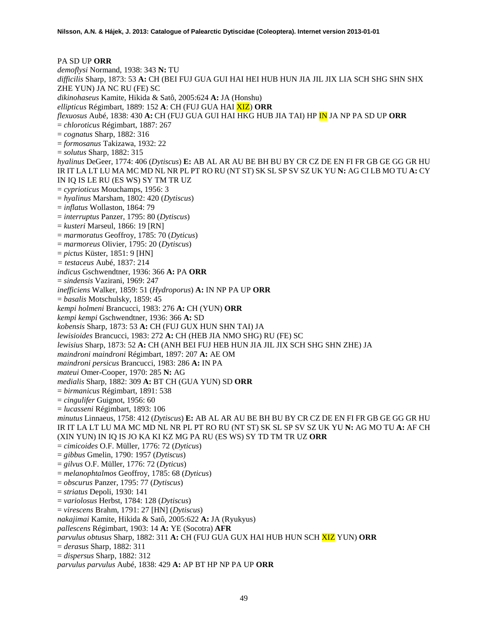PA SD UP **ORR** *demoflysi* Normand, 1938: 343 **N:** TU *difficilis* Sharp, 1873: 53 **A:** CH (BEI FUJ GUA GUI HAI HEI HUB HUN JIA JIL JIX LIA SCH SHG SHN SHX ZHE YUN) JA NC RU (FE) SC *dikinohaseus* Kamite, Hikida & Satô, 2005:624 **A:** JA (Honshu) *ellipticus* Régimbart, 1889: 152 **A**: CH (FUJ GUA HAI XIZ) **ORR** *flexuosus* Aubé, 1838: 430 **A:** CH (FUJ GUA GUI HAI HKG HUB JIA TAI) HP IN JA NP PA SD UP **ORR** = *chloroticus* Régimbart, 1887: 267 = *cognatus* Sharp, 1882: 316 = *formosanus* Takizawa, 1932: 22 = *solutus* Sharp, 1882: 315 *hyalinus* DeGeer, 1774: 406 (*Dytiscus*) **E:** AB AL AR AU BE BH BU BY CR CZ DE EN FI FR GB GE GG GR HU IR IT LA LT LU MA MC MD NL NR PL PT RO RU (NT ST) SK SL SP SV SZ UK YU **N:** AG CI LB MO TU **A:** CY IN IQ IS LE RU (ES WS) SY TM TR UZ = *cyprioticus* Mouchamps, 1956: 3 = *hyalinus* Marsham, 1802: 420 (*Dytiscus*) = *inflatus* Wollaston, 1864: 79 = *interruptus* Panzer, 1795: 80 (*Dytiscus*) = *kusteri* Marseul, 1866: 19 [RN] = *marmoratus* Geoffroy, 1785: 70 (*Dyticus*) = *marmoreus* Olivier, 1795: 20 (*Dytiscus*) = *pictus* Küster, 1851: 9 [HN] *= testaceus* Aubé, 1837: 214 *indicus* Gschwendtner, 1936: 366 **A:** PA **ORR** = *sindensis* Vazirani, 1969: 247 *inefficiens* Walker, 1859: 51 (*Hydroporus*) **A:** IN NP PA UP **ORR** = *basalis* Motschulsky, 1859: 45 *kempi holmeni* Brancucci, 1983: 276 **A:** CH (YUN) **ORR** *kempi kempi* Gschwendtner, 1936: 366 **A:** SD *kobensis* Sharp, 1873: 53 **A:** CH (FUJ GUX HUN SHN TAI) JA *lewisioides* Brancucci, 1983: 272 **A:** CH (HEB JIA NMO SHG) RU (FE) SC *lewisius* Sharp, 1873: 52 **A:** CH (ANH BEI FUJ HEB HUN JIA JIL JIX SCH SHG SHN ZHE) JA *maindroni maindroni* Régimbart, 1897: 207 **A:** AE OM *maindroni persicus* Brancucci, 1983: 286 **A:** IN PA *mateui* Omer-Cooper, 1970: 285 **N:** AG *medialis* Sharp, 1882: 309 **A:** BT CH (GUA YUN) SD **ORR** = *birmanicus* Régimbart, 1891: 538 = *cingulifer* Guignot, 1956: 60 = *lucasseni* Régimbart, 1893: 106 *minutus* Linnaeus, 1758: 412 (*Dytiscus*) **E:** AB AL AR AU BE BH BU BY CR CZ DE EN FI FR GB GE GG GR HU IR IT LA LT LU MA MC MD NL NR PL PT RO RU (NT ST) SK SL SP SV SZ UK YU **N:** AG MO TU **A:** AF CH (XIN YUN) IN IQ IS JO KA KI KZ MG PA RU (ES WS) SY TD TM TR UZ **ORR** = *cimicoides* O.F. Müller, 1776: 72 (*Dyticus*) = *gibbus* Gmelin, 1790: 1957 (*Dytiscus*) = *gilvus* O.F. Müller, 1776: 72 (*Dyticus*) = *melanophtalmos* Geoffroy, 1785: 68 (*Dyticus*) = *obscurus* Panzer, 1795: 77 (*Dytiscus*) = *striatus* Depoli, 1930: 141 = *variolosus* Herbst, 1784: 128 (*Dytiscus*) = *virescens* Brahm, 1791: 27 [HN] (*Dytiscus*) *nakajimai* Kamite, Hikida & Satô, 2005:622 **A:** JA (Ryukyus) *pallescens* Régimbart, 1903: 14 **A:** YE (Socotra) **AFR** *parvulus obtusus* Sharp, 1882: 311 **A:** CH (FUJ GUA GUX HAI HUB HUN SCH XIZ YUN) **ORR** = *derasus* Sharp, 1882: 311 = *dispersus* Sharp, 1882: 312 *parvulus parvulus* Aubé, 1838: 429 **A:** AP BT HP NP PA UP **ORR**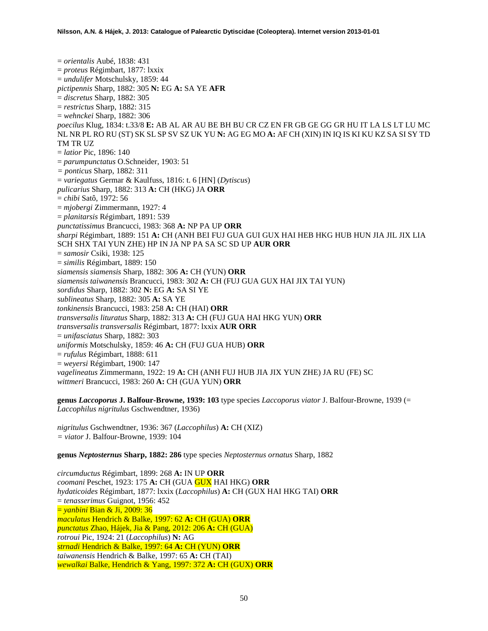= *orientalis* Aubé, 1838: 431 = *proteus* Régimbart, 1877: lxxix = *undulifer* Motschulsky, 1859: 44 *pictipennis* Sharp, 1882: 305 **N:** EG **A:** SA YE **AFR** = *discretus* Sharp, 1882: 305 = *restrictus* Sharp, 1882: 315 = *wehnckei* Sharp, 1882: 306 *poecilus* Klug, 1834: t.33/8 **E:** AB AL AR AU BE BH BU CR CZ EN FR GB GE GG GR HU IT LA LS LT LU MC NL NR PL RO RU (ST) SK SL SP SV SZ UK YU **N:** AG EG MO **A:** AF CH (XIN) IN IQ IS KI KU KZ SA SI SY TD TM TR UZ = *latior* Pic, 1896: 140 = *parumpunctatus* O.Schneider, 1903: 51 *= ponticus* Sharp, 1882: 311 = *variegatus* Germar & Kaulfuss, 1816: t. 6 [HN] (*Dytiscus*) *pulicarius* Sharp, 1882: 313 **A:** CH (HKG) JA **ORR** = *chibi* Satô, 1972: 56 = *mjobergi* Zimmermann, 1927: 4 = *planitarsis* Régimbart, 1891: 539 *punctatissimus* Brancucci, 1983: 368 **A:** NP PA UP **ORR** *sharpi* Régimbart, 1889: 151 **A:** CH (ANH BEI FUJ GUA GUI GUX HAI HEB HKG HUB HUN JIA JIL JIX LIA SCH SHX TAI YUN ZHE) HP IN JA NP PA SA SC SD UP **AUR ORR** = *samosir* Csiki, 1938: 125 = *similis* Régimbart, 1889: 150 *siamensis siamensis* Sharp, 1882: 306 **A:** CH (YUN) **ORR** *siamensis taiwanensis* Brancucci, 1983: 302 **A:** CH (FUJ GUA GUX HAI JIX TAI YUN) *sordidus* Sharp, 1882: 302 **N:** EG **A:** SA SI YE *sublineatus* Sharp, 1882: 305 **A:** SA YE *tonkinensis* Brancucci, 1983: 258 **A:** CH (HAI) **ORR** *transversalis lituratus* Sharp, 1882: 313 **A:** CH (FUJ GUA HAI HKG YUN) **ORR** *transversalis transversalis* Régimbart, 1877: lxxix **AUR ORR** = *unifasciatus* Sharp, 1882: 303 *uniformis* Motschulsky, 1859: 46 **A:** CH (FUJ GUA HUB) **ORR** = *rufulus* Régimbart, 1888: 611 = *weyersi* Régimbart, 1900: 147 *vagelineatus* Zimmermann, 1922: 19 **A:** CH (ANH FUJ HUB JIA JIX YUN ZHE) JA RU (FE) SC *wittmeri* Brancucci, 1983: 260 **A:** CH (GUA YUN) **ORR**

**genus** *Laccoporus* **J. Balfour-Browne, 1939: 103** type species *Laccoporus viator* J. Balfour-Browne, 1939 (= *Laccophilus nigritulus* Gschwendtner, 1936)

*nigritulus* Gschwendtner, 1936: 367 (*Laccophilus*) **A:** CH (XIZ) *= viator* J. Balfour-Browne, 1939: 104

**genus** *Neptosternus* **Sharp, 1882: 286** type species *Neptosternus ornatus* Sharp, 1882

*circumductus* Régimbart, 1899: 268 **A:** IN UP **ORR** *coomani* Peschet, 1923: 175 **A:** CH (GUA GUX HAI HKG) **ORR** *hydaticoides* Régimbart, 1877: lxxix (*Laccophilus*) **A:** CH (GUX HAI HKG TAI) **ORR** = *tenasserimus* Guignot, 1956: 452 = *yanbini* Bian & Ji, 2009: 36 *maculatus* Hendrich & Balke, 1997: 62 **A:** CH (GUA) **ORR** *punctatus* Zhao, Hájek, Jia & Pang, 2012: 206 **A:** CH (GUA) *rotroui* Pic, 1924: 21 (*Laccophilus*) **N:** AG *strnadi* Hendrich & Balke, 1997: 64 **A:** CH (YUN) **ORR** *taiwanensis* Hendrich & Balke, 1997: 65 **A:** CH (TAI) *wewalkai* Balke, Hendrich & Yang, 1997: 372 **A:** CH (GUX) **ORR**